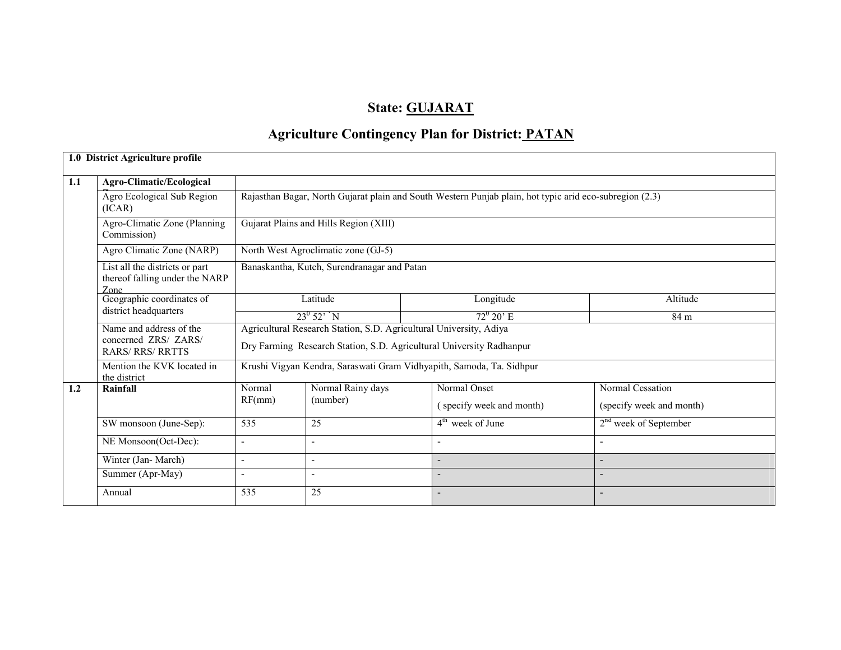#### State: GUJARAT

### Agriculture Contingency Plan for District: PATAN

|     | 1.0 District Agriculture profile                                         |                                                                                                                                            |                                                                                                         |                                                                      |                          |  |  |  |  |  |  |
|-----|--------------------------------------------------------------------------|--------------------------------------------------------------------------------------------------------------------------------------------|---------------------------------------------------------------------------------------------------------|----------------------------------------------------------------------|--------------------------|--|--|--|--|--|--|
| 1.1 | Agro-Climatic/Ecological                                                 |                                                                                                                                            |                                                                                                         |                                                                      |                          |  |  |  |  |  |  |
|     | Agro Ecological Sub Region<br>(ICAR)                                     |                                                                                                                                            | Rajasthan Bagar, North Gujarat plain and South Western Punjab plain, hot typic arid eco-subregion (2.3) |                                                                      |                          |  |  |  |  |  |  |
|     | Agro-Climatic Zone (Planning<br>Commission)                              |                                                                                                                                            | Gujarat Plains and Hills Region (XIII)                                                                  |                                                                      |                          |  |  |  |  |  |  |
|     | Agro Climatic Zone (NARP)                                                |                                                                                                                                            | North West Agroclimatic zone (GJ-5)                                                                     |                                                                      |                          |  |  |  |  |  |  |
|     | List all the districts or part<br>thereof falling under the NARP<br>Zone |                                                                                                                                            | Banaskantha, Kutch, Surendranagar and Patan                                                             |                                                                      |                          |  |  |  |  |  |  |
|     | Geographic coordinates of                                                | Latitude                                                                                                                                   |                                                                                                         | Longitude                                                            | Altitude                 |  |  |  |  |  |  |
|     | district headquarters                                                    |                                                                                                                                            | $23^0 52' N$                                                                                            | $72^{\circ} 20^{\circ}$ E                                            | 84 m                     |  |  |  |  |  |  |
|     | Name and address of the<br>concerned ZRS/ ZARS/<br><b>RARS/RRS/RRTTS</b> | Agricultural Research Station, S.D. Agricultural University, Adiya<br>Dry Farming Research Station, S.D. Agricultural University Radhanpur |                                                                                                         |                                                                      |                          |  |  |  |  |  |  |
|     | Mention the KVK located in<br>the district                               |                                                                                                                                            |                                                                                                         | Krushi Vigyan Kendra, Saraswati Gram Vidhyapith, Samoda, Ta. Sidhpur |                          |  |  |  |  |  |  |
| 1.2 | Rainfall                                                                 | Normal                                                                                                                                     | Normal Rainy days                                                                                       | Normal Onset                                                         | Normal Cessation         |  |  |  |  |  |  |
|     |                                                                          | RF(mm)                                                                                                                                     | (number)                                                                                                | (specify week and month)                                             | (specify week and month) |  |  |  |  |  |  |
|     | SW monsoon (June-Sep):                                                   | 535                                                                                                                                        | 25                                                                                                      | $4th$ week of June                                                   | $2nd$ week of September  |  |  |  |  |  |  |
|     | NE Monsoon(Oct-Dec):                                                     |                                                                                                                                            |                                                                                                         |                                                                      |                          |  |  |  |  |  |  |
|     | Winter (Jan-March)                                                       |                                                                                                                                            |                                                                                                         |                                                                      |                          |  |  |  |  |  |  |
|     | Summer (Apr-May)                                                         |                                                                                                                                            |                                                                                                         |                                                                      |                          |  |  |  |  |  |  |
|     | Annual                                                                   | 535                                                                                                                                        | 25                                                                                                      | $\overline{\phantom{a}}$                                             |                          |  |  |  |  |  |  |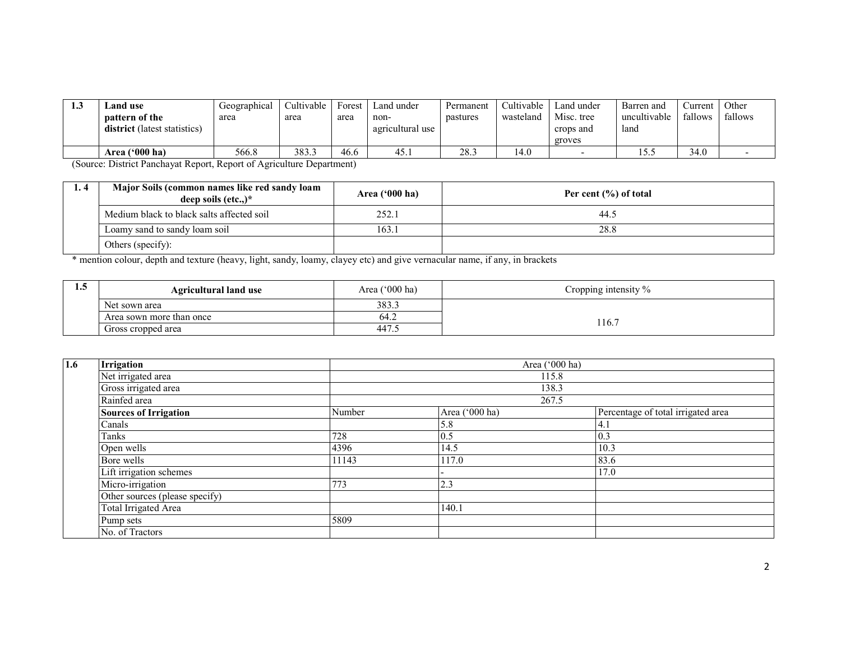| 1.3 | and use<br>pattern of the<br><b>district</b> (latest statistics)                                     | Geographical<br>area | Cultivable<br>area | Forest<br>area | Land under<br>non-<br>agricultural use | Permanent<br>pastures | Cultivable<br>wasteland | Land under<br>Misc. tree<br>crops and<br>groves | Barren and<br>uncultivable<br>land | ∠urrent ∣<br>fallows | Other<br>fallows |
|-----|------------------------------------------------------------------------------------------------------|----------------------|--------------------|----------------|----------------------------------------|-----------------------|-------------------------|-------------------------------------------------|------------------------------------|----------------------|------------------|
|     | Area $(900)$ ha)                                                                                     | 566.8                | 383.3              | 46.6           | 45.1                                   | 28.3                  | 14.0                    |                                                 | ز. ر ۱                             | 34.0                 |                  |
|     | $(0, \ldots, 1)$ and $(0, \ldots, 1)$ and $(0, \ldots, 1)$ and $(0, \ldots, 1)$ and $(1, \ldots, 1)$ |                      |                    |                |                                        |                       |                         |                                                 |                                    |                      |                  |

(Source: District Panchayat Report, Report of Agriculture Department)

| 1.4 | Major Soils (common names like red sandy loam<br>deep soils $(\text{etc.})^*$ | Area $('000 ha)$ | Per cent $(\% )$ of total |
|-----|-------------------------------------------------------------------------------|------------------|---------------------------|
|     | Medium black to black salts affected soil                                     | 252.1            | 44.5                      |
|     | Loamy sand to sandy loam soil                                                 | 163.1            | 28.8                      |
|     | Others (specify):                                                             |                  |                           |

\* mention colour, depth and texture (heavy, light, sandy, loamy, clayey etc) and give vernacular name, if any, in brackets

| $\cdot$ | <b>Agricultural land use</b> | Area ('000 ha) | Cropping intensity % |
|---------|------------------------------|----------------|----------------------|
|         | Net sown area                | 383.3          |                      |
|         | Area sown more than once     | 64.2           | 116.7                |
|         | Gross cropped area           | 447.           |                      |

| 1.6 | Irrigation                     |        |                | Area ('000 ha)                     |  |  |  |  |
|-----|--------------------------------|--------|----------------|------------------------------------|--|--|--|--|
|     | Net irrigated area             |        |                | 115.8                              |  |  |  |  |
|     | Gross irrigated area           |        | 138.3          |                                    |  |  |  |  |
|     | Rainfed area                   |        |                | 267.5                              |  |  |  |  |
|     | <b>Sources of Irrigation</b>   | Number | Area ('000 ha) | Percentage of total irrigated area |  |  |  |  |
|     | Canals                         |        | 5.8            | 4.                                 |  |  |  |  |
|     | Tanks                          | 728    | 0.5            | 0.3                                |  |  |  |  |
|     | Open wells                     | 4396   | 14.5           | 10.3                               |  |  |  |  |
|     | Bore wells                     | 11143  | 117.0          | 83.6                               |  |  |  |  |
|     | Lift irrigation schemes        |        |                | 17.0                               |  |  |  |  |
|     | Micro-irrigation               | 773    | 2.3            |                                    |  |  |  |  |
|     | Other sources (please specify) |        |                |                                    |  |  |  |  |
|     | Total Irrigated Area           |        | 140.1          |                                    |  |  |  |  |
|     | Pump sets                      | 5809   |                |                                    |  |  |  |  |
|     | No. of Tractors                |        |                |                                    |  |  |  |  |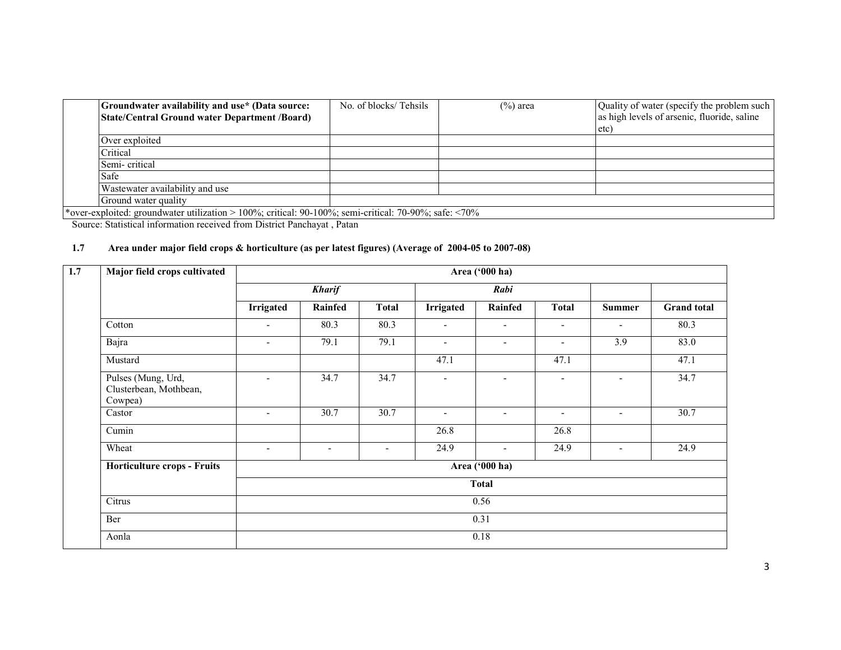| Groundwater availability and use* (Data source:<br>State/Central Ground water Department /Board)                      | No. of blocks/Tehsils | $(\%)$ area | Quality of water (specify the problem such<br>as high levels of arsenic, fluoride, saline |
|-----------------------------------------------------------------------------------------------------------------------|-----------------------|-------------|-------------------------------------------------------------------------------------------|
|                                                                                                                       |                       |             | etc <sup>-</sup>                                                                          |
| Over exploited                                                                                                        |                       |             |                                                                                           |
| Critical                                                                                                              |                       |             |                                                                                           |
| Semi-critical                                                                                                         |                       |             |                                                                                           |
| Safe                                                                                                                  |                       |             |                                                                                           |
| Wastewater availability and use                                                                                       |                       |             |                                                                                           |
| Ground water quality                                                                                                  |                       |             |                                                                                           |
| $*$ aver exploited; examply eter utilization $>100\%$ ; eritical: 00,100%; somi eritical: 70,00%; sofo; $\angle 70\%$ |                       |             |                                                                                           |

\*over-exploited: groundwater utilization > 100%; critical: 90-100%; semi-critical: 70-90%; safe: <70% Source: Statistical information received from District Panchayat , Patan

#### 1.7 Area under major field crops & horticulture (as per latest figures) (Average of 2004-05 to 2007-08)

| 1.7 | Major field crops cultivated                            | Area ('000 ha)           |                          |                          |                          |                          |                          |                          |                    |  |  |
|-----|---------------------------------------------------------|--------------------------|--------------------------|--------------------------|--------------------------|--------------------------|--------------------------|--------------------------|--------------------|--|--|
|     |                                                         |                          | <b>Kharif</b>            |                          |                          | Rabi                     |                          |                          |                    |  |  |
|     |                                                         | <b>Irrigated</b>         | <b>Rainfed</b>           | <b>Total</b>             | <b>Irrigated</b>         | <b>Rainfed</b>           | <b>Total</b>             | <b>Summer</b>            | <b>Grand</b> total |  |  |
|     | Cotton                                                  | $\overline{\phantom{a}}$ | 80.3                     | 80.3                     | $\overline{\phantom{a}}$ | -                        | $\overline{\phantom{a}}$ | $\overline{\phantom{0}}$ | 80.3               |  |  |
|     | Bajra                                                   | $\overline{\phantom{a}}$ | 79.1                     | 79.1                     | $\overline{\phantom{a}}$ | $\overline{\phantom{a}}$ | $\overline{\phantom{a}}$ | 3.9                      | 83.0               |  |  |
|     | Mustard                                                 |                          |                          |                          | 47.1                     |                          | 47.1                     |                          | 47.1               |  |  |
|     | Pulses (Mung, Urd,<br>Clusterbean, Mothbean,<br>Cowpea) | $\blacksquare$           | 34.7                     | 34.7                     | $\overline{a}$           |                          | $\overline{\phantom{a}}$ |                          | 34.7               |  |  |
|     | Castor                                                  | $\overline{\phantom{a}}$ | 30.7                     | 30.7                     | $\overline{\phantom{0}}$ | $\overline{\phantom{a}}$ | $\overline{\phantom{a}}$ | $\overline{\phantom{0}}$ | 30.7               |  |  |
|     | Cumin                                                   |                          |                          |                          | 26.8                     |                          | 26.8                     |                          |                    |  |  |
|     | Wheat                                                   | $\overline{\phantom{0}}$ | $\overline{\phantom{a}}$ | $\overline{\phantom{a}}$ | 24.9                     | $\overline{\phantom{a}}$ | 24.9                     | $\overline{\phantom{a}}$ | 24.9               |  |  |
|     | <b>Horticulture crops - Fruits</b>                      |                          |                          |                          |                          | Area ('000 ha)           |                          |                          |                    |  |  |
|     |                                                         |                          |                          |                          |                          | <b>Total</b>             |                          |                          |                    |  |  |
|     | Citrus                                                  |                          |                          |                          |                          | 0.56                     |                          |                          |                    |  |  |
|     | Ber                                                     |                          |                          |                          |                          | 0.31                     |                          |                          |                    |  |  |
|     | Aonla                                                   |                          |                          |                          |                          | 0.18                     |                          |                          |                    |  |  |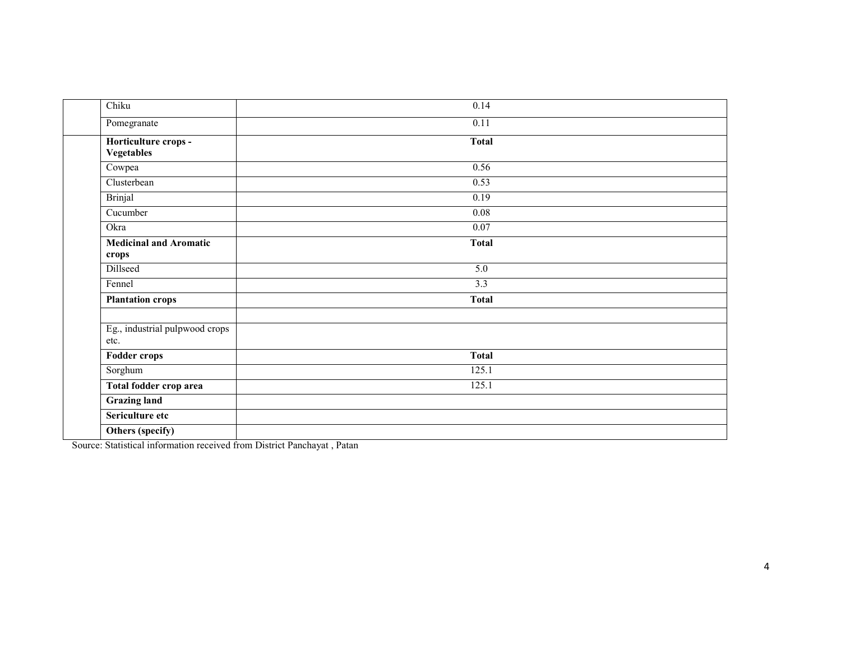| Chiku                                  | 0.14              |  |
|----------------------------------------|-------------------|--|
| Pomegranate                            | 0.11              |  |
| Horticulture crops -<br>Vegetables     | <b>Total</b>      |  |
| Cowpea                                 | 0.56              |  |
| Clusterbean                            | 0.53              |  |
| <b>Brinjal</b>                         | 0.19              |  |
| Cucumber                               | $\overline{0.08}$ |  |
| Okra                                   | $\overline{0.07}$ |  |
| <b>Medicinal and Aromatic</b><br>crops | <b>Total</b>      |  |
| Dillseed                               | 5.0               |  |
| Fennel                                 | 3.3               |  |
| <b>Plantation crops</b>                | <b>Total</b>      |  |
| Eg., industrial pulpwood crops<br>etc. |                   |  |
| <b>Fodder crops</b>                    | <b>Total</b>      |  |
| Sorghum                                | 125.1             |  |
| Total fodder crop area                 | 125.1             |  |
| <b>Grazing land</b>                    |                   |  |
| Sericulture etc                        |                   |  |
| Others (specify)                       |                   |  |

Source: Statistical information received from District Panchayat , Patan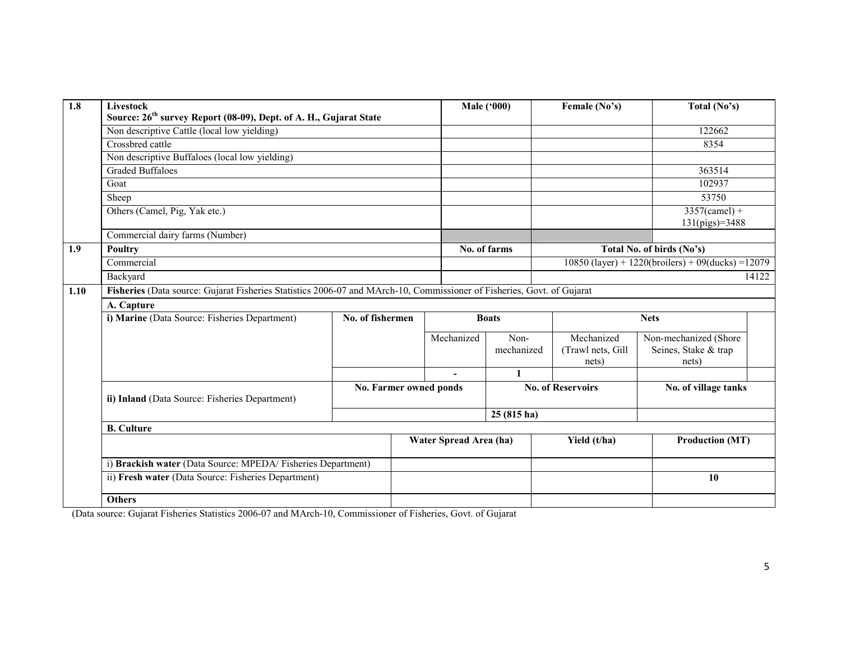| $\overline{1.8}$ | Livestock<br>Source: 26 <sup>th</sup> survey Report (08-09), Dept. of A. H., Gujarat State                             |                  | <b>Male ('000)</b> | Female (No's)          | Total (No's)       |                                          |                                                        |
|------------------|------------------------------------------------------------------------------------------------------------------------|------------------|--------------------|------------------------|--------------------|------------------------------------------|--------------------------------------------------------|
|                  | Non descriptive Cattle (local low yielding)                                                                            |                  |                    |                        |                    |                                          | 122662                                                 |
|                  | Crossbred cattle                                                                                                       |                  |                    |                        |                    |                                          | 8354                                                   |
|                  | Non descriptive Buffaloes (local low yielding)                                                                         |                  |                    |                        |                    |                                          |                                                        |
|                  | <b>Graded Buffaloes</b>                                                                                                |                  |                    |                        |                    |                                          | 363514                                                 |
|                  | Goat                                                                                                                   |                  |                    |                        |                    |                                          | 102937                                                 |
|                  | Sheep                                                                                                                  |                  |                    |                        |                    |                                          | 53750                                                  |
|                  | Others (Camel, Pig, Yak etc.)                                                                                          |                  |                    |                        |                    |                                          | $3357$ (camel) +<br>131(pigs)=3488                     |
|                  | Commercial dairy farms (Number)                                                                                        |                  |                    |                        |                    |                                          |                                                        |
| 1.9              | <b>Poultry</b>                                                                                                         |                  |                    |                        | No. of farms       |                                          | Total No. of birds (No's)                              |
|                  | Commercial                                                                                                             |                  |                    |                        |                    |                                          | $10850$ (layer) + 1220(broilers) + 09(ducks) = 12079   |
|                  | Backyard                                                                                                               |                  |                    |                        |                    |                                          | 14122                                                  |
| 1.10             | Fisheries (Data source: Gujarat Fisheries Statistics 2006-07 and MArch-10, Commissioner of Fisheries, Govt. of Gujarat |                  |                    |                        |                    |                                          |                                                        |
|                  | A. Capture                                                                                                             |                  |                    |                        |                    |                                          |                                                        |
|                  | i) Marine (Data Source: Fisheries Department)                                                                          | No. of fishermen |                    |                        | <b>Boats</b>       |                                          | <b>Nets</b>                                            |
|                  |                                                                                                                        |                  |                    | Mechanized             | Non-<br>mechanized | Mechanized<br>(Trawl nets, Gill<br>nets) | Non-mechanized (Shore<br>Seines, Stake & trap<br>nets) |
|                  |                                                                                                                        |                  |                    | $\blacksquare$         | $\mathbf{1}$       |                                          |                                                        |
|                  | ii) Inland (Data Source: Fisheries Department)                                                                         |                  |                    | No. Farmer owned ponds |                    | <b>No. of Reservoirs</b>                 | No. of village tanks                                   |
|                  |                                                                                                                        |                  |                    |                        | $25(815)$ ha)      |                                          |                                                        |
|                  | <b>B.</b> Culture                                                                                                      |                  |                    |                        |                    |                                          |                                                        |
|                  | Water Spread Area (ha)                                                                                                 |                  |                    |                        |                    | Yield (t/ha)                             | <b>Production (MT)</b>                                 |
|                  | i) Brackish water (Data Source: MPEDA/Fisheries Department)                                                            |                  |                    |                        |                    |                                          |                                                        |
|                  | ii) Fresh water (Data Source: Fisheries Department)                                                                    |                  |                    |                        |                    |                                          | 10                                                     |
|                  | <b>Others</b>                                                                                                          |                  |                    |                        |                    |                                          |                                                        |

(Data source: Gujarat Fisheries Statistics 2006-07 and MArch-10, Commissioner of Fisheries, Govt. of Gujarat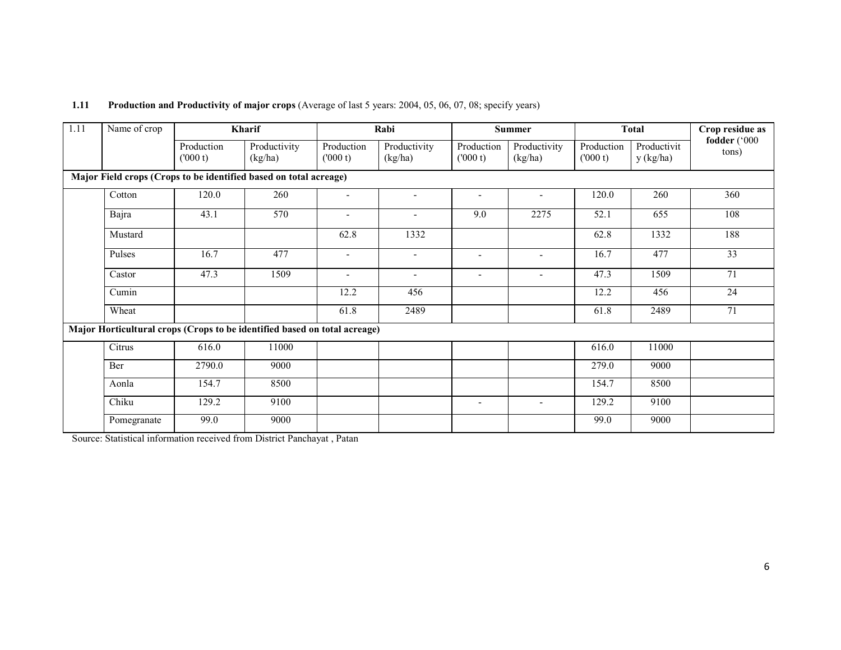| 1.11 | Name of crop | Kharif                |                                                                           |                          | Rabi                     |                          | <b>Summer</b>                |                       | <b>Total</b>             | Crop residue as       |  |
|------|--------------|-----------------------|---------------------------------------------------------------------------|--------------------------|--------------------------|--------------------------|------------------------------|-----------------------|--------------------------|-----------------------|--|
|      |              | Production<br>(000 t) | Productivity<br>(kg/ha)                                                   | Production<br>(000 t)    | Productivity<br>(kg/ha)  | Production<br>(000 t)    | Productivity<br>(kg/ha)      | Production<br>(000 t) | Productivit<br>y (kg/ha) | fodder ('000<br>tons) |  |
|      |              |                       | Major Field crops (Crops to be identified based on total acreage)         |                          |                          |                          |                              |                       |                          |                       |  |
|      | Cotton       | 120.0                 | 260                                                                       | $\blacksquare$           |                          |                          | $\qquad \qquad \blacksquare$ | 120.0                 | 260                      | 360                   |  |
|      | Bajra        | 43.1                  | 570                                                                       | $\sim$                   | $\blacksquare$           | 9.0                      | 2275                         | 52.1                  | 655                      | 108                   |  |
|      | Mustard      |                       |                                                                           | 62.8                     | 1332                     |                          |                              | 62.8                  | 1332                     | 188                   |  |
|      | Pulses       | 16.7                  | 477                                                                       | $\overline{\phantom{a}}$ | $\blacksquare$           | $\overline{\phantom{a}}$ | $\blacksquare$               | 16.7                  | 477                      | $\overline{33}$       |  |
|      | Castor       | 47.3                  | 1509                                                                      | $\overline{\phantom{0}}$ | $\overline{\phantom{0}}$ |                          |                              | 47.3                  | 1509                     | 71                    |  |
|      | Cumin        |                       |                                                                           | 12.2                     | 456                      |                          |                              | 12.2                  | 456                      | 24                    |  |
|      | Wheat        |                       |                                                                           | 61.8                     | 2489                     |                          |                              | 61.8                  | 2489                     | 71                    |  |
|      |              |                       | Major Horticultural crops (Crops to be identified based on total acreage) |                          |                          |                          |                              |                       |                          |                       |  |
|      | Citrus       | 616.0                 | 11000                                                                     |                          |                          |                          |                              | 616.0                 | 11000                    |                       |  |
|      | Ber          | 2790.0                | 9000                                                                      |                          |                          |                          |                              | 279.0                 | 9000                     |                       |  |
|      | Aonla        | 154.7                 | 8500                                                                      |                          |                          |                          |                              | 154.7                 | 8500                     |                       |  |
|      | Chiku        | 129.2                 | 9100                                                                      |                          |                          | $\overline{\phantom{a}}$ | $\overline{\phantom{a}}$     | 129.2                 | 9100                     |                       |  |
|      | Pomegranate  | 99.0                  | 9000                                                                      |                          |                          |                          |                              | 99.0                  | 9000                     |                       |  |

#### 1.11 Production and Productivity of major crops (Average of last 5 years: 2004, 05, 06, 07, 08; specify years)

Source: Statistical information received from District Panchayat , Patan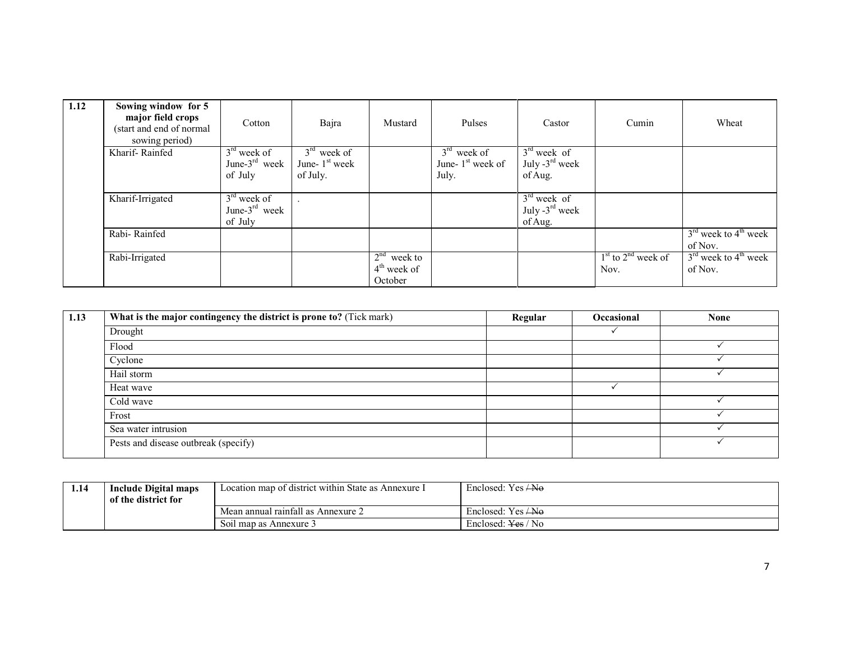| 1.12 | Sowing window for 5<br>major field crops<br>(start and end of normal<br>sowing period) | Cotton                                       | Bajra                                         | Mustard                                   | Pulses                                        | Castor                                                 | Cumin                          | Wheat                                         |
|------|----------------------------------------------------------------------------------------|----------------------------------------------|-----------------------------------------------|-------------------------------------------|-----------------------------------------------|--------------------------------------------------------|--------------------------------|-----------------------------------------------|
|      | Kharif-Rainfed                                                                         | $3rd$ week of<br>June- $3rd$ week<br>of July | $3rd$ week of<br>June- $1st$ week<br>of July. |                                           | $3rd$ week of<br>June- $1st$ week of<br>July. | $3rd$ week of<br>July $-3^{\text{rd}}$ week<br>of Aug. |                                |                                               |
|      | Kharif-Irrigated                                                                       | $3rd$ week of<br>June- $3rd$ week<br>of July |                                               |                                           |                                               | $3rd$ week of<br>July $-3^{\text{rd}}$ week<br>of Aug. |                                |                                               |
|      | Rabi-Rainfed                                                                           |                                              |                                               |                                           |                                               |                                                        |                                | $3rd$ week to $4th$ week<br>of Nov.           |
|      | Rabi-Irrigated                                                                         |                                              |                                               | $2nd$ week to<br>$4th$ week of<br>October |                                               |                                                        | $1st$ to $2nd$ week of<br>Nov. | $3rd$ week to 4 <sup>th</sup> week<br>of Nov. |

| 1.13 | What is the major contingency the district is prone to? (Tick mark) | Regular | Occasional | <b>None</b> |
|------|---------------------------------------------------------------------|---------|------------|-------------|
|      | Drought                                                             |         |            |             |
|      | Flood                                                               |         |            |             |
|      | Cyclone                                                             |         |            |             |
|      | Hail storm                                                          |         |            |             |
|      | Heat wave                                                           |         |            |             |
|      | Cold wave                                                           |         |            |             |
|      | Frost                                                               |         |            |             |
|      | Sea water intrusion                                                 |         |            |             |
|      | Pests and disease outbreak (specify)                                |         |            |             |

| 1.14 | Location map of district within State as Annexure I<br>Include Digital maps<br>of the district for |                                    | Enclosed: $Yes / No$          |
|------|----------------------------------------------------------------------------------------------------|------------------------------------|-------------------------------|
|      |                                                                                                    | Mean annual rainfall as Annexure 2 | Enclosed: $Yes / No$          |
|      |                                                                                                    | Soil map as Annexure 3             | Enclosed: <del>Yes</del> / No |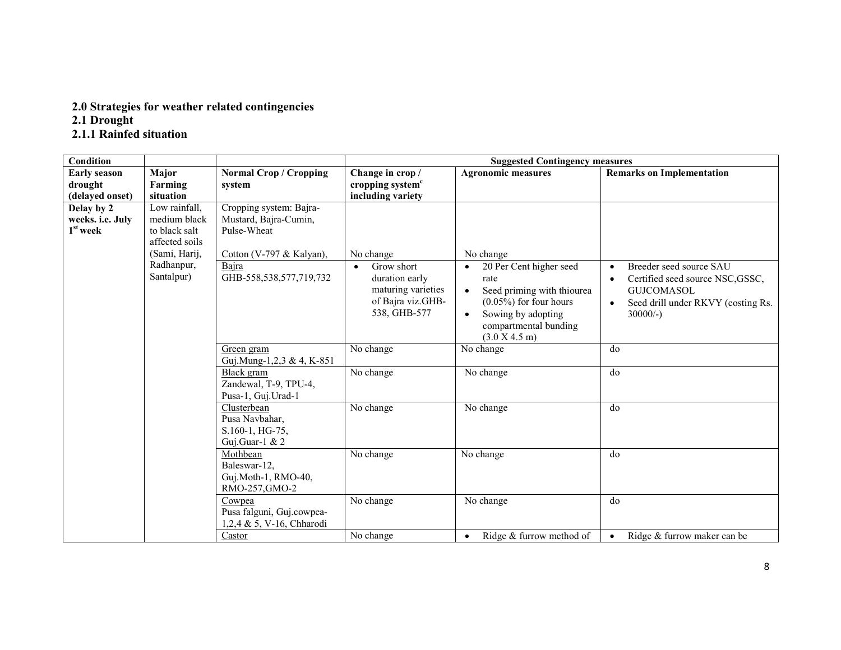# 2.0 Strategies for weather related contingencies 2.1 Drought 2.1.1 Rainfed situation

| <b>Condition</b>    |                |                               | <b>Suggested Contingency measures</b> |                                         |                                                 |  |
|---------------------|----------------|-------------------------------|---------------------------------------|-----------------------------------------|-------------------------------------------------|--|
| <b>Early season</b> | Major          | <b>Normal Crop / Cropping</b> | Change in crop /                      | <b>Agronomic measures</b>               | <b>Remarks on Implementation</b>                |  |
| drought             | Farming        | system                        | cropping system <sup>c</sup>          |                                         |                                                 |  |
| (delayed onset)     | situation      |                               | including variety                     |                                         |                                                 |  |
| Delay by 2          | Low rainfall,  | Cropping system: Bajra-       |                                       |                                         |                                                 |  |
| weeks. i.e. July    | medium black   | Mustard, Bajra-Cumin,         |                                       |                                         |                                                 |  |
| $1st$ week          | to black salt  | Pulse-Wheat                   |                                       |                                         |                                                 |  |
|                     | affected soils |                               |                                       |                                         |                                                 |  |
|                     | (Sami, Harij,  | Cotton (V-797 & Kalyan),      | No change                             | No change                               |                                                 |  |
|                     | Radhanpur,     | Bajra                         | Grow short<br>$\bullet$               | 20 Per Cent higher seed<br>$\bullet$    | Breeder seed source SAU<br>$\bullet$            |  |
|                     | Santalpur)     | GHB-558,538,577,719,732       | duration early                        | rate                                    | Certified seed source NSC, GSSC,<br>$\bullet$   |  |
|                     |                |                               | maturing varieties                    | Seed priming with thiourea<br>$\bullet$ | <b>GUICOMASOL</b>                               |  |
|                     |                |                               | of Bajra viz.GHB-                     | $(0.05\%)$ for four hours               | Seed drill under RKVY (costing Rs.<br>$\bullet$ |  |
|                     |                |                               | 538, GHB-577                          | Sowing by adopting<br>$\bullet$         | $30000/-$ )                                     |  |
|                     |                |                               |                                       | compartmental bunding                   |                                                 |  |
|                     |                |                               |                                       | (3.0 X 4.5 m)                           |                                                 |  |
|                     |                | Green gram                    | No change                             | No change                               | do                                              |  |
|                     |                | Guj.Mung-1,2,3 & 4, K-851     |                                       |                                         |                                                 |  |
|                     |                | Black gram                    | No change                             | No change                               | do                                              |  |
|                     |                | Zandewal, T-9, TPU-4,         |                                       |                                         |                                                 |  |
|                     |                | Pusa-1, Guj. Urad-1           |                                       |                                         |                                                 |  |
|                     |                | Clusterbean                   | No change                             | No change                               | do                                              |  |
|                     |                | Pusa Navbahar,                |                                       |                                         |                                                 |  |
|                     |                | S.160-1, HG-75,               |                                       |                                         |                                                 |  |
|                     |                | Guj.Guar-1 & 2                |                                       |                                         |                                                 |  |
|                     |                | Mothbean                      | No change                             | No change                               | do                                              |  |
|                     |                | Baleswar-12,                  |                                       |                                         |                                                 |  |
|                     |                | Guj.Moth-1, RMO-40,           |                                       |                                         |                                                 |  |
|                     |                | RMO-257, GMO-2                |                                       |                                         |                                                 |  |
|                     |                | Cowpea                        | No change                             | No change                               | do                                              |  |
|                     |                | Pusa falguni, Guj.cowpea-     |                                       |                                         |                                                 |  |
|                     |                | 1,2,4 & 5, V-16, Chharodi     |                                       |                                         |                                                 |  |
|                     |                | Castor                        | No change                             | Ridge & furrow method of<br>$\bullet$   | Ridge & furrow maker can be<br>$\bullet$        |  |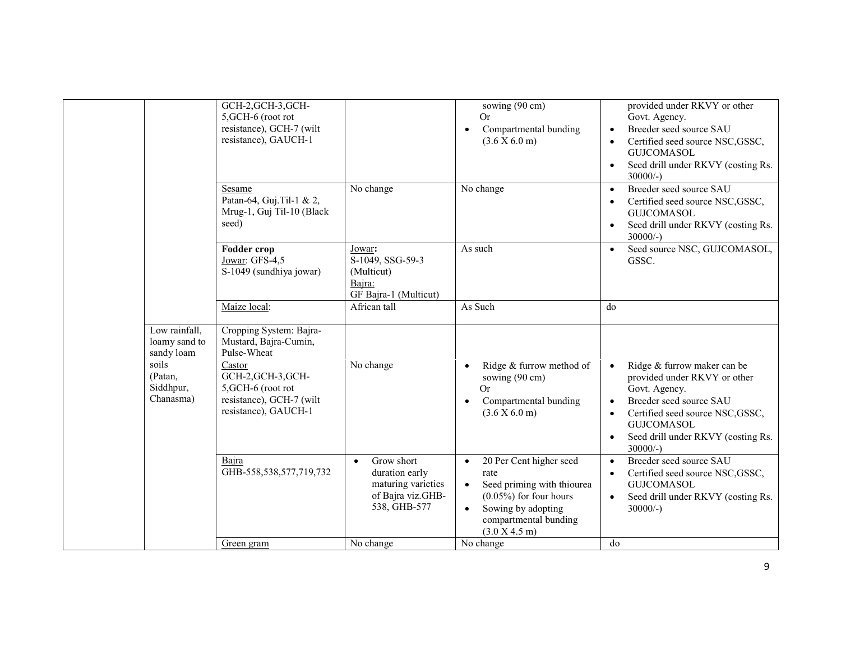|                                                                                            | GCH-2, GCH-3, GCH-<br>5, GCH-6 (root rot<br>resistance), GCH-7 (wilt<br>resistance), GAUCH-1                                                                              |                                                                                                      | sowing (90 cm)<br>Or<br>Compartmental bunding<br>$\bullet$<br>(3.6 X 6.0 m)                                                                                                                       | provided under RKVY or other<br>Govt. Agency.<br>Breeder seed source SAU<br>$\bullet$<br>Certified seed source NSC, GSSC,<br><b>GUJCOMASOL</b><br>Seed drill under RKVY (costing Rs.<br>$\bullet$<br>$30000/-$                                               |
|--------------------------------------------------------------------------------------------|---------------------------------------------------------------------------------------------------------------------------------------------------------------------------|------------------------------------------------------------------------------------------------------|---------------------------------------------------------------------------------------------------------------------------------------------------------------------------------------------------|--------------------------------------------------------------------------------------------------------------------------------------------------------------------------------------------------------------------------------------------------------------|
|                                                                                            | Sesame<br>Patan-64, Guj.Til-1 & 2,<br>Mrug-1, Guj Til-10 (Black<br>seed)                                                                                                  | No change                                                                                            | No change                                                                                                                                                                                         | Breeder seed source SAU<br>$\bullet$<br>Certified seed source NSC, GSSC,<br>$\bullet$<br><b>GUJCOMASOL</b><br>Seed drill under RKVY (costing Rs.<br>$\bullet$<br>$30000/-$ )                                                                                 |
|                                                                                            | <b>Fodder crop</b><br>Jowar: GFS-4,5<br>S-1049 (sundhiya jowar)                                                                                                           | Jowar:<br>S-1049, SSG-59-3<br>(Multicut)<br>Bajra:<br>GF Bajra-1 (Multicut)                          | As such                                                                                                                                                                                           | Seed source NSC, GUJCOMASOL,<br>$\bullet$<br>GSSC.                                                                                                                                                                                                           |
|                                                                                            | Maize local:                                                                                                                                                              | African tall                                                                                         | As Such                                                                                                                                                                                           | do                                                                                                                                                                                                                                                           |
| Low rainfall,<br>loamy sand to<br>sandy loam<br>soils<br>(Patan,<br>Siddhpur,<br>Chanasma) | Cropping System: Bajra-<br>Mustard, Bajra-Cumin,<br>Pulse-Wheat<br>Castor<br>GCH-2, GCH-3, GCH-<br>5, GCH-6 (root rot<br>resistance), GCH-7 (wilt<br>resistance), GAUCH-1 | No change                                                                                            | Ridge & furrow method of<br>sowing (90 cm)<br>Or<br>Compartmental bunding<br>$\bullet$<br>(3.6 X 6.0 m)                                                                                           | Ridge & furrow maker can be<br>$\bullet$<br>provided under RKVY or other<br>Govt. Agency.<br>Breeder seed source SAU<br>$\bullet$<br>Certified seed source NSC, GSSC,<br>$\bullet$<br><b>GUJCOMASOL</b><br>Seed drill under RKVY (costing Rs.<br>$30000/-$ ) |
|                                                                                            | Bajra<br>GHB-558,538,577,719,732                                                                                                                                          | Grow short<br>$\bullet$<br>duration early<br>maturing varieties<br>of Bajra viz.GHB-<br>538, GHB-577 | 20 Per Cent higher seed<br>$\bullet$<br>rate<br>Seed priming with thiourea<br>$\bullet$<br>$(0.05\%)$ for four hours<br>Sowing by adopting<br>$\bullet$<br>compartmental bunding<br>(3.0 X 4.5 m) | Breeder seed source SAU<br>$\bullet$<br>Certified seed source NSC, GSSC,<br>$\bullet$<br><b>GUJCOMASOL</b><br>Seed drill under RKVY (costing Rs.<br>$\bullet$<br>$30000/-$ )                                                                                 |
|                                                                                            | Green gram                                                                                                                                                                | No change                                                                                            | No change                                                                                                                                                                                         | do                                                                                                                                                                                                                                                           |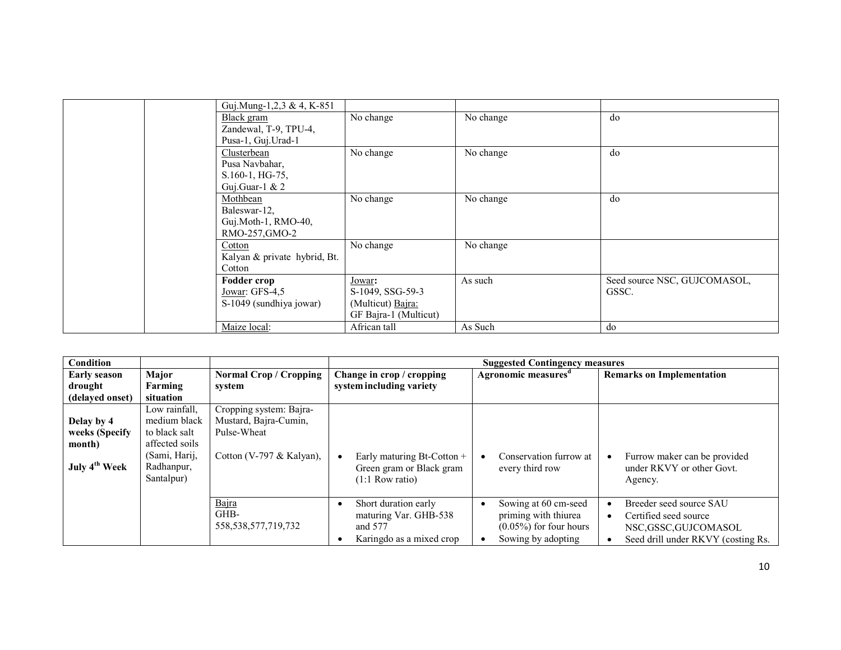| Guj.Mung-1,2,3 & 4, K-851    |                       |           |                              |
|------------------------------|-----------------------|-----------|------------------------------|
| Black gram                   | No change             | No change | do                           |
| Zandewal, T-9, TPU-4,        |                       |           |                              |
| Pusa-1, Guj.Urad-1           |                       |           |                              |
| Clusterbean                  | No change             | No change | do                           |
| Pusa Navbahar,               |                       |           |                              |
| S.160-1, HG-75,              |                       |           |                              |
| Guj.Guar-1 & $2$             |                       |           |                              |
| Mothbean                     | No change             | No change | do                           |
| Baleswar-12,                 |                       |           |                              |
| Guj.Moth-1, RMO-40,          |                       |           |                              |
| RMO-257, GMO-2               |                       |           |                              |
| Cotton                       | No change             | No change |                              |
| Kalyan & private hybrid, Bt. |                       |           |                              |
| Cotton                       |                       |           |                              |
| <b>Fodder crop</b>           | Jowar:                | As such   | Seed source NSC, GUJCOMASOL, |
| Jowar: GFS-4,5               | S-1049, SSG-59-3      |           | GSSC.                        |
| S-1049 (sundhiya jowar)      | (Multicut) Bajra:     |           |                              |
|                              | GF Bajra-1 (Multicut) |           |                              |
| Maize local:                 | African tall          | As Such   | do                           |

| <b>Condition</b>          |                                           | <b>Suggested Contingency measures</b>    |                                                                                      |                                                                                                 |                                                                                                               |  |
|---------------------------|-------------------------------------------|------------------------------------------|--------------------------------------------------------------------------------------|-------------------------------------------------------------------------------------------------|---------------------------------------------------------------------------------------------------------------|--|
| <b>Early season</b>       | Major                                     | <b>Normal Crop / Cropping</b>            | Change in crop / cropping                                                            | Agronomic measures <sup>a</sup>                                                                 | <b>Remarks on Implementation</b>                                                                              |  |
| drought                   | Farming                                   | system                                   | system including variety                                                             |                                                                                                 |                                                                                                               |  |
| (delaved onset)           | situation                                 |                                          |                                                                                      |                                                                                                 |                                                                                                               |  |
|                           | Low rainfall,                             | Cropping system: Bajra-                  |                                                                                      |                                                                                                 |                                                                                                               |  |
| Delay by 4                | medium black                              | Mustard, Bajra-Cumin,                    |                                                                                      |                                                                                                 |                                                                                                               |  |
| weeks (Specify            | to black salt                             | Pulse-Wheat                              |                                                                                      |                                                                                                 |                                                                                                               |  |
| month)                    | affected soils                            |                                          |                                                                                      |                                                                                                 |                                                                                                               |  |
| July 4 <sup>th</sup> Week | (Sami, Harij,<br>Radhanpur,<br>Santalpur) | Cotton (V-797 & Kalyan),                 | Early maturing Bt-Cotton +<br>Green gram or Black gram<br>$(1:1$ Row ratio)          | Conservation furrow at<br>every third row                                                       | Furrow maker can be provided<br>under RKVY or other Govt.<br>Agency.                                          |  |
|                           |                                           | Bajra<br>GHB-<br>558, 538, 577, 719, 732 | Short duration early<br>maturing Var. GHB-538<br>and 577<br>Karingdo as a mixed crop | Sowing at 60 cm-seed<br>priming with thiurea<br>$(0.05\%)$ for four hours<br>Sowing by adopting | Breeder seed source SAU<br>Certified seed source<br>NSC,GSSC,GUJCOMASOL<br>Seed drill under RKVY (costing Rs. |  |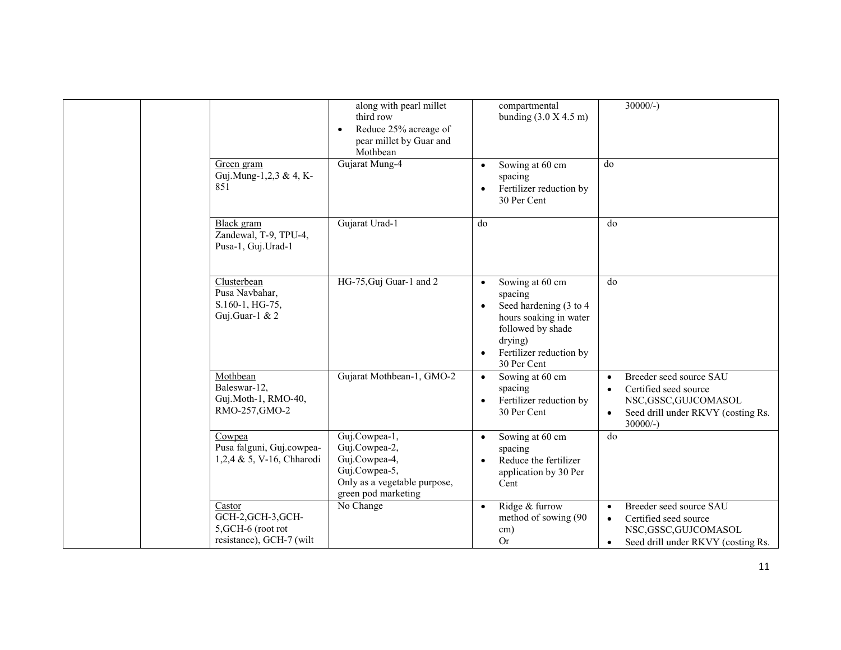|  |                                                                                | along with pearl millet<br>third row<br>Reduce 25% acreage of<br>$\bullet$<br>pear millet by Guar and<br>Mothbean       | compartmental<br>bunding $(3.0 X 4.5 m)$                                                                                                                                           | $30000/-$                                                                                                                                                           |
|--|--------------------------------------------------------------------------------|-------------------------------------------------------------------------------------------------------------------------|------------------------------------------------------------------------------------------------------------------------------------------------------------------------------------|---------------------------------------------------------------------------------------------------------------------------------------------------------------------|
|  | Green gram<br>Guj.Mung-1,2,3 & 4, K-<br>851                                    | Gujarat Mung-4                                                                                                          | Sowing at 60 cm<br>spacing<br>Fertilizer reduction by<br>$\bullet$<br>30 Per Cent                                                                                                  | do                                                                                                                                                                  |
|  | Black gram<br>Zandewal, T-9, TPU-4,<br>Pusa-1, Guj.Urad-1                      | Gujarat Urad-1                                                                                                          | do                                                                                                                                                                                 | do                                                                                                                                                                  |
|  | Clusterbean<br>Pusa Navbahar,<br>S.160-1, HG-75,<br>Guj.Guar-1 & 2             | HG-75, Guj Guar-1 and 2                                                                                                 | Sowing at 60 cm<br>$\bullet$<br>spacing<br>Seed hardening (3 to 4<br>$\bullet$<br>hours soaking in water<br>followed by shade<br>drying)<br>Fertilizer reduction by<br>30 Per Cent | do                                                                                                                                                                  |
|  | Mothbean<br>Baleswar-12,<br>Guj.Moth-1, RMO-40,<br>RMO-257, GMO-2              | Gujarat Mothbean-1, GMO-2                                                                                               | Sowing at 60 cm<br>$\bullet$<br>spacing<br>Fertilizer reduction by<br>$\bullet$<br>30 Per Cent                                                                                     | Breeder seed source SAU<br>$\bullet$<br>Certified seed source<br>$\bullet$<br>NSC, GSSC, GUJCOMASOL<br>Seed drill under RKVY (costing Rs.<br>$\bullet$<br>$30000/-$ |
|  | Cowpea<br>Pusa falguni, Guj.cowpea-<br>1,2,4 & 5, V-16, Chharodi               | Guj.Cowpea-1,<br>Guj.Cowpea-2,<br>Guj.Cowpea-4,<br>Guj.Cowpea-5,<br>Only as a vegetable purpose,<br>green pod marketing | Sowing at 60 cm<br>$\bullet$<br>spacing<br>Reduce the fertilizer<br>application by 30 Per<br>Cent                                                                                  | do                                                                                                                                                                  |
|  | Castor<br>GCH-2, GCH-3, GCH-<br>5, GCH-6 (root rot<br>resistance), GCH-7 (wilt | No Change                                                                                                               | Ridge & furrow<br>$\bullet$<br>method of sowing (90<br>cm)<br>Or                                                                                                                   | Breeder seed source SAU<br>$\bullet$<br>Certified seed source<br>$\bullet$<br>NSC, GSSC, GUJCOMASOL<br>Seed drill under RKVY (costing Rs.<br>$\bullet$              |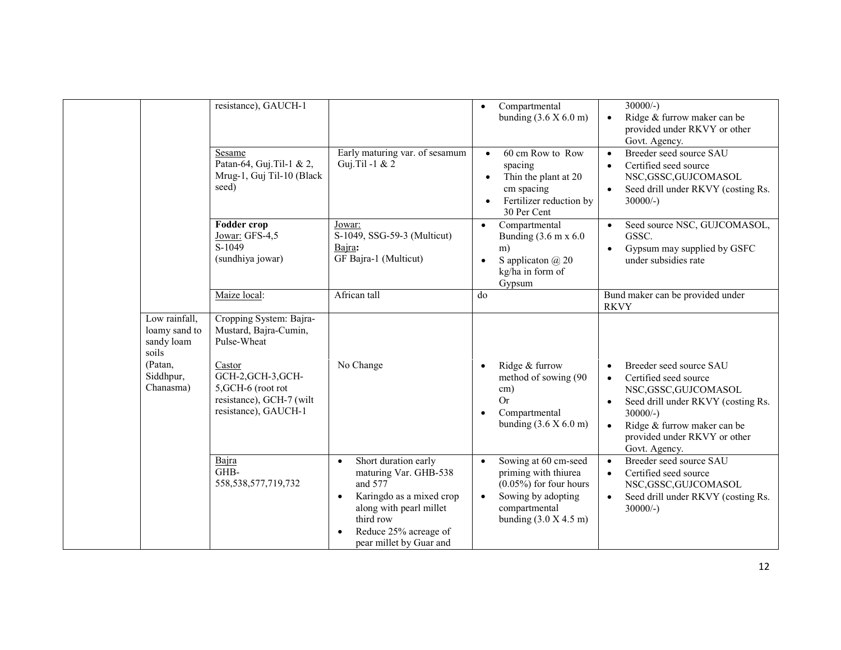|                                                                  | resistance), GAUCH-1                                                                         |                                                                                                                                                                                                            | Compartmental<br>$\bullet$<br>bunding $(3.6 X 6.0 m)$                                                                                                                 | $30000/-$ )<br>Ridge & furrow maker can be<br>$\bullet$<br>provided under RKVY or other<br>Govt. Agency.                                                                                                      |
|------------------------------------------------------------------|----------------------------------------------------------------------------------------------|------------------------------------------------------------------------------------------------------------------------------------------------------------------------------------------------------------|-----------------------------------------------------------------------------------------------------------------------------------------------------------------------|---------------------------------------------------------------------------------------------------------------------------------------------------------------------------------------------------------------|
|                                                                  | Sesame<br>Patan-64, Guj. Til-1 & 2,<br>Mrug-1, Guj Til-10 (Black<br>seed)                    | Early maturing var. of sesamum<br>Guj.Til -1 & 2                                                                                                                                                           | 60 cm Row to Row<br>$\bullet$<br>spacing<br>Thin the plant at 20<br>$\bullet$<br>cm spacing<br>Fertilizer reduction by<br>$\bullet$<br>30 Per Cent                    | Breeder seed source SAU<br>$\bullet$<br>Certified seed source<br>$\bullet$<br>NSC, GSSC, GUJCOMASOL<br>Seed drill under RKVY (costing Rs.<br>$\bullet$<br>$30000/-$ )                                         |
|                                                                  | Fodder crop<br>Jowar: GFS-4,5<br>S-1049<br>(sundhiya jowar)                                  | Jowar:<br>S-1049, SSG-59-3 (Multicut)<br>Bajra:<br>GF Bajra-1 (Multicut)                                                                                                                                   | Compartmental<br>$\bullet$<br>Bunding (3.6 m x 6.0)<br>m)<br>S applicaton @ 20<br>$\bullet$<br>kg/ha in form of<br>Gypsum                                             | Seed source NSC, GUJCOMASOL,<br>$\bullet$<br>GSSC.<br>Gypsum may supplied by GSFC<br>$\bullet$<br>under subsidies rate                                                                                        |
|                                                                  | Maize local:                                                                                 | African tall                                                                                                                                                                                               | do                                                                                                                                                                    | Bund maker can be provided under<br><b>RKVY</b>                                                                                                                                                               |
| Low rainfall,<br>loamy sand to<br>sandy loam<br>soils<br>(Patan, | Cropping System: Bajra-<br>Mustard, Bajra-Cumin,<br>Pulse-Wheat<br>Castor                    | No Change                                                                                                                                                                                                  | Ridge & furrow<br>$\bullet$                                                                                                                                           | Breeder seed source SAU<br>$\bullet$                                                                                                                                                                          |
| Siddhpur,<br>Chanasma)                                           | GCH-2, GCH-3, GCH-<br>5, GCH-6 (root rot<br>resistance), GCH-7 (wilt<br>resistance), GAUCH-1 |                                                                                                                                                                                                            | method of sowing (90<br>cm)<br><b>Or</b><br>Compartmental<br>bunding $(3.6 X 6.0 m)$                                                                                  | Certified seed source<br>$\bullet$<br>NSC, GSSC, GUJCOMASOL<br>Seed drill under RKVY (costing Rs.<br>$30000/-$ )<br>Ridge & furrow maker can be<br>$\bullet$<br>provided under RKVY or other<br>Govt. Agency. |
|                                                                  | Bajra<br>GHB-<br>558, 538, 577, 719, 732                                                     | Short duration early<br>$\bullet$<br>maturing Var. GHB-538<br>and 577<br>Karingdo as a mixed crop<br>$\bullet$<br>along with pearl millet<br>third row<br>Reduce 25% acreage of<br>pear millet by Guar and | Sowing at 60 cm-seed<br>$\bullet$<br>priming with thiurea<br>$(0.05\%)$ for four hours<br>Sowing by adopting<br>$\bullet$<br>compartmental<br>bunding $(3.0 X 4.5 m)$ | Breeder seed source SAU<br>$\bullet$<br>Certified seed source<br>$\bullet$<br>NSC, GSSC, GUJCOMASOL<br>Seed drill under RKVY (costing Rs.<br>$\bullet$<br>$30000/-$ )                                         |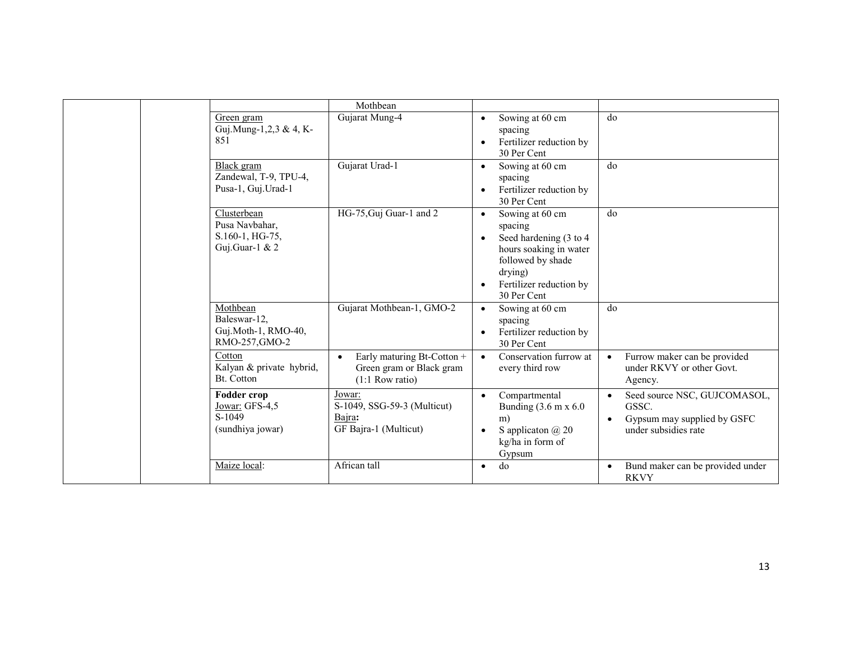|  |                                                                    | Mothbean                                                                                 |                                                                                                                                                                        |                                                                                                           |
|--|--------------------------------------------------------------------|------------------------------------------------------------------------------------------|------------------------------------------------------------------------------------------------------------------------------------------------------------------------|-----------------------------------------------------------------------------------------------------------|
|  | Green gram<br>Guj.Mung-1,2,3 & 4, K-<br>851                        | Gujarat Mung-4                                                                           | Sowing at 60 cm<br>spacing<br>Fertilizer reduction by<br>$\bullet$<br>30 Per Cent                                                                                      | do                                                                                                        |
|  | Black gram<br>Zandewal, T-9, TPU-4,<br>Pusa-1, Guj. Urad-1         | Gujarat Urad-1                                                                           | Sowing at 60 cm<br>$\bullet$<br>spacing<br>Fertilizer reduction by<br>$\bullet$<br>30 Per Cent                                                                         | do                                                                                                        |
|  | Clusterbean<br>Pusa Navbahar,<br>S.160-1, HG-75,<br>Guj.Guar-1 & 2 | HG-75, Guj Guar-1 and 2                                                                  | Sowing at 60 cm<br>$\bullet$<br>spacing<br>Seed hardening (3 to 4)<br>hours soaking in water<br>followed by shade<br>drying)<br>Fertilizer reduction by<br>30 Per Cent | do                                                                                                        |
|  | Mothbean<br>Baleswar-12,<br>Guj.Moth-1, RMO-40,<br>RMO-257, GMO-2  | Gujarat Mothbean-1, GMO-2                                                                | Sowing at 60 cm<br>$\bullet$<br>spacing<br>Fertilizer reduction by<br>$\bullet$<br>30 Per Cent                                                                         | do                                                                                                        |
|  | Cotton<br>Kalyan & private hybrid,<br>Bt. Cotton                   | Early maturing Bt-Cotton +<br>$\bullet$<br>Green gram or Black gram<br>$(1:1$ Row ratio) | Conservation furrow at<br>$\bullet$<br>every third row                                                                                                                 | Furrow maker can be provided<br>under RKVY or other Govt.<br>Agency.                                      |
|  | Fodder crop<br>Jowar: GFS-4,5<br>S-1049<br>(sundhiya jowar)        | Jowar:<br>S-1049, SSG-59-3 (Multicut)<br>Bajra:<br>GF Bajra-1 (Multicut)                 | Compartmental<br>$\bullet$<br>Bunding $(3.6 \text{ m x } 6.0$<br>m)<br>S application $\omega$ 20<br>$\bullet$<br>kg/ha in form of<br>Gypsum                            | Seed source NSC, GUJCOMASOL,<br>$\bullet$<br>GSSC.<br>Gypsum may supplied by GSFC<br>under subsidies rate |
|  | Maize local:                                                       | African tall                                                                             | do<br>$\bullet$                                                                                                                                                        | Bund maker can be provided under<br><b>RKVY</b>                                                           |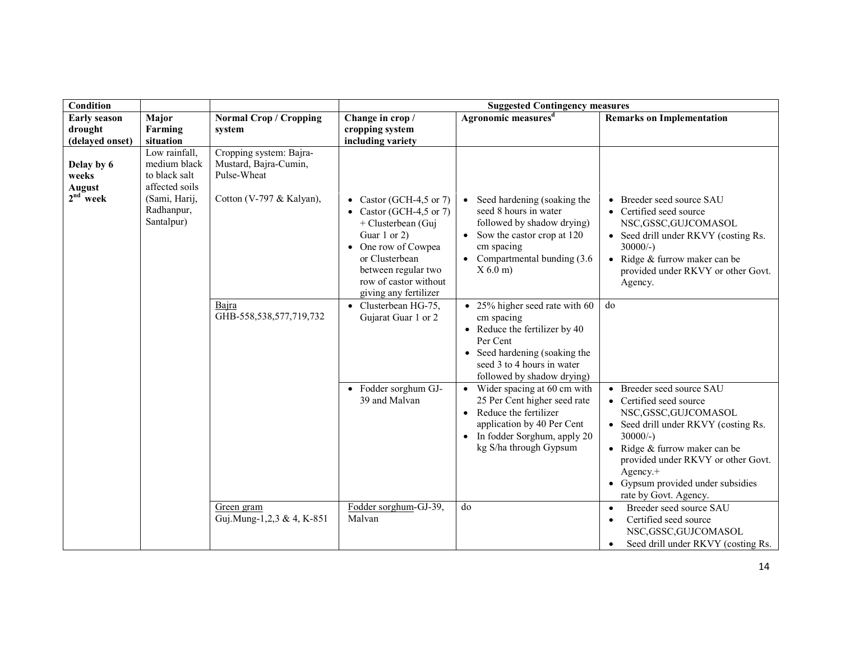| <b>Condition</b>                                   |                                                                                                               |                                                                                             | <b>Suggested Contingency measures</b>                                                                                                                                                                      |                                                                                                                                                                                                  |                                                                                                                                                                                                                                                                                                           |
|----------------------------------------------------|---------------------------------------------------------------------------------------------------------------|---------------------------------------------------------------------------------------------|------------------------------------------------------------------------------------------------------------------------------------------------------------------------------------------------------------|--------------------------------------------------------------------------------------------------------------------------------------------------------------------------------------------------|-----------------------------------------------------------------------------------------------------------------------------------------------------------------------------------------------------------------------------------------------------------------------------------------------------------|
| <b>Early season</b><br>drought<br>(delayed onset)  | Major<br>Farming<br>situation                                                                                 | <b>Normal Crop / Cropping</b><br>system                                                     | Change in crop /<br>cropping system<br>including variety                                                                                                                                                   | Agronomic measures <sup>d</sup>                                                                                                                                                                  | <b>Remarks on Implementation</b>                                                                                                                                                                                                                                                                          |
| Delay by 6<br>weeks<br><b>August</b><br>$2nd$ week | Low rainfall,<br>medium black<br>to black salt<br>affected soils<br>(Sami, Harij,<br>Radhanpur,<br>Santalpur) | Cropping system: Bajra-<br>Mustard, Bajra-Cumin,<br>Pulse-Wheat<br>Cotton (V-797 & Kalyan), | • Castor (GCH-4,5 or 7)<br>• Castor (GCH-4,5 or 7)<br>+ Clusterbean (Guj<br>Guar 1 or 2)<br>• One row of Cowpea<br>or Clusterbean<br>between regular two<br>row of castor without<br>giving any fertilizer | • Seed hardening (soaking the<br>seed 8 hours in water<br>followed by shadow drying)<br>• Sow the castor crop at 120<br>cm spacing<br>• Compartmental bunding $(3.6)$<br>$X$ 6.0 m)              | Breeder seed source SAU<br>$\bullet$<br>• Certified seed source<br>NSC, GSSC, GUJCOMASOL<br>Seed drill under RKVY (costing Rs.<br>$30000/-$ )<br>• Ridge $&$ furrow maker can be<br>provided under RKVY or other Govt.<br>Agency.                                                                         |
|                                                    |                                                                                                               | Bajra<br>GHB-558,538,577,719,732                                                            | $\bullet$ Clusterbean HG-75,<br>Gujarat Guar 1 or 2                                                                                                                                                        | $\bullet$ 25% higher seed rate with 60<br>cm spacing<br>• Reduce the fertilizer by $40$<br>Per Cent<br>• Seed hardening (soaking the<br>seed 3 to 4 hours in water<br>followed by shadow drying) | do                                                                                                                                                                                                                                                                                                        |
|                                                    |                                                                                                               |                                                                                             | • Fodder sorghum GJ-<br>39 and Malvan                                                                                                                                                                      | • Wider spacing at 60 cm with<br>25 Per Cent higher seed rate<br>• Reduce the fertilizer<br>application by 40 Per Cent<br>• In fodder Sorghum, apply 20<br>kg S/ha through Gypsum                | Breeder seed source SAU<br>$\bullet$<br>• Certified seed source<br>NSC, GSSC, GUJCOMASOL<br>• Seed drill under RKVY (costing Rs.<br>$30000/-$ )<br>Ridge & furrow maker can be<br>provided under RKVY or other Govt.<br>Agency.+<br>Gypsum provided under subsidies<br>$\bullet$<br>rate by Govt. Agency. |
|                                                    |                                                                                                               | Green gram<br>Guj.Mung-1,2,3 & 4, K-851                                                     | Fodder sorghum-GJ-39,<br>Malvan                                                                                                                                                                            | do                                                                                                                                                                                               | Breeder seed source SAU<br>$\bullet$<br>Certified seed source<br>$\bullet$<br>NSC, GSSC, GUJCOMASOL<br>Seed drill under RKVY (costing Rs.<br>$\bullet$                                                                                                                                                    |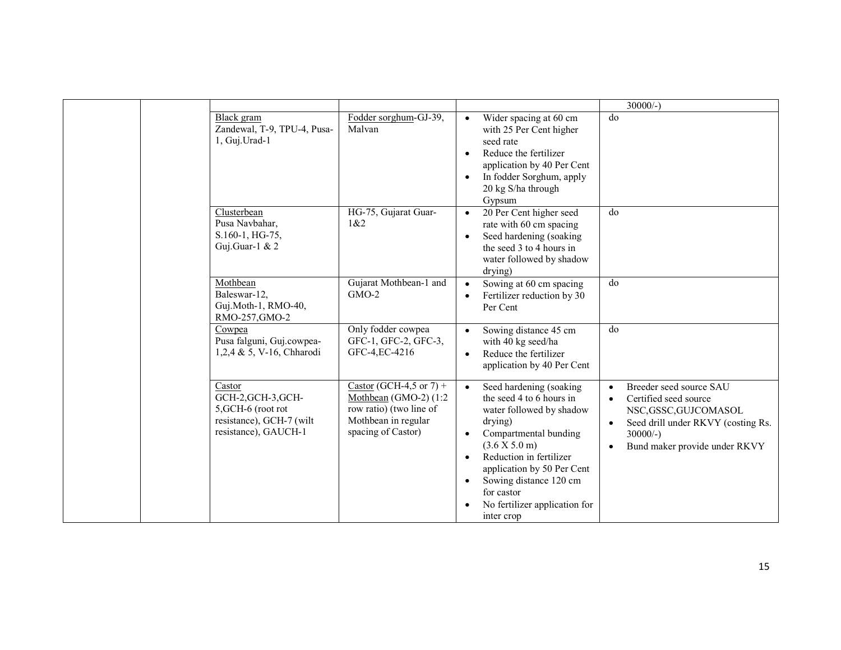|                                                                                                        |                                                                                                                                |                                                                                                                                                                                                                                                                                                                                          | $30000/-$                                                                                                                                                                                              |
|--------------------------------------------------------------------------------------------------------|--------------------------------------------------------------------------------------------------------------------------------|------------------------------------------------------------------------------------------------------------------------------------------------------------------------------------------------------------------------------------------------------------------------------------------------------------------------------------------|--------------------------------------------------------------------------------------------------------------------------------------------------------------------------------------------------------|
| Black gram<br>Zandewal, T-9, TPU-4, Pusa-<br>1, Guj.Urad-1                                             | Fodder sorghum-GJ-39,<br>Malvan                                                                                                | Wider spacing at 60 cm<br>$\bullet$<br>with 25 Per Cent higher<br>seed rate<br>Reduce the fertilizer<br>$\bullet$<br>application by 40 Per Cent<br>In fodder Sorghum, apply<br>$\bullet$<br>20 kg S/ha through<br>Gypsum                                                                                                                 | $\overline{d}$                                                                                                                                                                                         |
| Clusterbean<br>Pusa Navbahar,<br>S.160-1, HG-75,<br>Guj.Guar-1 & 2                                     | HG-75, Gujarat Guar-<br>1&82                                                                                                   | 20 Per Cent higher seed<br>$\bullet$<br>rate with 60 cm spacing<br>Seed hardening (soaking<br>$\bullet$<br>the seed 3 to 4 hours in<br>water followed by shadow<br>drying)                                                                                                                                                               | do                                                                                                                                                                                                     |
| Mothbean<br>Baleswar-12,<br>Guj.Moth-1, RMO-40,<br>RMO-257, GMO-2                                      | Gujarat Mothbean-1 and<br>$GMO-2$                                                                                              | Sowing at 60 cm spacing<br>$\bullet$<br>Fertilizer reduction by 30<br>Per Cent                                                                                                                                                                                                                                                           | do                                                                                                                                                                                                     |
| Cowpea<br>Pusa falguni, Guj.cowpea-<br>1,2,4 & 5, V-16, Chharodi                                       | Only fodder cowpea<br>GFC-1, GFC-2, GFC-3,<br>GFC-4, EC-4216                                                                   | Sowing distance 45 cm<br>with 40 kg seed/ha<br>Reduce the fertilizer<br>$\bullet$<br>application by 40 Per Cent                                                                                                                                                                                                                          | do                                                                                                                                                                                                     |
| Castor<br>GCH-2, GCH-3, GCH-<br>5, GCH-6 (root rot<br>resistance), GCH-7 (wilt<br>resistance), GAUCH-1 | Castor (GCH-4,5 or $7$ ) +<br>Mothbean (GMO-2) $(1:2)$<br>row ratio) (two line of<br>Mothbean in regular<br>spacing of Castor) | Seed hardening (soaking<br>$\bullet$<br>the seed 4 to 6 hours in<br>water followed by shadow<br>drying)<br>Compartmental bunding<br>$\bullet$<br>(3.6 X 5.0 m)<br>Reduction in fertilizer<br>$\bullet$<br>application by 50 Per Cent<br>Sowing distance 120 cm<br>$\bullet$<br>for castor<br>No fertilizer application for<br>inter crop | Breeder seed source SAU<br>Certified seed source<br>$\bullet$<br>NSC, GSSC, GUJCOMASOL<br>Seed drill under RKVY (costing Rs.<br>$\bullet$<br>$30000/-$ )<br>Bund maker provide under RKVY<br>$\bullet$ |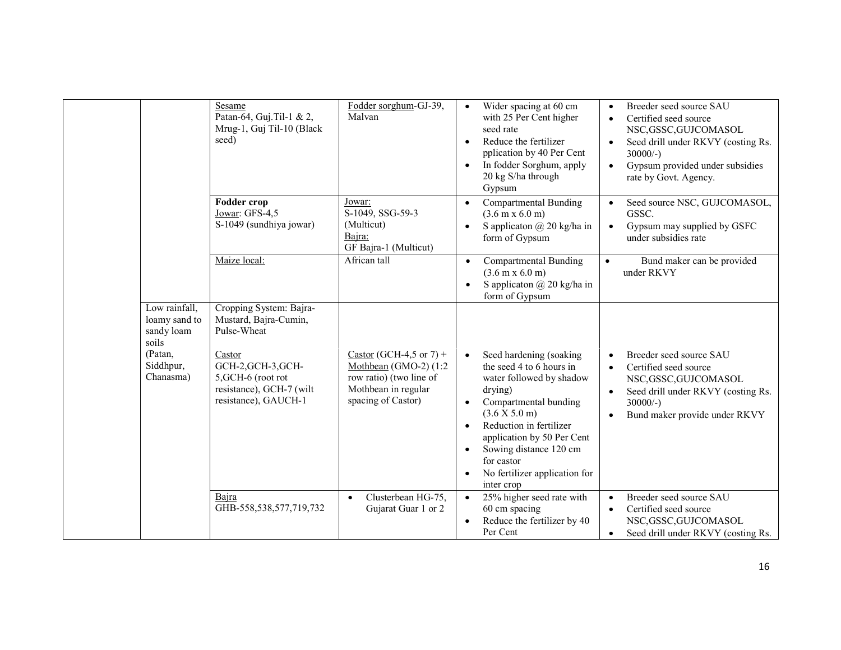|                                                                                            | Sesame<br>Patan-64, Guj. Til-1 & 2,<br>Mrug-1, Guj Til-10 (Black<br>seed)                                                                                                 | Fodder sorghum-GJ-39,<br>Malvan                                                                                          | Wider spacing at 60 cm<br>$\bullet$<br>with 25 Per Cent higher<br>seed rate<br>Reduce the fertilizer<br>$\bullet$<br>pplication by 40 Per Cent<br>In fodder Sorghum, apply<br>$\bullet$<br>20 kg S/ha through<br>Gypsum                                                                                                                               | Breeder seed source SAU<br>$\bullet$<br>Certified seed source<br>$\bullet$<br>NSC, GSSC, GUJCOMASOL<br>Seed drill under RKVY (costing Rs.<br>$30000/-$ )<br>Gypsum provided under subsidies<br>$\bullet$<br>rate by Govt. Agency. |
|--------------------------------------------------------------------------------------------|---------------------------------------------------------------------------------------------------------------------------------------------------------------------------|--------------------------------------------------------------------------------------------------------------------------|-------------------------------------------------------------------------------------------------------------------------------------------------------------------------------------------------------------------------------------------------------------------------------------------------------------------------------------------------------|-----------------------------------------------------------------------------------------------------------------------------------------------------------------------------------------------------------------------------------|
|                                                                                            | Fodder crop<br>Jowar: GFS-4,5<br>S-1049 (sundhiya jowar)                                                                                                                  | Jowar:<br>S-1049, SSG-59-3<br>(Multicut)<br>Bajra:<br>GF Bajra-1 (Multicut)                                              | Compartmental Bunding<br>$\bullet$<br>$(3.6 \text{ m} \times 6.0 \text{ m})$<br>S applicaton $\omega$ 20 kg/ha in<br>$\bullet$<br>form of Gypsum                                                                                                                                                                                                      | Seed source NSC, GUJCOMASOL,<br>GSSC.<br>Gypsum may supplied by GSFC<br>$\bullet$<br>under subsidies rate                                                                                                                         |
|                                                                                            | Maize local:                                                                                                                                                              | African tall                                                                                                             | <b>Compartmental Bunding</b><br>$\bullet$<br>$(3.6 \text{ m} \times 6.0 \text{ m})$<br>S applicaton @ 20 kg/ha in<br>$\bullet$<br>form of Gypsum                                                                                                                                                                                                      | Bund maker can be provided<br>$\bullet$<br>under RKVY                                                                                                                                                                             |
| Low rainfall,<br>loamy sand to<br>sandy loam<br>soils<br>(Patan,<br>Siddhpur,<br>Chanasma) | Cropping System: Bajra-<br>Mustard, Bajra-Cumin,<br>Pulse-Wheat<br>Castor<br>GCH-2, GCH-3, GCH-<br>5, GCH-6 (root rot<br>resistance), GCH-7 (wilt<br>resistance), GAUCH-1 | Castor (GCH-4,5 or 7) +<br>Mothbean (GMO-2) (1:2<br>row ratio) (two line of<br>Mothbean in regular<br>spacing of Castor) | Seed hardening (soaking<br>$\bullet$<br>the seed 4 to 6 hours in<br>water followed by shadow<br>drying)<br>Compartmental bunding<br>$\bullet$<br>(3.6 X 5.0 m)<br>Reduction in fertilizer<br>$\bullet$<br>application by 50 Per Cent<br>Sowing distance 120 cm<br>$\bullet$<br>for castor<br>No fertilizer application for<br>$\bullet$<br>inter crop | Breeder seed source SAU<br>Certified seed source<br>$\bullet$<br>NSC, GSSC, GUJCOMASOL<br>Seed drill under RKVY (costing Rs.<br>$\bullet$<br>$30000/-$ )<br>Bund maker provide under RKVY                                         |
|                                                                                            | Baira<br>GHB-558,538,577,719,732                                                                                                                                          | Clusterbean HG-75,<br>$\bullet$<br>Gujarat Guar 1 or 2                                                                   | 25% higher seed rate with<br>$\bullet$<br>60 cm spacing<br>Reduce the fertilizer by 40<br>$\bullet$<br>Per Cent                                                                                                                                                                                                                                       | Breeder seed source SAU<br>$\bullet$<br>Certified seed source<br>$\bullet$<br>NSC, GSSC, GUJCOMASOL<br>Seed drill under RKVY (costing Rs.<br>$\bullet$                                                                            |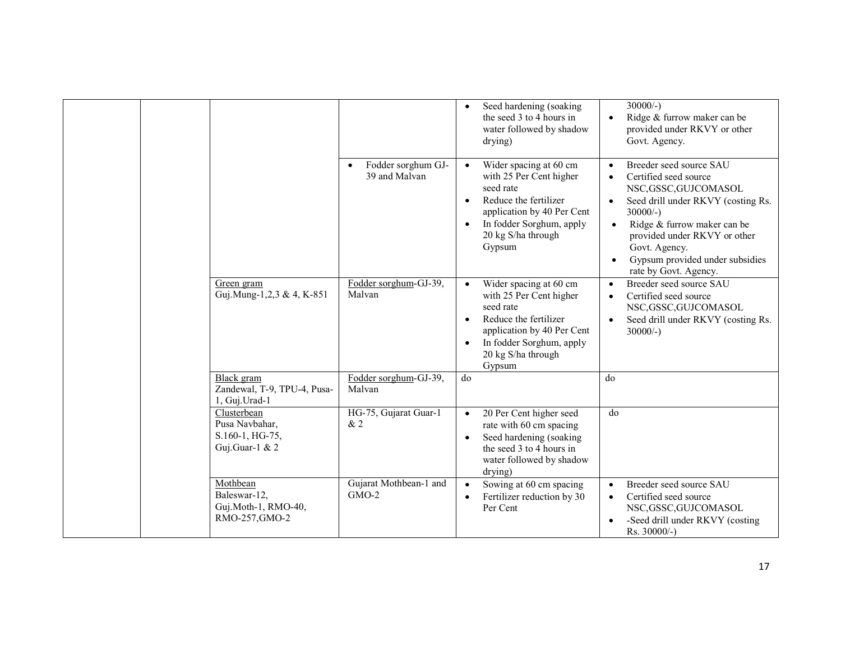|  |                                                                    |                                                  | Seed hardening (soaking<br>$\bullet$<br>the seed 3 to 4 hours in<br>water followed by shadow<br>drying)                                                                                                                  | $30000/-$ )<br>Ridge & furrow maker can be<br>$\bullet$<br>provided under RKVY or other<br>Govt. Agency.                                                                                                                                                                 |
|--|--------------------------------------------------------------------|--------------------------------------------------|--------------------------------------------------------------------------------------------------------------------------------------------------------------------------------------------------------------------------|--------------------------------------------------------------------------------------------------------------------------------------------------------------------------------------------------------------------------------------------------------------------------|
|  |                                                                    | Fodder sorghum GJ-<br>$\bullet$<br>39 and Malvan | Wider spacing at 60 cm<br>$\bullet$<br>with 25 Per Cent higher<br>seed rate<br>Reduce the fertilizer<br>$\bullet$<br>application by 40 Per Cent<br>In fodder Sorghum, apply<br>$\bullet$<br>20 kg S/ha through<br>Gypsum | Breeder seed source SAU<br>Certified seed source<br>NSC,GSSC,GUJCOMASOL<br>Seed drill under RKVY (costing Rs.<br>$30000/-$ )<br>Ridge & furrow maker can be<br>provided under RKVY or other<br>Govt. Agency.<br>Gypsum provided under subsidies<br>rate by Govt. Agency. |
|  | Green gram<br>Guj.Mung-1,2,3 & 4, K-851                            | Fodder sorghum-GJ-39,<br>Malvan                  | Wider spacing at 60 cm<br>$\bullet$<br>with 25 Per Cent higher<br>seed rate<br>Reduce the fertilizer<br>$\bullet$<br>application by 40 Per Cent<br>In fodder Sorghum, apply<br>$\bullet$<br>20 kg S/ha through<br>Gypsum | Breeder seed source SAU<br>$\bullet$<br>Certified seed source<br>$\bullet$<br>NSC, GSSC, GUJCOMASOL<br>Seed drill under RKVY (costing Rs.<br>$30000/-$ )                                                                                                                 |
|  | Black gram<br>Zandewal, T-9, TPU-4, Pusa-<br>1, Guj.Urad-1         | Fodder sorghum-GJ-39,<br>Malvan                  | do                                                                                                                                                                                                                       | do                                                                                                                                                                                                                                                                       |
|  | Clusterbean<br>Pusa Navbahar,<br>S.160-1, HG-75,<br>Guj.Guar-1 & 2 | HG-75, Gujarat Guar-1<br>& 2                     | 20 Per Cent higher seed<br>$\bullet$<br>rate with 60 cm spacing<br>Seed hardening (soaking<br>$\bullet$<br>the seed 3 to 4 hours in<br>water followed by shadow<br>drying)                                               | do                                                                                                                                                                                                                                                                       |
|  | Mothbean<br>Baleswar-12,<br>Guj.Moth-1, RMO-40,<br>RMO-257, GMO-2  | Gujarat Mothbean-1 and<br>$GMO-2$                | Sowing at 60 cm spacing<br>$\bullet$<br>Fertilizer reduction by 30<br>$\bullet$<br>Per Cent                                                                                                                              | Breeder seed source SAU<br>$\bullet$<br>Certified seed source<br>$\bullet$<br>NSC, GSSC, GUJCOMASOL<br>-Seed drill under RKVY (costing<br>$Rs. 30000/-$ )                                                                                                                |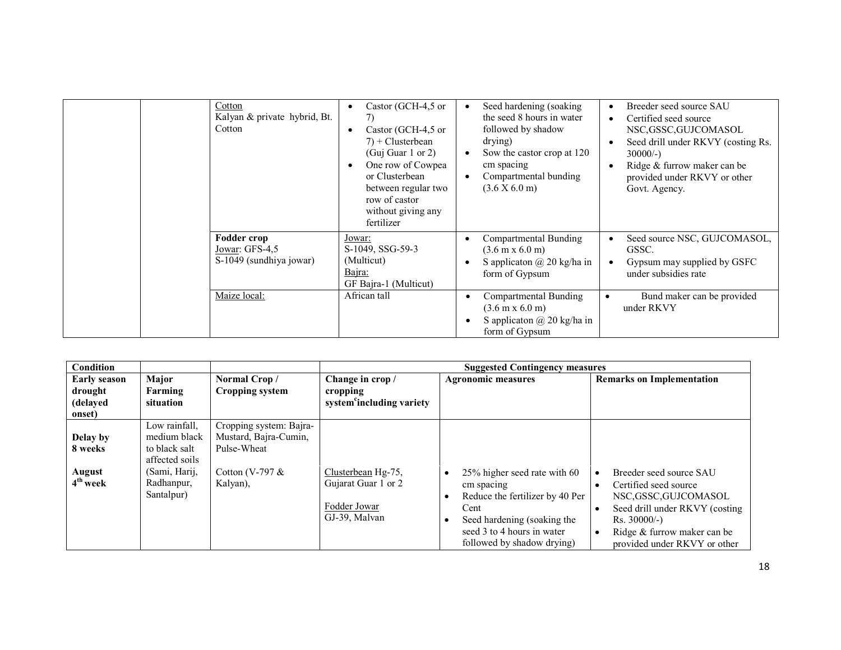| Cotton<br>Kalyan & private hybrid, Bt.<br>Cotton                | Castor (GCH-4,5 or<br>7)<br>Castor (GCH-4,5 or<br>$7$ + Clusterbean<br>(Guj Guar 1 or 2)<br>One row of Cowpea<br>or Clusterbean<br>between regular two<br>row of castor<br>without giving any<br>fertilizer | Seed hardening (soaking)<br>$\bullet$<br>the seed 8 hours in water<br>followed by shadow<br>drying)<br>Sow the castor crop at 120<br>$\bullet$<br>cm spacing<br>Compartmental bunding<br>٠<br>(3.6 X 6.0 m) | Breeder seed source SAU<br>Certified seed source<br>NSC,GSSC,GUJCOMASOL<br>Seed drill under RKVY (costing Rs.<br>$30000/-$ )<br>Ridge & furrow maker can be<br>provided under RKVY or other<br>Govt. Agency. |
|-----------------------------------------------------------------|-------------------------------------------------------------------------------------------------------------------------------------------------------------------------------------------------------------|-------------------------------------------------------------------------------------------------------------------------------------------------------------------------------------------------------------|--------------------------------------------------------------------------------------------------------------------------------------------------------------------------------------------------------------|
| <b>Fodder crop</b><br>Jowar: GFS-4,5<br>S-1049 (sundhiya jowar) | Jowar:<br>S-1049, SSG-59-3<br>(Multicut)<br>Bajra:<br>GF Bajra-1 (Multicut)                                                                                                                                 | <b>Compartmental Bunding</b><br>$(3.6 \text{ m} \times 6.0 \text{ m})$<br>S application $\omega$ 20 kg/ha in<br>form of Gypsum                                                                              | Seed source NSC, GUJCOMASOL,<br>GSSC.<br>Gypsum may supplied by GSFC<br>under subsidies rate                                                                                                                 |
| Maize local:                                                    | African tall                                                                                                                                                                                                | Compartmental Bunding<br>$\bullet$<br>$(3.6 \text{ m} \times 6.0 \text{ m})$<br>S applicaton $\omega$ 20 kg/ha in<br>$\bullet$<br>form of Gypsum                                                            | Bund maker can be provided<br>under RKVY                                                                                                                                                                     |

| Condition                      |                                                                  |                                                                 | <b>Suggested Contingency measures</b>                                      |                                                                                                                                                                                  |                                                                                                                                                                                           |  |  |  |
|--------------------------------|------------------------------------------------------------------|-----------------------------------------------------------------|----------------------------------------------------------------------------|----------------------------------------------------------------------------------------------------------------------------------------------------------------------------------|-------------------------------------------------------------------------------------------------------------------------------------------------------------------------------------------|--|--|--|
| <b>Early season</b><br>drought | Major<br>Farming                                                 | Normal Crop/<br><b>Cropping system</b>                          | Change in crop /<br>cropping                                               | <b>Agronomic measures</b>                                                                                                                                                        | <b>Remarks on Implementation</b>                                                                                                                                                          |  |  |  |
| (delayed<br>onset)             | situation                                                        |                                                                 | system <sup>c</sup> including variety                                      |                                                                                                                                                                                  |                                                                                                                                                                                           |  |  |  |
| Delay by<br>8 weeks            | Low rainfall,<br>medium black<br>to black salt<br>affected soils | Cropping system: Bajra-<br>Mustard, Bajra-Cumin,<br>Pulse-Wheat |                                                                            |                                                                                                                                                                                  |                                                                                                                                                                                           |  |  |  |
| August<br>4 <sup>th</sup> week | (Sami, Harij,<br>Radhanpur,<br>Santalpur)                        | Cotton (V-797 $&$<br>Kalyan),                                   | Clusterbean Hg-75,<br>Gujarat Guar 1 or 2<br>Fodder Jowar<br>GJ-39, Malvan | 25% higher seed rate with 60<br>cm spacing<br>Reduce the fertilizer by 40 Per<br>Cent<br>Seed hardening (soaking the<br>seed 3 to 4 hours in water<br>followed by shadow drying) | Breeder seed source SAU<br>Certified seed source<br>NSC,GSSC,GUJCOMASOL<br>Seed drill under RKVY (costing<br>$Rs. 30000/-$<br>Ridge & furrow maker can be<br>provided under RKVY or other |  |  |  |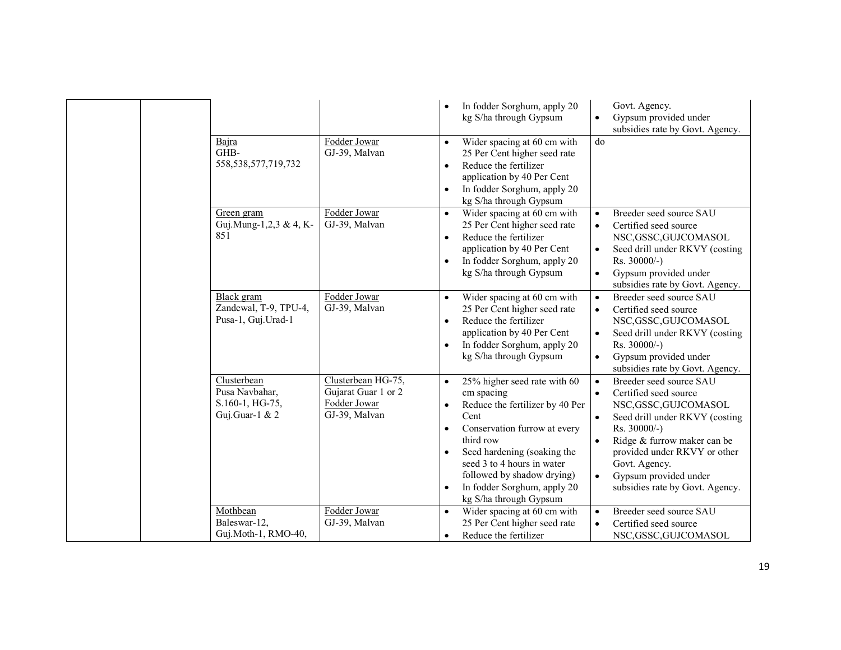|  |                                                                    |                                                                            |                                                               | In fodder Sorghum, apply 20<br>kg S/ha through Gypsum                                                                                                                                                                                                                                  | $\bullet$                                                     | Govt. Agency.<br>Gypsum provided under<br>subsidies rate by Govt. Agency.                                                                                                                                                                                               |
|--|--------------------------------------------------------------------|----------------------------------------------------------------------------|---------------------------------------------------------------|----------------------------------------------------------------------------------------------------------------------------------------------------------------------------------------------------------------------------------------------------------------------------------------|---------------------------------------------------------------|-------------------------------------------------------------------------------------------------------------------------------------------------------------------------------------------------------------------------------------------------------------------------|
|  | Bajra<br>GHB-<br>558, 538, 577, 719, 732                           | Fodder Jowar<br>GJ-39, Malvan                                              | $\bullet$<br>$\bullet$<br>$\bullet$                           | Wider spacing at 60 cm with<br>25 Per Cent higher seed rate<br>Reduce the fertilizer<br>application by 40 Per Cent<br>In fodder Sorghum, apply 20<br>kg S/ha through Gypsum                                                                                                            | do                                                            |                                                                                                                                                                                                                                                                         |
|  | Green gram<br>Guj.Mung-1,2,3 & 4, K-<br>851                        | Fodder Jowar<br>GJ-39, Malvan                                              | $\bullet$<br>$\bullet$<br>$\bullet$                           | Wider spacing at 60 cm with<br>25 Per Cent higher seed rate<br>Reduce the fertilizer<br>application by 40 Per Cent<br>In fodder Sorghum, apply 20<br>kg S/ha through Gypsum                                                                                                            | $\bullet$<br>$\bullet$<br>$\bullet$                           | Breeder seed source SAU<br>Certified seed source<br>NSC, GSSC, GUJCOMASOL<br>Seed drill under RKVY (costing<br>Rs. 30000/-)<br>Gypsum provided under<br>subsidies rate by Govt. Agency.                                                                                 |
|  | Black gram<br>Zandewal, T-9, TPU-4,<br>Pusa-1, Guj.Urad-1          | Fodder Jowar<br>GJ-39, Malvan                                              | $\bullet$<br>$\bullet$                                        | Wider spacing at 60 cm with<br>25 Per Cent higher seed rate<br>Reduce the fertilizer<br>application by 40 Per Cent<br>In fodder Sorghum, apply 20<br>kg S/ha through Gypsum                                                                                                            | $\bullet$<br>$\bullet$<br>$\bullet$<br>$\bullet$              | Breeder seed source SAU<br>Certified seed source<br>NSC, GSSC, GUJCOMASOL<br>Seed drill under RKVY (costing<br>Rs. 30000/-)<br>Gypsum provided under<br>subsidies rate by Govt. Agency.                                                                                 |
|  | Clusterbean<br>Pusa Navbahar,<br>S.160-1, HG-75,<br>Guj.Guar-1 & 2 | Clusterbean HG-75,<br>Gujarat Guar 1 or 2<br>Fodder Jowar<br>GJ-39, Malvan | $\bullet$<br>$\bullet$<br>$\bullet$<br>$\bullet$<br>$\bullet$ | 25% higher seed rate with 60<br>cm spacing<br>Reduce the fertilizer by 40 Per<br>Cent<br>Conservation furrow at every<br>third row<br>Seed hardening (soaking the<br>seed 3 to 4 hours in water<br>followed by shadow drying)<br>In fodder Sorghum, apply 20<br>kg S/ha through Gypsum | $\bullet$<br>$\bullet$<br>$\bullet$<br>$\bullet$<br>$\bullet$ | Breeder seed source SAU<br>Certified seed source<br>NSC, GSSC, GUJCOMASOL<br>Seed drill under RKVY (costing<br>Rs. 30000/-)<br>Ridge & furrow maker can be<br>provided under RKVY or other<br>Govt. Agency.<br>Gypsum provided under<br>subsidies rate by Govt. Agency. |
|  | Mothbean<br>Baleswar-12,<br>Guj.Moth-1, RMO-40,                    | Fodder Jowar<br>GJ-39, Malvan                                              | $\bullet$<br>$\bullet$                                        | Wider spacing at 60 cm with<br>25 Per Cent higher seed rate<br>Reduce the fertilizer                                                                                                                                                                                                   | $\bullet$<br>$\bullet$                                        | Breeder seed source SAU<br>Certified seed source<br>NSC,GSSC,GUJCOMASOL                                                                                                                                                                                                 |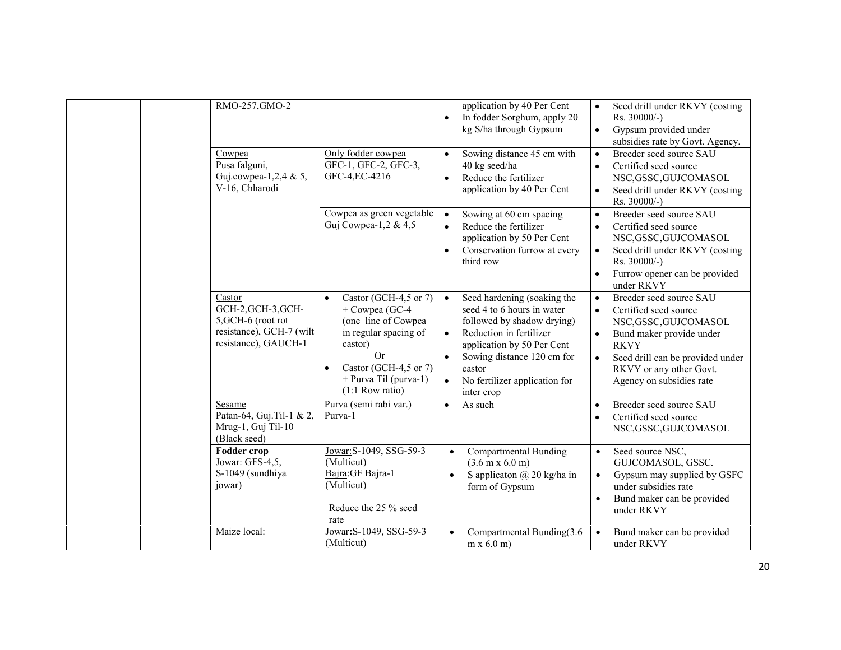| RMO-257, GMO-2                                                                                         |                                                                                                                                                                                              | $\bullet$                           | application by 40 Per Cent<br>In fodder Sorghum, apply 20<br>kg S/ha through Gypsum                                                                                                                                                     | $\bullet$                                        | Seed drill under RKVY (costing<br>$Rs. 30000/-$ )<br>Gypsum provided under<br>subsidies rate by Govt. Agency.                                                                                                   |
|--------------------------------------------------------------------------------------------------------|----------------------------------------------------------------------------------------------------------------------------------------------------------------------------------------------|-------------------------------------|-----------------------------------------------------------------------------------------------------------------------------------------------------------------------------------------------------------------------------------------|--------------------------------------------------|-----------------------------------------------------------------------------------------------------------------------------------------------------------------------------------------------------------------|
| Cowpea<br>Pusa falguni,<br>Guj.cowpea-1,2,4 & 5,<br>V-16, Chharodi                                     | Only fodder cowpea<br>GFC-1, GFC-2, GFC-3,<br>GFC-4, EC-4216                                                                                                                                 | $\bullet$<br>$\bullet$              | Sowing distance 45 cm with<br>40 kg seed/ha<br>Reduce the fertilizer<br>application by 40 Per Cent                                                                                                                                      | $\bullet$<br>$\bullet$<br>$\bullet$              | Breeder seed source SAU<br>Certified seed source<br>NSC, GSSC, GUJCOMASOL<br>Seed drill under RKVY (costing<br>$Rs. 30000/-$ )                                                                                  |
|                                                                                                        | Cowpea as green vegetable<br>Guj Cowpea-1,2 & 4,5                                                                                                                                            | $\bullet$<br>$\bullet$<br>$\bullet$ | Sowing at 60 cm spacing<br>Reduce the fertilizer<br>application by 50 Per Cent<br>Conservation furrow at every<br>third row                                                                                                             | $\bullet$<br>$\bullet$<br>$\bullet$<br>$\bullet$ | Breeder seed source SAU<br>Certified seed source<br>NSC, GSSC, GUJCOMASOL<br>Seed drill under RKVY (costing<br>Rs. 30000/-)<br>Furrow opener can be provided<br>under RKVY                                      |
| Castor<br>GCH-2, GCH-3, GCH-<br>5, GCH-6 (root rot<br>resistance), GCH-7 (wilt<br>resistance), GAUCH-1 | Castor (GCH-4,5 or 7)<br>$\bullet$<br>+ Cowpea (GC-4<br>(one line of Cowpea<br>in regular spacing of<br>castor)<br>Or<br>Castor (GCH-4,5 or 7)<br>+ Purva Til (purva-1)<br>$(1:1$ Row ratio) | $\bullet$<br>$\bullet$<br>$\bullet$ | Seed hardening (soaking the<br>seed 4 to 6 hours in water<br>followed by shadow drying)<br>Reduction in fertilizer<br>application by 50 Per Cent<br>Sowing distance 120 cm for<br>castor<br>No fertilizer application for<br>inter crop | $\bullet$<br>$\bullet$<br>$\bullet$              | Breeder seed source SAU<br>Certified seed source<br>NSC, GSSC, GUJCOMASOL<br>Bund maker provide under<br><b>RKVY</b><br>Seed drill can be provided under<br>RKVY or any other Govt.<br>Agency on subsidies rate |
| Sesame<br>Patan-64, Guj.Til-1 & 2,<br>Mrug-1, Guj Til-10<br>(Black seed)                               | Purva (semi rabi var.)<br>Purva-1                                                                                                                                                            | $\bullet$                           | As such                                                                                                                                                                                                                                 | $\bullet$<br>$\bullet$                           | Breeder seed source SAU<br>Certified seed source<br>NSC, GSSC, GUJCOMASOL                                                                                                                                       |
| <b>Fodder crop</b><br>Jowar: GFS-4,5,<br>S-1049 (sundhiya<br>jowar)                                    | Jowar: S-1049, SSG-59-3<br>(Multicut)<br>Bajra: GF Bajra-1<br>(Multicut)<br>Reduce the 25 % seed<br>rate                                                                                     | $\bullet$<br>$\bullet$              | <b>Compartmental Bunding</b><br>$(3.6 \text{ m} \times 6.0 \text{ m})$<br>S applicaton $\omega$ 20 kg/ha in<br>form of Gypsum                                                                                                           | $\bullet$<br>$\bullet$<br>$\bullet$              | Seed source NSC,<br>GUJCOMASOL, GSSC.<br>Gypsum may supplied by GSFC<br>under subsidies rate<br>Bund maker can be provided<br>under RKVY                                                                        |
| Maize local:                                                                                           | Jowar: S-1049, SSG-59-3<br>(Multicut)                                                                                                                                                        |                                     | Compartmental Bunding(3.6<br>$m \times 6.0$ m)                                                                                                                                                                                          |                                                  | Bund maker can be provided<br>under RKVY                                                                                                                                                                        |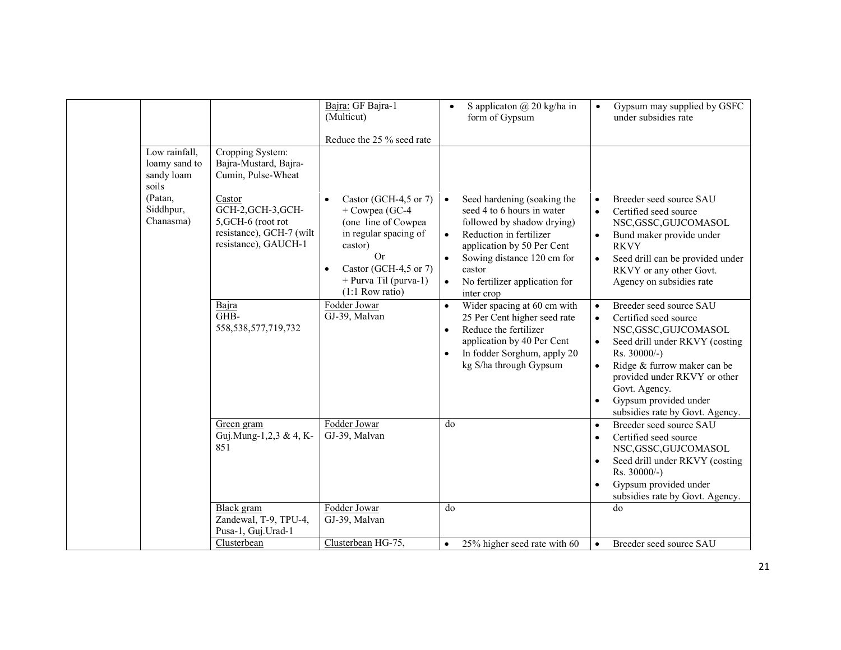|                                                                                            |                                                                                                                                                                           | Bajra: GF Bajra-1<br>(Multicut)<br>Reduce the 25 % seed rate                                                                                                                           |                                     | S applicaton $\omega$ 20 kg/ha in<br>form of Gypsum                                                                                                                                                                                     |                                                  | Gypsum may supplied by GSFC<br>under subsidies rate                                                                                                                                                                                                                     |
|--------------------------------------------------------------------------------------------|---------------------------------------------------------------------------------------------------------------------------------------------------------------------------|----------------------------------------------------------------------------------------------------------------------------------------------------------------------------------------|-------------------------------------|-----------------------------------------------------------------------------------------------------------------------------------------------------------------------------------------------------------------------------------------|--------------------------------------------------|-------------------------------------------------------------------------------------------------------------------------------------------------------------------------------------------------------------------------------------------------------------------------|
| Low rainfall,<br>loamy sand to<br>sandy loam<br>soils<br>(Patan,<br>Siddhpur,<br>Chanasma) | Cropping System:<br>Bajra-Mustard, Bajra-<br>Cumin, Pulse-Wheat<br>Castor<br>GCH-2, GCH-3, GCH-<br>5, GCH-6 (root rot<br>resistance), GCH-7 (wilt<br>resistance), GAUCH-1 | Castor (GCH-4,5 or 7)<br>+ Cowpea (GC-4<br>(one line of Cowpea<br>in regular spacing of<br>castor)<br><b>Or</b><br>Castor (GCH-4,5 or 7)<br>+ Purva Til (purva-1)<br>$(1:1$ Row ratio) | $\bullet$<br>$\bullet$<br>$\bullet$ | Seed hardening (soaking the<br>seed 4 to 6 hours in water<br>followed by shadow drying)<br>Reduction in fertilizer<br>application by 50 Per Cent<br>Sowing distance 120 cm for<br>castor<br>No fertilizer application for<br>inter crop | $\bullet$<br>$\bullet$<br>$\bullet$<br>$\bullet$ | Breeder seed source SAU<br>Certified seed source<br>NSC, GSSC, GUJCOMASOL<br>Bund maker provide under<br><b>RKVY</b><br>Seed drill can be provided under<br>RKVY or any other Govt.<br>Agency on subsidies rate                                                         |
|                                                                                            | Bajra<br>GH <sub>B</sub> -<br>558, 538, 577, 719, 732                                                                                                                     | Fodder Jowar<br>GJ-39, Malvan                                                                                                                                                          | $\bullet$<br>$\bullet$<br>$\bullet$ | Wider spacing at 60 cm with<br>25 Per Cent higher seed rate<br>Reduce the fertilizer<br>application by 40 Per Cent<br>In fodder Sorghum, apply 20<br>kg S/ha through Gypsum                                                             | $\bullet$<br>$\bullet$<br>$\bullet$<br>$\bullet$ | Breeder seed source SAU<br>Certified seed source<br>NSC, GSSC, GUJCOMASOL<br>Seed drill under RKVY (costing<br>Rs. 30000/-)<br>Ridge & furrow maker can be<br>provided under RKVY or other<br>Govt. Agency.<br>Gypsum provided under<br>subsidies rate by Govt. Agency. |
|                                                                                            | Green gram<br>Guj.Mung-1,2,3 & 4, K-<br>851                                                                                                                               | Fodder Jowar<br>GJ-39, Malvan                                                                                                                                                          | do                                  |                                                                                                                                                                                                                                         | $\bullet$<br>$\bullet$<br>$\bullet$<br>$\bullet$ | Breeder seed source SAU<br>Certified seed source<br>NSC, GSSC, GUJCOMASOL<br>Seed drill under RKVY (costing<br>Rs. 30000/-)<br>Gypsum provided under<br>subsidies rate by Govt. Agency.                                                                                 |
|                                                                                            | Black gram<br>Zandewal, T-9, TPU-4,<br>Pusa-1, Guj. Urad-1                                                                                                                | Fodder Jowar<br>GJ-39, Malvan                                                                                                                                                          | do                                  |                                                                                                                                                                                                                                         |                                                  | do                                                                                                                                                                                                                                                                      |
|                                                                                            | Clusterbean                                                                                                                                                               | Clusterbean HG-75,                                                                                                                                                                     | $\bullet$                           | 25% higher seed rate with 60                                                                                                                                                                                                            | $\bullet$                                        | Breeder seed source SAU                                                                                                                                                                                                                                                 |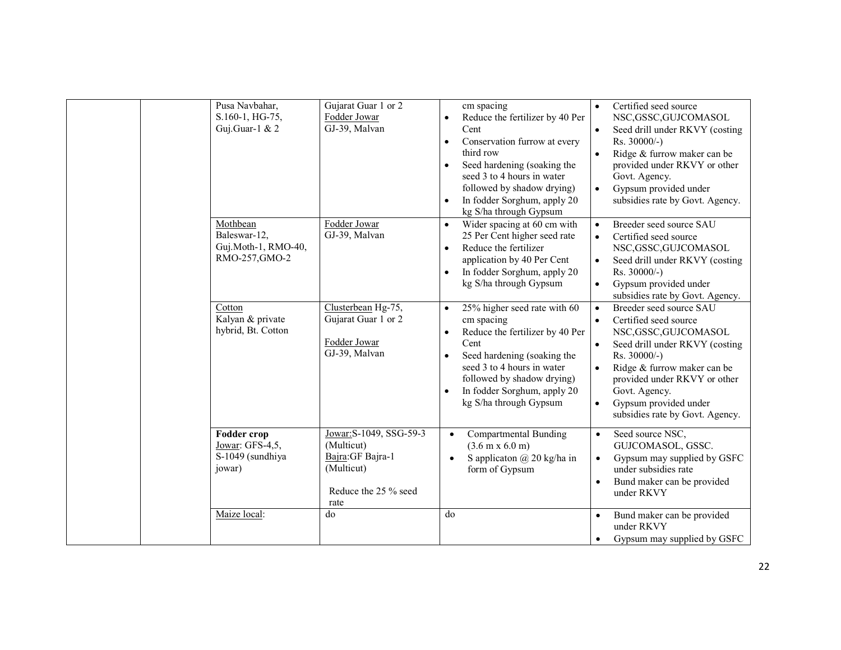| Pusa Navbahar,<br>S.160-1, HG-75,<br>Guj.Guar-1 & 2                 | Gujarat Guar 1 or 2<br>Fodder Jowar<br>GJ-39, Malvan                                                     | cm spacing<br>Reduce the fertilizer by 40 Per<br>$\bullet$<br>Cent<br>Conservation furrow at every<br>$\bullet$<br>third row<br>Seed hardening (soaking the<br>$\bullet$<br>seed 3 to 4 hours in water<br>followed by shadow drying)<br>In fodder Sorghum, apply 20<br>$\bullet$<br>kg S/ha through Gypsum | Certified seed source<br>$\bullet$<br>NSC, GSSC, GUJCOMASOL<br>Seed drill under RKVY (costing<br>$\bullet$<br>Rs. 30000/-)<br>Ridge & furrow maker can be<br>provided under RKVY or other<br>Govt. Agency.<br>Gypsum provided under<br>$\bullet$<br>subsidies rate by Govt. Agency.                            |
|---------------------------------------------------------------------|----------------------------------------------------------------------------------------------------------|------------------------------------------------------------------------------------------------------------------------------------------------------------------------------------------------------------------------------------------------------------------------------------------------------------|----------------------------------------------------------------------------------------------------------------------------------------------------------------------------------------------------------------------------------------------------------------------------------------------------------------|
| Mothbean<br>Baleswar-12,<br>Guj.Moth-1, RMO-40,<br>RMO-257, GMO-2   | Fodder Jowar<br>GJ-39, Malvan                                                                            | Wider spacing at 60 cm with<br>25 Per Cent higher seed rate<br>Reduce the fertilizer<br>$\bullet$<br>application by 40 Per Cent<br>In fodder Sorghum, apply 20<br>kg S/ha through Gypsum                                                                                                                   | Breeder seed source SAU<br>$\bullet$<br>Certified seed source<br>$\bullet$<br>NSC, GSSC, GUJCOMASOL<br>Seed drill under RKVY (costing<br>Rs. 30000/-)<br>Gypsum provided under<br>$\bullet$<br>subsidies rate by Govt. Agency.                                                                                 |
| Cotton<br>Kalyan & private<br>hybrid, Bt. Cotton                    | Clusterbean Hg-75,<br>Gujarat Guar 1 or 2<br>Fodder Jowar<br>GJ-39, Malvan                               | 25% higher seed rate with 60<br>$\bullet$<br>cm spacing<br>Reduce the fertilizer by 40 Per<br>$\bullet$<br>Cent<br>Seed hardening (soaking the<br>seed 3 to 4 hours in water<br>followed by shadow drying)<br>In fodder Sorghum, apply 20<br>kg S/ha through Gypsum                                        | Breeder seed source SAU<br>$\bullet$<br>Certified seed source<br>$\bullet$<br>NSC, GSSC, GUJCOMASOL<br>Seed drill under RKVY (costing<br>Rs. 30000/-)<br>Ridge & furrow maker can be<br>provided under RKVY or other<br>Govt. Agency.<br>Gypsum provided under<br>$\bullet$<br>subsidies rate by Govt. Agency. |
| <b>Fodder crop</b><br>Jowar: GFS-4,5,<br>S-1049 (sundhiya<br>jowar) | Jowar: S-1049, SSG-59-3<br>(Multicut)<br>Bajra: GF Bajra-1<br>(Multicut)<br>Reduce the 25 % seed<br>rate | Compartmental Bunding<br>$(3.6 \text{ m} \times 6.0 \text{ m})$<br>S applicaton $(a)$ 20 kg/ha in<br>form of Gypsum                                                                                                                                                                                        | Seed source NSC,<br>$\bullet$<br>GUJCOMASOL, GSSC.<br>Gypsum may supplied by GSFC<br>$\bullet$<br>under subsidies rate<br>Bund maker can be provided<br>under RKVY                                                                                                                                             |
| Maize local:                                                        | do                                                                                                       | do                                                                                                                                                                                                                                                                                                         | Bund maker can be provided<br>$\bullet$<br>under RKVY<br>Gypsum may supplied by GSFC                                                                                                                                                                                                                           |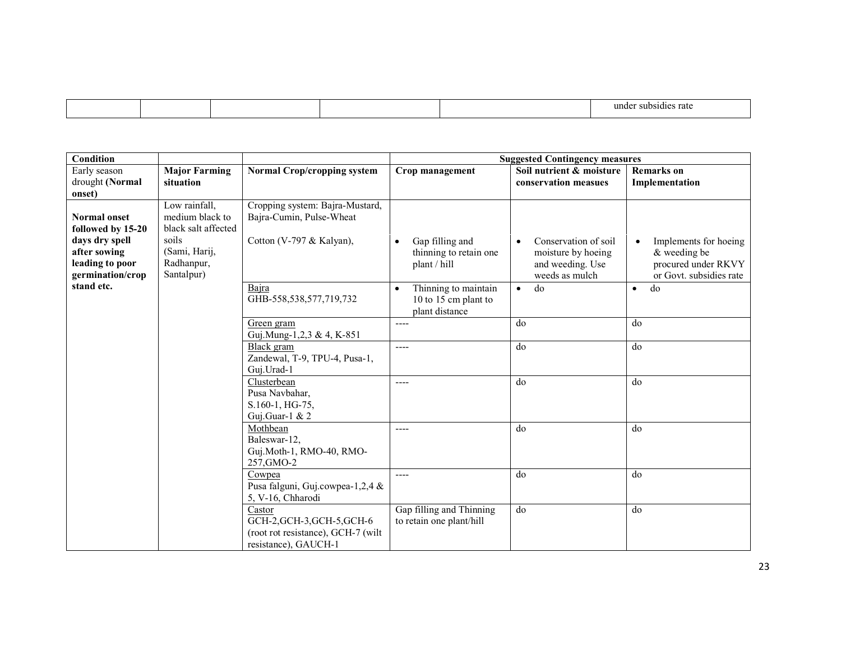| rate<br>ınde<br>SUL.<br>7510 D.C |  |  |  |
|----------------------------------|--|--|--|
|                                  |  |  |  |

| <b>Condition</b>                                                                                                  |                                                                                                               |                                                                                                    |                                                                             | <b>Suggested Contingency measures</b>                                                         |                                                                                                        |
|-------------------------------------------------------------------------------------------------------------------|---------------------------------------------------------------------------------------------------------------|----------------------------------------------------------------------------------------------------|-----------------------------------------------------------------------------|-----------------------------------------------------------------------------------------------|--------------------------------------------------------------------------------------------------------|
| Early season<br>drought (Normal<br>onset)                                                                         | <b>Major Farming</b><br>situation                                                                             | <b>Normal Crop/cropping system</b>                                                                 | Crop management                                                             | Soil nutrient & moisture<br>conservation measues                                              | <b>Remarks</b> on<br>Implementation                                                                    |
| <b>Normal onset</b><br>followed by 15-20<br>days dry spell<br>after sowing<br>leading to poor<br>germination/crop | Low rainfall,<br>medium black to<br>black salt affected<br>soils<br>(Sami, Harij,<br>Radhanpur,<br>Santalpur) | Cropping system: Bajra-Mustard,<br>Bajra-Cumin, Pulse-Wheat<br>Cotton (V-797 & Kalyan),            | Gap filling and<br>thinning to retain one<br>plant / hill                   | Conservation of soil<br>$\bullet$<br>moisture by hoeing<br>and weeding. Use<br>weeds as mulch | Implements for hoeing<br>$\bullet$<br>$&$ weeding be<br>procured under RKVY<br>or Govt. subsidies rate |
| stand etc.                                                                                                        |                                                                                                               | Baira<br>GHB-558,538,577,719,732                                                                   | Thinning to maintain<br>$\bullet$<br>10 to 15 cm plant to<br>plant distance | do<br>$\bullet$                                                                               | do<br>$\bullet$                                                                                        |
|                                                                                                                   |                                                                                                               | Green gram<br>Guj.Mung-1,2,3 & 4, K-851                                                            | ----                                                                        | do                                                                                            | do                                                                                                     |
|                                                                                                                   |                                                                                                               | Black gram<br>Zandewal, T-9, TPU-4, Pusa-1,<br>Guj.Urad-1                                          | ----                                                                        | do                                                                                            | do                                                                                                     |
|                                                                                                                   |                                                                                                               | Clusterbean<br>Pusa Navbahar,<br>S.160-1, HG-75,<br>Guj.Guar-1 & 2                                 | ----                                                                        | do                                                                                            | do                                                                                                     |
|                                                                                                                   |                                                                                                               | Mothbean<br>Baleswar-12,<br>Guj.Moth-1, RMO-40, RMO-<br>257, GMO-2                                 | ----                                                                        | do                                                                                            | do                                                                                                     |
|                                                                                                                   |                                                                                                               | Cowpea<br>Pusa falguni, Guj.cowpea-1,2,4 &<br>5, V-16, Chharodi                                    | $---$                                                                       | do                                                                                            | do                                                                                                     |
|                                                                                                                   |                                                                                                               | Castor<br>GCH-2, GCH-3, GCH-5, GCH-6<br>(root rot resistance), GCH-7 (wilt<br>resistance), GAUCH-1 | Gap filling and Thinning<br>to retain one plant/hill                        | do                                                                                            | do                                                                                                     |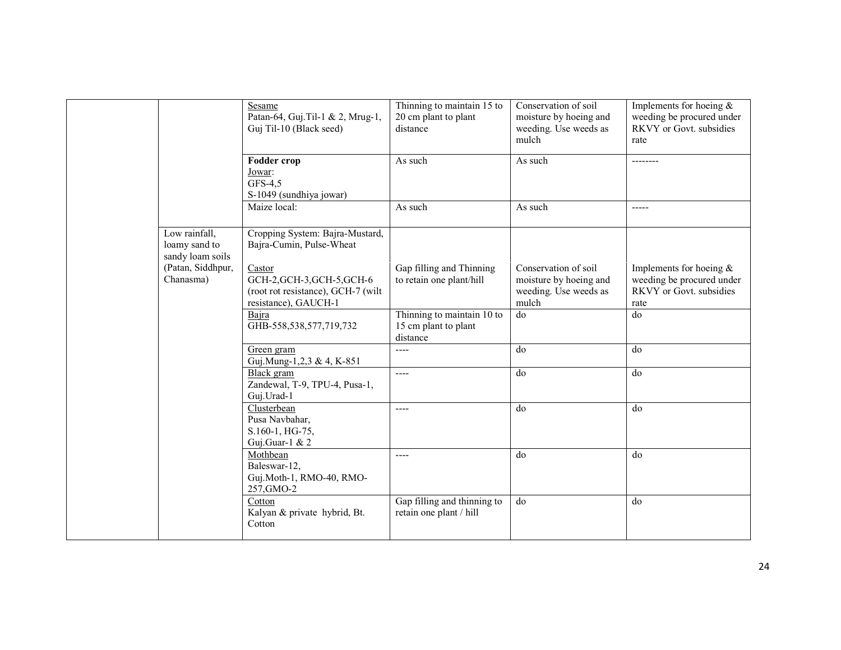|                                                    | Sesame<br>Patan-64, Guj. Til-1 & 2, Mrug-1,<br>Guj Til-10 (Black seed)                             | Thinning to maintain 15 to<br>20 cm plant to plant<br>distance | Conservation of soil<br>moisture by hoeing and<br>weeding. Use weeds as<br>mulch | Implements for hoeing $\&$<br>weeding be procured under<br>RKVY or Govt. subsidies<br>rate |
|----------------------------------------------------|----------------------------------------------------------------------------------------------------|----------------------------------------------------------------|----------------------------------------------------------------------------------|--------------------------------------------------------------------------------------------|
|                                                    | <b>Fodder crop</b><br>Jowar:<br>GFS-4,5<br>S-1049 (sundhiya jowar)                                 | As such                                                        | As such                                                                          | --------                                                                                   |
|                                                    | Maize local:                                                                                       | As such                                                        | As such                                                                          | $---$                                                                                      |
| Low rainfall,<br>loamy sand to<br>sandy loam soils | Cropping System: Bajra-Mustard,<br>Bajra-Cumin, Pulse-Wheat                                        |                                                                |                                                                                  |                                                                                            |
| (Patan, Siddhpur,<br>Chanasma)                     | Castor<br>GCH-2, GCH-3, GCH-5, GCH-6<br>(root rot resistance), GCH-7 (wilt<br>resistance), GAUCH-1 | Gap filling and Thinning<br>to retain one plant/hill           | Conservation of soil<br>moisture by hoeing and<br>weeding. Use weeds as<br>mulch | Implements for hoeing $\&$<br>weeding be procured under<br>RKVY or Govt. subsidies<br>rate |
|                                                    | Bajra<br>GHB-558,538,577,719,732                                                                   | Thinning to maintain 10 to<br>15 cm plant to plant<br>distance | do                                                                               | do                                                                                         |
|                                                    | Green gram<br>Guj.Mung-1,2,3 & 4, K-851                                                            | $---$                                                          | do                                                                               | do                                                                                         |
|                                                    | Black gram<br>Zandewal, T-9, TPU-4, Pusa-1,<br>Guj.Urad-1                                          | $---$                                                          | do                                                                               | do                                                                                         |
|                                                    | Clusterbean<br>Pusa Navbahar,<br>S.160-1, HG-75,<br>Guj.Guar-1 & $2$                               | $---$                                                          | do                                                                               | do                                                                                         |
|                                                    | Mothbean<br>Baleswar-12,<br>Guj.Moth-1, RMO-40, RMO-<br>257, GMO-2                                 | $---$                                                          | do                                                                               | do                                                                                         |
|                                                    | Cotton<br>Kalyan & private hybrid, Bt.<br>Cotton                                                   | Gap filling and thinning to<br>retain one plant / hill         | do                                                                               | do                                                                                         |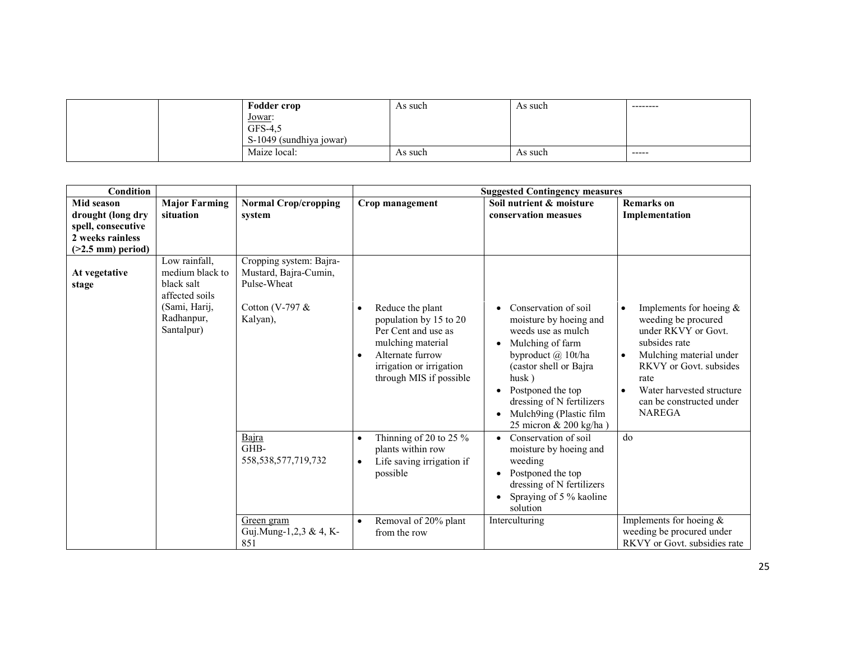| <b>Fodder crop</b>      | As such | As such | --------- |
|-------------------------|---------|---------|-----------|
| <u>Jowar:</u>           |         |         |           |
| GFS-4,5                 |         |         |           |
| S-1049 (sundhiya jowar) |         |         |           |
| Maize local:            | As such | As such | -----     |

| <b>Condition</b>       |                                                                                                               |                                                                                                   |                                                                                                                                                                     | <b>Suggested Contingency measures</b>                                                                                                                                                                                               |                                                                                                                                                                                                                                 |
|------------------------|---------------------------------------------------------------------------------------------------------------|---------------------------------------------------------------------------------------------------|---------------------------------------------------------------------------------------------------------------------------------------------------------------------|-------------------------------------------------------------------------------------------------------------------------------------------------------------------------------------------------------------------------------------|---------------------------------------------------------------------------------------------------------------------------------------------------------------------------------------------------------------------------------|
| <b>Mid season</b>      | <b>Major Farming</b>                                                                                          | <b>Normal Crop/cropping</b>                                                                       | Crop management                                                                                                                                                     | Soil nutrient & moisture                                                                                                                                                                                                            | <b>Remarks</b> on                                                                                                                                                                                                               |
| drought (long dry      | situation                                                                                                     | system                                                                                            |                                                                                                                                                                     | conservation measues                                                                                                                                                                                                                | Implementation                                                                                                                                                                                                                  |
| spell, consecutive     |                                                                                                               |                                                                                                   |                                                                                                                                                                     |                                                                                                                                                                                                                                     |                                                                                                                                                                                                                                 |
| 2 weeks rainless       |                                                                                                               |                                                                                                   |                                                                                                                                                                     |                                                                                                                                                                                                                                     |                                                                                                                                                                                                                                 |
| $(>2.5$ mm) period)    |                                                                                                               |                                                                                                   |                                                                                                                                                                     |                                                                                                                                                                                                                                     |                                                                                                                                                                                                                                 |
| At vegetative<br>stage | Low rainfall,<br>medium black to<br>black salt<br>affected soils<br>(Sami, Harij,<br>Radhanpur,<br>Santalpur) | Cropping system: Bajra-<br>Mustard, Bajra-Cumin,<br>Pulse-Wheat<br>Cotton (V-797 $\&$<br>Kalyan), | Reduce the plant<br>population by 15 to 20<br>Per Cent and use as<br>mulching material<br>Alternate furrow<br>irrigation or irrigation<br>through MIS if possible   | Conservation of soil<br>moisture by hoeing and<br>weeds use as mulch<br>Mulching of farm<br>byproduct @ 10t/ha<br>(castor shell or Bajra<br>husk)<br>Postponed the top<br>٠<br>dressing of N fertilizers<br>Mulch9ing (Plastic film | Implements for hoeing $&$<br>weeding be procured<br>under RKVY or Govt.<br>subsides rate<br>Mulching material under<br>RKVY or Govt. subsides<br>rate<br>Water harvested structure<br>can be constructed under<br><b>NAREGA</b> |
|                        |                                                                                                               | Bajra<br>GHB-<br>558, 538, 577, 719, 732<br>Green gram<br>Guj.Mung-1,2,3 & 4, K-<br>851           | Thinning of 20 to 25 %<br>$\bullet$<br>plants within row<br>Life saving irrigation if<br>$\bullet$<br>possible<br>Removal of 20% plant<br>$\bullet$<br>from the row | 25 micron & 200 kg/ha)<br>Conservation of soil<br>$\bullet$<br>moisture by hoeing and<br>weeding<br>Postponed the top<br>dressing of N fertilizers<br>Spraying of 5 % kaoline<br>solution<br>Interculturing                         | d <sub>0</sub><br>Implements for hoeing $\&$<br>weeding be procured under<br>RKVY or Govt. subsidies rate                                                                                                                       |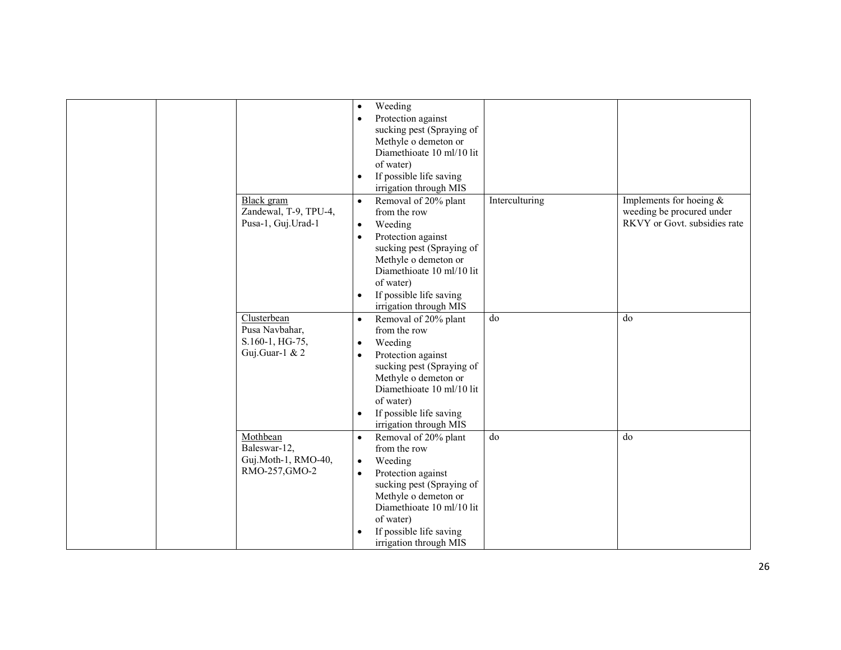|  |                       | $\bullet$ | Weeding                   |                |                              |
|--|-----------------------|-----------|---------------------------|----------------|------------------------------|
|  |                       | $\bullet$ | Protection against        |                |                              |
|  |                       |           | sucking pest (Spraying of |                |                              |
|  |                       |           | Methyle o demeton or      |                |                              |
|  |                       |           | Diamethioate 10 ml/10 lit |                |                              |
|  |                       |           | of water)                 |                |                              |
|  |                       | $\bullet$ | If possible life saving   |                |                              |
|  |                       |           | irrigation through MIS    |                |                              |
|  | Black gram            | $\bullet$ | Removal of 20% plant      | Interculturing | Implements for hoeing $\&$   |
|  | Zandewal, T-9, TPU-4, |           | from the row              |                | weeding be procured under    |
|  | Pusa-1, Guj.Urad-1    | $\bullet$ | Weeding                   |                | RKVY or Govt. subsidies rate |
|  |                       | $\bullet$ | Protection against        |                |                              |
|  |                       |           | sucking pest (Spraying of |                |                              |
|  |                       |           | Methyle o demeton or      |                |                              |
|  |                       |           | Diamethioate 10 ml/10 lit |                |                              |
|  |                       |           | of water)                 |                |                              |
|  |                       | $\bullet$ | If possible life saving   |                |                              |
|  |                       |           | irrigation through MIS    |                |                              |
|  | Clusterbean           | $\bullet$ | Removal of 20% plant      | do             | do                           |
|  | Pusa Navbahar,        |           | from the row              |                |                              |
|  | S.160-1, HG-75,       | $\bullet$ | Weeding                   |                |                              |
|  | Guj.Guar-1 & 2        | $\bullet$ | Protection against        |                |                              |
|  |                       |           | sucking pest (Spraying of |                |                              |
|  |                       |           | Methyle o demeton or      |                |                              |
|  |                       |           | Diamethioate 10 ml/10 lit |                |                              |
|  |                       |           | of water)                 |                |                              |
|  |                       | $\bullet$ | If possible life saving   |                |                              |
|  |                       |           | irrigation through MIS    |                |                              |
|  | Mothbean              | $\bullet$ | Removal of 20% plant      | do             | do                           |
|  | Baleswar-12,          |           | from the row              |                |                              |
|  | Guj.Moth-1, RMO-40,   | $\bullet$ | Weeding                   |                |                              |
|  | RMO-257, GMO-2        | $\bullet$ | Protection against        |                |                              |
|  |                       |           | sucking pest (Spraying of |                |                              |
|  |                       |           | Methyle o demeton or      |                |                              |
|  |                       |           | Diamethioate 10 ml/10 lit |                |                              |
|  |                       |           | of water)                 |                |                              |
|  |                       |           |                           |                |                              |
|  |                       |           | If possible life saving   |                |                              |
|  |                       |           | irrigation through MIS    |                |                              |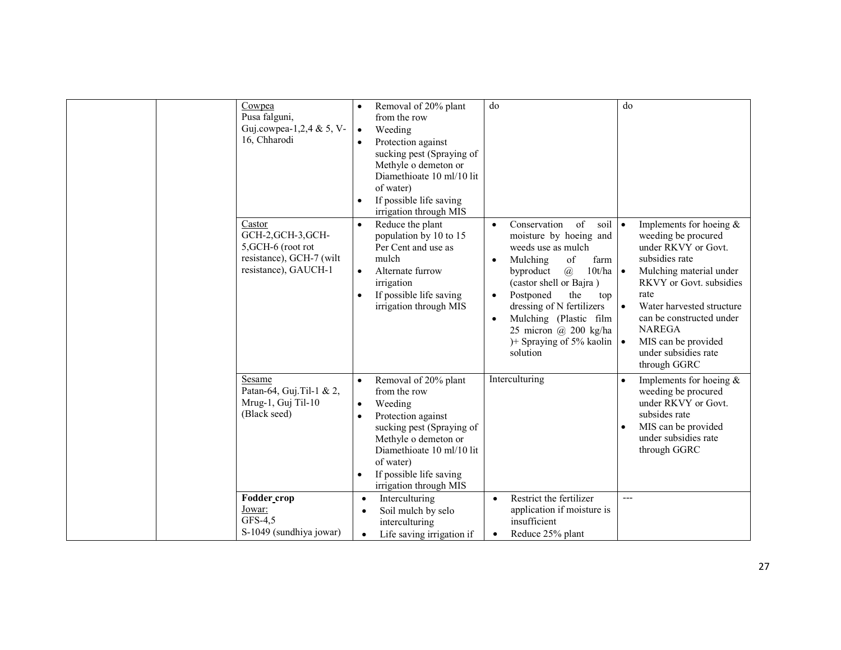| Cowpea<br>Pusa falguni,<br>Guj.cowpea-1,2,4 & 5, V-<br>16, Chharodi<br>Castor<br>GCH-2, GCH-3, GCH-<br>5, GCH-6 (root rot<br>resistance), GCH-7 (wilt<br>resistance), GAUCH-1 | Removal of 20% plant<br>from the row<br>$\bullet$<br>Weeding<br>Protection against<br>sucking pest (Spraying of<br>Methyle o demeton or<br>Diamethioate 10 ml/10 lit<br>of water)<br>If possible life saving<br>$\bullet$<br>irrigation through MIS<br>Reduce the plant<br>$\bullet$<br>population by 10 to 15<br>Per Cent and use as<br>mulch<br>Alternate furrow<br>$\bullet$<br>irrigation<br>If possible life saving<br>$\bullet$<br>irrigation through MIS | do<br>of<br>Conservation<br>soil $\bullet$<br>$\bullet$<br>moisture by hoeing and<br>weeds use as mulch<br>Mulching<br>of<br>farm<br>$\bullet$<br>byproduct<br>$\mathcal{a}$<br>$10t/ha$ $\bullet$<br>(castor shell or Bajra)<br>Postponed<br>the<br>$\bullet$<br>top<br>dressing of N fertilizers<br>Mulching (Plastic film<br>$\bullet$<br>25 micron $\omega$ 200 kg/ha<br>)+ Spraying of 5% kaolin $\bullet$<br>solution | do<br>Implements for hoeing $\&$<br>weeding be procured<br>under RKVY or Govt.<br>subsidies rate<br>Mulching material under<br>RKVY or Govt. subsidies<br>rate<br>Water harvested structure<br>$\bullet$<br>can be constructed under<br><b>NAREGA</b><br>MIS can be provided<br>under subsidies rate<br>through GGRC |
|-------------------------------------------------------------------------------------------------------------------------------------------------------------------------------|-----------------------------------------------------------------------------------------------------------------------------------------------------------------------------------------------------------------------------------------------------------------------------------------------------------------------------------------------------------------------------------------------------------------------------------------------------------------|-----------------------------------------------------------------------------------------------------------------------------------------------------------------------------------------------------------------------------------------------------------------------------------------------------------------------------------------------------------------------------------------------------------------------------|----------------------------------------------------------------------------------------------------------------------------------------------------------------------------------------------------------------------------------------------------------------------------------------------------------------------|
| Sesame<br>Patan-64, Guj. Til-1 & 2,<br>Mrug-1, Guj Til-10<br>(Black seed)                                                                                                     | Removal of 20% plant<br>$\bullet$<br>from the row<br>Weeding<br>$\bullet$<br>Protection against<br>$\bullet$<br>sucking pest (Spraying of<br>Methyle o demeton or<br>Diamethioate 10 ml/10 lit<br>of water)<br>If possible life saving<br>$\bullet$<br>irrigation through MIS                                                                                                                                                                                   | Interculturing                                                                                                                                                                                                                                                                                                                                                                                                              | Implements for hoeing $\&$<br>$\bullet$<br>weeding be procured<br>under RKVY or Govt.<br>subsides rate<br>MIS can be provided<br>$\bullet$<br>under subsidies rate<br>through GGRC                                                                                                                                   |
| Fodder_crop<br>Jowar:<br>GFS-4,5<br>S-1049 (sundhiya jowar)                                                                                                                   | Interculturing<br>$\bullet$<br>Soil mulch by selo<br>$\bullet$<br>interculturing<br>Life saving irrigation if<br>$\bullet$                                                                                                                                                                                                                                                                                                                                      | Restrict the fertilizer<br>$\bullet$<br>application if moisture is<br>insufficient<br>Reduce 25% plant<br>$\bullet$                                                                                                                                                                                                                                                                                                         | $---$                                                                                                                                                                                                                                                                                                                |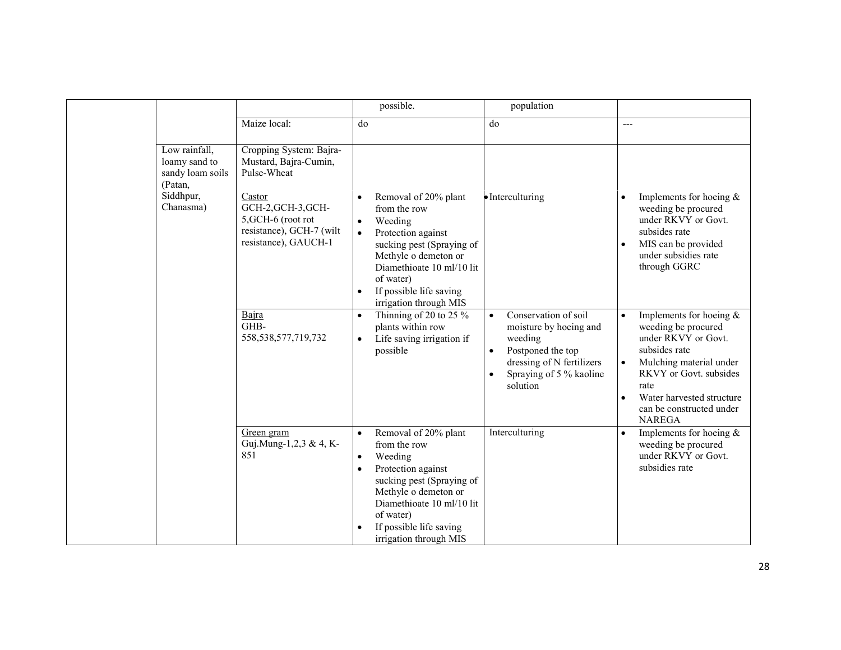|                                                                                         |                                                                                                                                                                           | possible.                                                                                                                                                                                                                                                                     | population                                                                                                                                                                   |                                                                                                                                                                                                                                                            |
|-----------------------------------------------------------------------------------------|---------------------------------------------------------------------------------------------------------------------------------------------------------------------------|-------------------------------------------------------------------------------------------------------------------------------------------------------------------------------------------------------------------------------------------------------------------------------|------------------------------------------------------------------------------------------------------------------------------------------------------------------------------|------------------------------------------------------------------------------------------------------------------------------------------------------------------------------------------------------------------------------------------------------------|
|                                                                                         | Maize local:                                                                                                                                                              | do                                                                                                                                                                                                                                                                            | do                                                                                                                                                                           | ---                                                                                                                                                                                                                                                        |
| Low rainfall,<br>loamy sand to<br>sandy loam soils<br>(Patan,<br>Siddhpur,<br>Chanasma) | Cropping System: Bajra-<br>Mustard, Bajra-Cumin,<br>Pulse-Wheat<br>Castor<br>GCH-2, GCH-3, GCH-<br>5, GCH-6 (root rot<br>resistance), GCH-7 (wilt<br>resistance), GAUCH-1 | Removal of 20% plant<br>$\bullet$<br>from the row<br>Weeding<br>$\bullet$<br>Protection against<br>$\bullet$<br>sucking pest (Spraying of<br>Methyle o demeton or<br>Diamethioate 10 ml/10 lit<br>of water)<br>If possible life saving<br>$\bullet$<br>irrigation through MIS | • Interculturing                                                                                                                                                             | Implements for hoeing $\&$<br>weeding be procured<br>under RKVY or Govt.<br>subsides rate<br>MIS can be provided<br>$\bullet$<br>under subsidies rate<br>through GGRC                                                                                      |
|                                                                                         | Bajra<br>GHB-<br>558, 538, 577, 719, 732                                                                                                                                  | Thinning of 20 to 25 $\%$<br>$\bullet$<br>plants within row<br>Life saving irrigation if<br>$\bullet$<br>possible                                                                                                                                                             | Conservation of soil<br>$\bullet$<br>moisture by hoeing and<br>weeding<br>Postponed the top<br>$\bullet$<br>dressing of N fertilizers<br>Spraying of 5 % kaoline<br>solution | Implements for hoeing $\&$<br>$\bullet$<br>weeding be procured<br>under RKVY or Govt.<br>subsides rate<br>Mulching material under<br>$\bullet$<br>RKVY or Govt. subsides<br>rate<br>Water harvested structure<br>can be constructed under<br><b>NAREGA</b> |
|                                                                                         | Green gram<br>Guj.Mung-1,2,3 & 4, K-<br>851                                                                                                                               | Removal of 20% plant<br>from the row<br>Weeding<br>$\bullet$<br>Protection against<br>sucking pest (Spraying of<br>Methyle o demeton or<br>Diamethioate 10 ml/10 lit<br>of water)<br>If possible life saving<br>irrigation through MIS                                        | Interculturing                                                                                                                                                               | Implements for hoeing $\&$<br>weeding be procured<br>under RKVY or Govt.<br>subsidies rate                                                                                                                                                                 |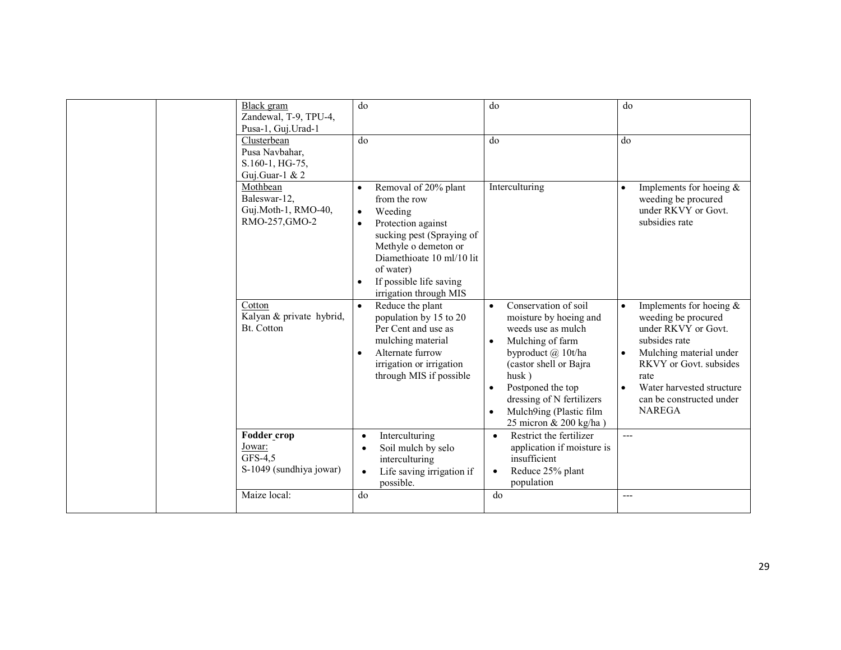| Black gram<br>Zandewal, T-9, TPU-4,<br>Pusa-1, Guj. Urad-1<br>Clusterbean<br>Pusa Navbahar,<br>S.160-1, HG-75,<br>Guj.Guar-1 & 2 | do<br>$\overline{d}$                                                                                                                                                                                                                                                          | do<br>do                                                                                                                                                                                                                                                                                                     | do<br>do                                                                                                                                                                                                                                                   |
|----------------------------------------------------------------------------------------------------------------------------------|-------------------------------------------------------------------------------------------------------------------------------------------------------------------------------------------------------------------------------------------------------------------------------|--------------------------------------------------------------------------------------------------------------------------------------------------------------------------------------------------------------------------------------------------------------------------------------------------------------|------------------------------------------------------------------------------------------------------------------------------------------------------------------------------------------------------------------------------------------------------------|
| Mothbean<br>Baleswar-12,<br>Guj.Moth-1, RMO-40,<br>RMO-257, GMO-2                                                                | Removal of 20% plant<br>$\bullet$<br>from the row<br>Weeding<br>$\bullet$<br>Protection against<br>$\bullet$<br>sucking pest (Spraying of<br>Methyle o demeton or<br>Diamethioate 10 ml/10 lit<br>of water)<br>If possible life saving<br>$\bullet$<br>irrigation through MIS | Interculturing                                                                                                                                                                                                                                                                                               | Implements for hoeing $&$<br>$\bullet$<br>weeding be procured<br>under RKVY or Govt.<br>subsidies rate                                                                                                                                                     |
| Cotton<br>Kalyan & private hybrid,<br>Bt. Cotton                                                                                 | Reduce the plant<br>$\bullet$<br>population by 15 to 20<br>Per Cent and use as<br>mulching material<br>Alternate furrow<br>$\bullet$<br>irrigation or irrigation<br>through MIS if possible                                                                                   | Conservation of soil<br>$\bullet$<br>moisture by hoeing and<br>weeds use as mulch<br>Mulching of farm<br>$\bullet$<br>byproduct @ 10t/ha<br>(castor shell or Bajra<br>husk)<br>Postponed the top<br>$\bullet$<br>dressing of N fertilizers<br>Mulch9ing (Plastic film<br>$\bullet$<br>25 micron & 200 kg/ha) | Implements for hoeing $\&$<br>$\bullet$<br>weeding be procured<br>under RKVY or Govt.<br>subsides rate<br>Mulching material under<br>RKVY or Govt. subsides<br>rate<br>Water harvested structure<br>$\bullet$<br>can be constructed under<br><b>NAREGA</b> |
| Fodder crop<br>Jowar:<br>GFS-4,5<br>S-1049 (sundhiya jowar)                                                                      | Interculturing<br>$\bullet$<br>Soil mulch by selo<br>$\bullet$<br>interculturing<br>Life saving irrigation if<br>$\bullet$<br>possible.                                                                                                                                       | Restrict the fertilizer<br>$\bullet$<br>application if moisture is<br>insufficient<br>Reduce 25% plant<br>$\bullet$<br>population                                                                                                                                                                            | $---$                                                                                                                                                                                                                                                      |
| Maize local:                                                                                                                     | do                                                                                                                                                                                                                                                                            | do                                                                                                                                                                                                                                                                                                           | ---                                                                                                                                                                                                                                                        |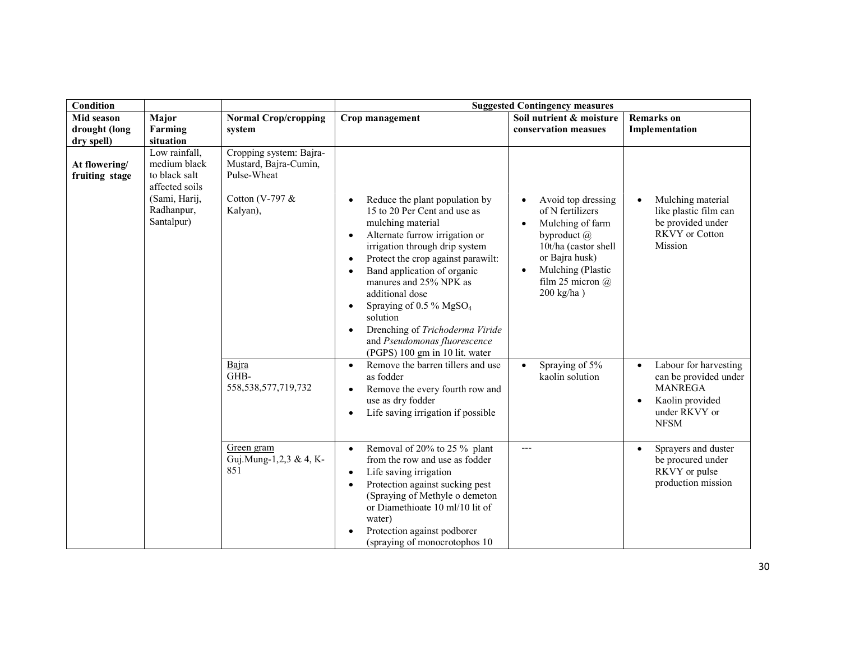| <b>Condition</b>                              |                                                                                                                            | <b>Suggested Contingency measures</b>                                                          |                                                                                                                                                                                                                                                                                                                                                                                                                                                                             |                                                                                                                                                                                                                 |                                                                                                                                               |
|-----------------------------------------------|----------------------------------------------------------------------------------------------------------------------------|------------------------------------------------------------------------------------------------|-----------------------------------------------------------------------------------------------------------------------------------------------------------------------------------------------------------------------------------------------------------------------------------------------------------------------------------------------------------------------------------------------------------------------------------------------------------------------------|-----------------------------------------------------------------------------------------------------------------------------------------------------------------------------------------------------------------|-----------------------------------------------------------------------------------------------------------------------------------------------|
| Mid season<br>drought (long                   | Major<br>Farming                                                                                                           | <b>Normal Crop/cropping</b><br>system                                                          | Crop management                                                                                                                                                                                                                                                                                                                                                                                                                                                             | Soil nutrient & moisture<br>conservation measues                                                                                                                                                                | <b>Remarks</b> on<br>Implementation                                                                                                           |
| dry spell)<br>At flowering/<br>fruiting stage | situation<br>Low rainfall,<br>medium black<br>to black salt<br>affected soils<br>(Sami, Harij,<br>Radhanpur,<br>Santalpur) | Cropping system: Bajra-<br>Mustard, Bajra-Cumin,<br>Pulse-Wheat<br>Cotton (V-797 &<br>Kalyan), | Reduce the plant population by<br>15 to 20 Per Cent and use as<br>mulching material<br>Alternate furrow irrigation or<br>$\bullet$<br>irrigation through drip system<br>Protect the crop against parawilt:<br>$\bullet$<br>Band application of organic<br>$\bullet$<br>manures and 25% NPK as<br>additional dose<br>Spraying of 0.5 % $MgSO4$<br>$\bullet$<br>solution<br>Drenching of Trichoderma Viride<br>and Pseudomonas fluorescence<br>(PGPS) 100 gm in 10 lit. water | Avoid top dressing<br>of N fertilizers<br>Mulching of farm<br>$\bullet$<br>byproduct $\omega$<br>10t/ha (castor shell<br>or Bajra husk)<br>Mulching (Plastic<br>$\bullet$<br>film 25 micron $(a)$<br>200 kg/ha) | Mulching material<br>$\bullet$<br>like plastic film can<br>be provided under<br><b>RKVY</b> or Cotton<br>Mission                              |
|                                               |                                                                                                                            | Bajra<br>GHB-<br>558, 538, 577, 719, 732                                                       | Remove the barren tillers and use<br>$\bullet$<br>as fodder<br>Remove the every fourth row and<br>use as dry fodder<br>Life saving irrigation if possible                                                                                                                                                                                                                                                                                                                   | Spraying of 5%<br>$\bullet$<br>kaolin solution                                                                                                                                                                  | Labour for harvesting<br>$\bullet$<br>can be provided under<br><b>MANREGA</b><br>Kaolin provided<br>$\bullet$<br>under RKVY or<br><b>NFSM</b> |
|                                               |                                                                                                                            | Green gram<br>Guj.Mung-1,2,3 & 4, K-<br>851                                                    | Removal of 20% to 25 % plant<br>$\bullet$<br>from the row and use as fodder<br>Life saving irrigation<br>$\bullet$<br>Protection against sucking pest<br>$\bullet$<br>(Spraying of Methyle o demeton<br>or Diamethioate 10 ml/10 lit of<br>water)<br>Protection against podborer<br>(spraying of monocrotophos 10                                                                                                                                                           | ---                                                                                                                                                                                                             | Sprayers and duster<br>$\bullet$<br>be procured under<br>RKVY or pulse<br>production mission                                                  |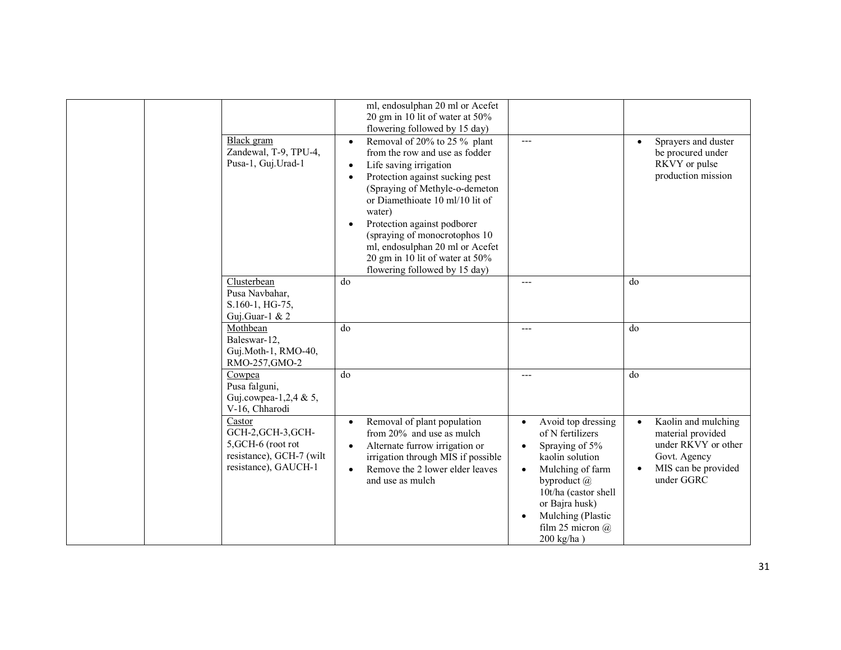| Black gram<br>Zandewal, T-9, TPU-4,<br>Pusa-1, Guj.Urad-1                                              | $\bullet$<br>$\bullet$<br>$\bullet$<br>$\bullet$ | ml, endosulphan 20 ml or Acefet<br>20 gm in 10 lit of water at 50%<br>flowering followed by 15 day)<br>Removal of 20% to 25 % plant<br>from the row and use as fodder<br>Life saving irrigation<br>Protection against sucking pest<br>(Spraying of Methyle-o-demeton<br>or Diamethioate 10 ml/10 lit of<br>water)<br>Protection against podborer<br>(spraying of monocrotophos 10<br>ml, endosulphan 20 ml or Acefet<br>20 gm in 10 lit of water at 50%<br>flowering followed by 15 day) | $---$     |                                                                                                                                                                                                                           | $\bullet$              | Sprayers and duster<br>be procured under<br>RKVY or pulse<br>production mission                                      |
|--------------------------------------------------------------------------------------------------------|--------------------------------------------------|------------------------------------------------------------------------------------------------------------------------------------------------------------------------------------------------------------------------------------------------------------------------------------------------------------------------------------------------------------------------------------------------------------------------------------------------------------------------------------------|-----------|---------------------------------------------------------------------------------------------------------------------------------------------------------------------------------------------------------------------------|------------------------|----------------------------------------------------------------------------------------------------------------------|
| Clusterbean<br>Pusa Navbahar,<br>S.160-1, HG-75,<br>Guj.Guar-1 & $2$<br>Mothbean                       | do<br>do                                         |                                                                                                                                                                                                                                                                                                                                                                                                                                                                                          |           |                                                                                                                                                                                                                           | do<br>do               |                                                                                                                      |
| Baleswar-12,<br>Guj.Moth-1, RMO-40,<br>RMO-257, GMO-2                                                  |                                                  |                                                                                                                                                                                                                                                                                                                                                                                                                                                                                          |           |                                                                                                                                                                                                                           |                        |                                                                                                                      |
| Cowpea<br>Pusa falguni,<br>Guj.cowpea-1,2,4 & 5,<br>V-16, Chharodi                                     | do                                               |                                                                                                                                                                                                                                                                                                                                                                                                                                                                                          | ---       |                                                                                                                                                                                                                           | do                     |                                                                                                                      |
| Castor<br>GCH-2, GCH-3, GCH-<br>5, GCH-6 (root rot<br>resistance), GCH-7 (wilt<br>resistance), GAUCH-1 | ٠<br>$\bullet$                                   | Removal of plant population<br>from 20% and use as mulch<br>Alternate furrow irrigation or<br>irrigation through MIS if possible<br>Remove the 2 lower elder leaves<br>and use as mulch                                                                                                                                                                                                                                                                                                  | $\bullet$ | Avoid top dressing<br>of N fertilizers<br>Spraying of 5%<br>kaolin solution<br>Mulching of farm<br>byproduct $(a)$<br>10t/ha (castor shell<br>or Bajra husk)<br>Mulching (Plastic<br>film 25 micron $(a)$<br>$200$ kg/ha) | $\bullet$<br>$\bullet$ | Kaolin and mulching<br>material provided<br>under RKVY or other<br>Govt. Agency<br>MIS can be provided<br>under GGRC |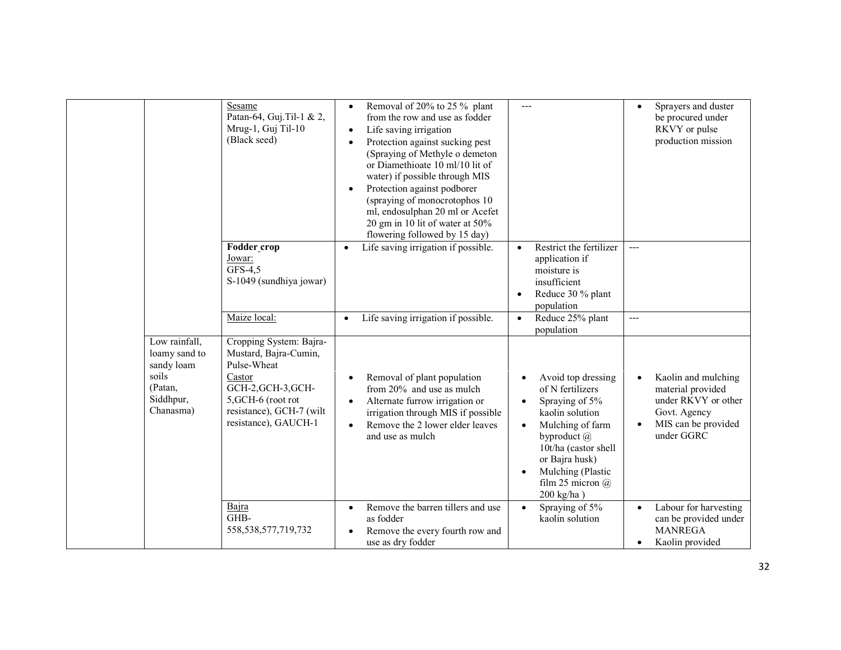|                                                                                            | Sesame<br>Patan-64, Guj. Til-1 & 2,<br>Mrug-1, Guj Til-10<br>(Black seed)                                                                                                 | Removal of 20% to 25 % plant<br>$\bullet$<br>from the row and use as fodder<br>Life saving irrigation<br>$\bullet$<br>Protection against sucking pest<br>$\bullet$<br>(Spraying of Methyle o demeton<br>or Diamethioate 10 ml/10 lit of<br>water) if possible through MIS<br>Protection against podborer<br>$\bullet$<br>(spraying of monocrotophos 10<br>ml, endosulphan 20 ml or Acefet<br>20 gm in 10 lit of water at 50%<br>flowering followed by 15 day) | $---$                                                                                                                                                                                                                                                          | Sprayers and duster<br>$\bullet$<br>be procured under<br>RKVY or pulse<br>production mission                                      |
|--------------------------------------------------------------------------------------------|---------------------------------------------------------------------------------------------------------------------------------------------------------------------------|---------------------------------------------------------------------------------------------------------------------------------------------------------------------------------------------------------------------------------------------------------------------------------------------------------------------------------------------------------------------------------------------------------------------------------------------------------------|----------------------------------------------------------------------------------------------------------------------------------------------------------------------------------------------------------------------------------------------------------------|-----------------------------------------------------------------------------------------------------------------------------------|
|                                                                                            | Fodder_crop<br>Jowar:<br>GFS-4,5<br>S-1049 (sundhiya jowar)                                                                                                               | Life saving irrigation if possible.<br>$\bullet$                                                                                                                                                                                                                                                                                                                                                                                                              | Restrict the fertilizer<br>$\bullet$<br>application if<br>moisture is<br>insufficient<br>Reduce 30 % plant<br>$\bullet$<br>population                                                                                                                          | $---$                                                                                                                             |
|                                                                                            | Maize local:                                                                                                                                                              | Life saving irrigation if possible.<br>$\bullet$                                                                                                                                                                                                                                                                                                                                                                                                              | Reduce 25% plant<br>$\bullet$<br>population                                                                                                                                                                                                                    | $---$                                                                                                                             |
| Low rainfall,<br>loamy sand to<br>sandy loam<br>soils<br>(Patan,<br>Siddhpur,<br>Chanasma) | Cropping System: Bajra-<br>Mustard, Bajra-Cumin,<br>Pulse-Wheat<br>Castor<br>GCH-2, GCH-3, GCH-<br>5, GCH-6 (root rot<br>resistance), GCH-7 (wilt<br>resistance), GAUCH-1 | Removal of plant population<br>$\bullet$<br>from 20% and use as mulch<br>Alternate furrow irrigation or<br>$\bullet$<br>irrigation through MIS if possible<br>Remove the 2 lower elder leaves<br>$\bullet$<br>and use as mulch                                                                                                                                                                                                                                | Avoid top dressing<br>of N fertilizers<br>Spraying of 5%<br>$\bullet$<br>kaolin solution<br>Mulching of farm<br>$\bullet$<br>byproduct $(a)$<br>10t/ha (castor shell<br>or Bajra husk)<br>Mulching (Plastic<br>$\bullet$<br>film 25 micron $(a)$<br>200 kg/ha) | Kaolin and mulching<br>$\bullet$<br>material provided<br>under RKVY or other<br>Govt. Agency<br>MIS can be provided<br>under GGRC |
|                                                                                            | Bajra<br>GHB-<br>558, 538, 577, 719, 732                                                                                                                                  | Remove the barren tillers and use<br>$\bullet$<br>as fodder<br>Remove the every fourth row and<br>$\bullet$<br>use as dry fodder                                                                                                                                                                                                                                                                                                                              | Spraying of 5%<br>$\bullet$<br>kaolin solution                                                                                                                                                                                                                 | Labour for harvesting<br>$\bullet$<br>can be provided under<br><b>MANREGA</b><br>Kaolin provided<br>$\bullet$                     |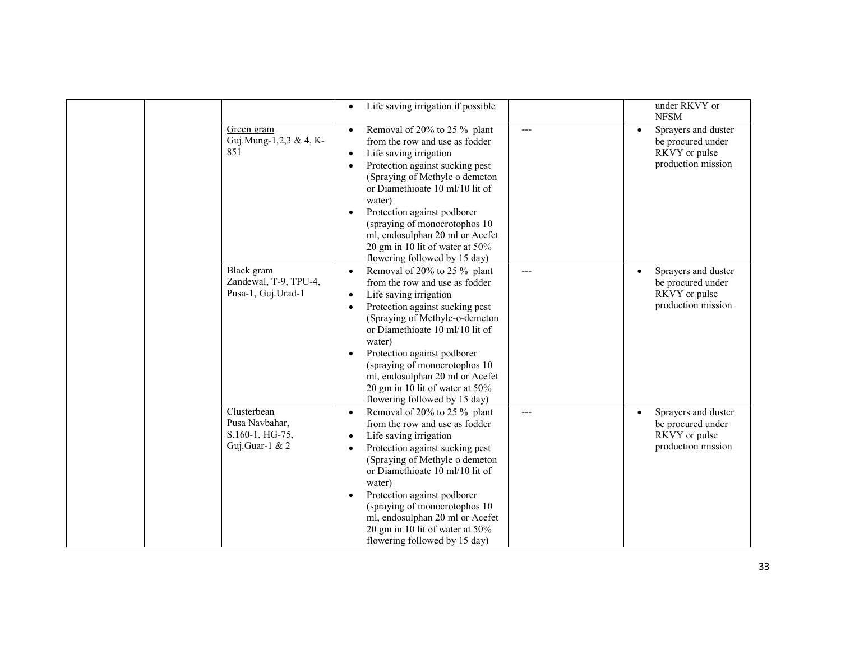|                                                                      | Life saving irrigation if possible<br>$\bullet$                                                                                                                                                                                                                                                                                                                                                                           |       | under RKVY or                                                                                |
|----------------------------------------------------------------------|---------------------------------------------------------------------------------------------------------------------------------------------------------------------------------------------------------------------------------------------------------------------------------------------------------------------------------------------------------------------------------------------------------------------------|-------|----------------------------------------------------------------------------------------------|
|                                                                      |                                                                                                                                                                                                                                                                                                                                                                                                                           |       | <b>NFSM</b>                                                                                  |
| Green gram<br>Guj.Mung-1,2,3 & 4, K-<br>851                          | Removal of 20% to 25 % plant<br>$\bullet$<br>from the row and use as fodder<br>Life saving irrigation<br>$\bullet$<br>Protection against sucking pest<br>$\bullet$<br>(Spraying of Methyle o demeton<br>or Diamethioate 10 ml/10 lit of<br>water)<br>Protection against podborer<br>(spraying of monocrotophos 10)<br>ml, endosulphan 20 ml or Acefet<br>20 gm in 10 lit of water at 50%<br>flowering followed by 15 day) | $---$ | Sprayers and duster<br>$\bullet$<br>be procured under<br>RKVY or pulse<br>production mission |
| Black gram<br>Zandewal, T-9, TPU-4,<br>Pusa-1, Guj.Urad-1            | Removal of 20% to 25 % plant<br>from the row and use as fodder<br>Life saving irrigation<br>$\bullet$<br>Protection against sucking pest<br>٠<br>(Spraying of Methyle-o-demeton<br>or Diamethioate 10 ml/10 lit of<br>water)<br>Protection against podborer<br>(spraying of monocrotophos 10)<br>ml, endosulphan 20 ml or Acefet<br>20 gm in 10 lit of water at 50%<br>flowering followed by 15 day)                      | ---   | Sprayers and duster<br>$\bullet$<br>be procured under<br>RKVY or pulse<br>production mission |
| Clusterbean<br>Pusa Navbahar,<br>S.160-1, HG-75,<br>Guj.Guar-1 & $2$ | Removal of 20% to 25 % plant<br>$\bullet$<br>from the row and use as fodder<br>Life saving irrigation<br>$\bullet$<br>Protection against sucking pest<br>٠<br>(Spraying of Methyle o demeton<br>or Diamethioate 10 ml/10 lit of<br>water)<br>Protection against podborer<br>(spraying of monocrotophos 10<br>ml, endosulphan 20 ml or Acefet<br>20 gm in 10 lit of water at $50\%$<br>flowering followed by 15 day)       | ---   | Sprayers and duster<br>$\bullet$<br>be procured under<br>RKVY or pulse<br>production mission |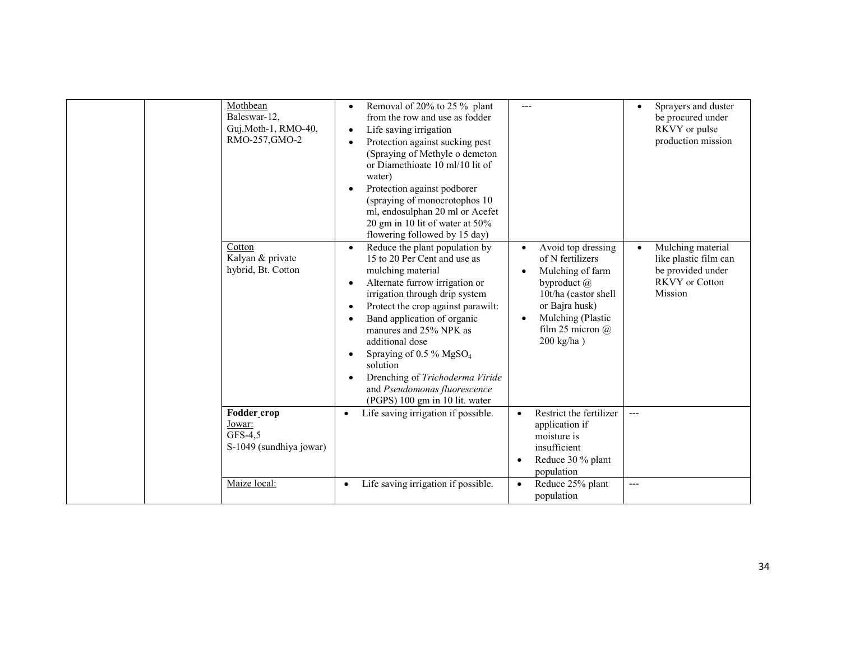| Mothbean<br>Baleswar-12,<br>Guj.Moth-1, RMO-40,<br>RMO-257, GMO-2 | Removal of 20% to 25 % plant<br>$\bullet$<br>from the row and use as fodder<br>Life saving irrigation<br>٠<br>Protection against sucking pest<br>(Spraying of Methyle o demeton)<br>or Diamethioate 10 ml/10 lit of<br>water)<br>Protection against podborer<br>$\bullet$<br>(spraying of monocrotophos 10)<br>ml, endosulphan 20 ml or Acefet<br>20 gm in 10 lit of water at 50%<br>flowering followed by 15 day)                                                         |                                                                                                                                                                                                 | Sprayers and duster<br>$\bullet$<br>be procured under<br>RKVY or pulse<br>production mission                     |
|-------------------------------------------------------------------|----------------------------------------------------------------------------------------------------------------------------------------------------------------------------------------------------------------------------------------------------------------------------------------------------------------------------------------------------------------------------------------------------------------------------------------------------------------------------|-------------------------------------------------------------------------------------------------------------------------------------------------------------------------------------------------|------------------------------------------------------------------------------------------------------------------|
| Cotton<br>Kalyan & private<br>hybrid, Bt. Cotton                  | Reduce the plant population by<br>$\bullet$<br>15 to 20 Per Cent and use as<br>mulching material<br>Alternate furrow irrigation or<br>irrigation through drip system<br>Protect the crop against parawilt:<br>$\bullet$<br>Band application of organic<br>manures and 25% NPK as<br>additional dose<br>Spraying of $0.5\%$ MgSO <sub>4</sub><br>$\bullet$<br>solution<br>Drenching of Trichoderma Viride<br>and Pseudomonas fluorescence<br>(PGPS) 100 gm in 10 lit. water | Avoid top dressing<br>of N fertilizers<br>Mulching of farm<br>byproduct $(a)$<br>10t/ha (castor shell<br>or Bajra husk)<br>Mulching (Plastic<br>$\bullet$<br>film 25 micron $(a)$<br>200 kg/ha) | Mulching material<br>$\bullet$<br>like plastic film can<br>be provided under<br><b>RKVY</b> or Cotton<br>Mission |
| Fodder crop<br>Jowar:<br>GFS-4,5<br>S-1049 (sundhiya jowar)       | Life saving irrigation if possible.<br>$\bullet$                                                                                                                                                                                                                                                                                                                                                                                                                           | Restrict the fertilizer<br>$\bullet$<br>application if<br>moisture is<br>insufficient<br>Reduce 30 % plant<br>population                                                                        | $---$                                                                                                            |
| Maize local:                                                      | Life saving irrigation if possible.<br>$\bullet$                                                                                                                                                                                                                                                                                                                                                                                                                           | Reduce 25% plant<br>$\bullet$<br>population                                                                                                                                                     | $---$                                                                                                            |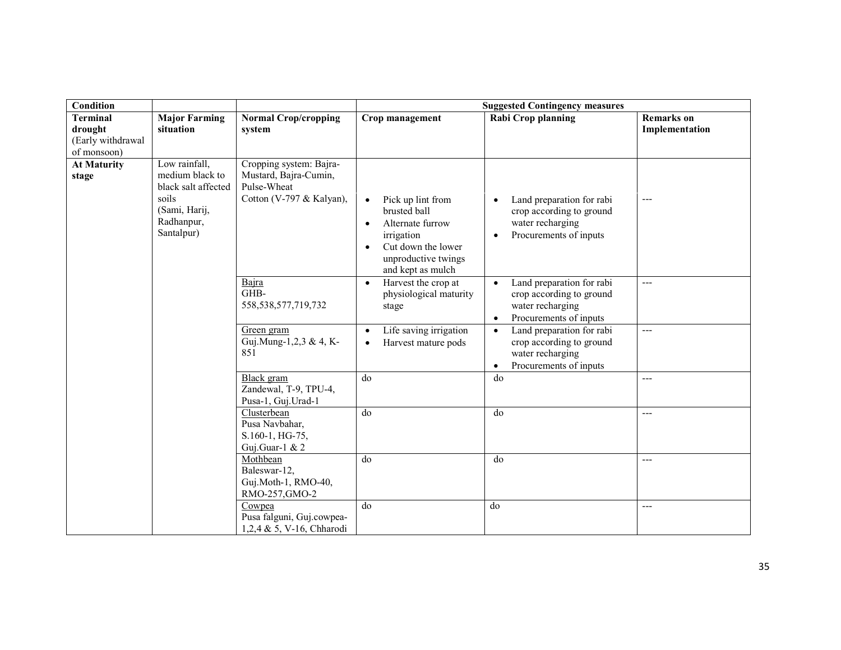| Condition                                                      |                                                                                                               |                                                                                             | <b>Suggested Contingency measures</b>                                                                                                 |                                                                                                                               |                                     |  |
|----------------------------------------------------------------|---------------------------------------------------------------------------------------------------------------|---------------------------------------------------------------------------------------------|---------------------------------------------------------------------------------------------------------------------------------------|-------------------------------------------------------------------------------------------------------------------------------|-------------------------------------|--|
| <b>Terminal</b><br>drought<br>(Early withdrawal<br>of monsoon) | <b>Major Farming</b><br>situation                                                                             | <b>Normal Crop/cropping</b><br>system                                                       | Crop management                                                                                                                       | Rabi Crop planning                                                                                                            | <b>Remarks</b> on<br>Implementation |  |
| <b>At Maturity</b><br>stage                                    | Low rainfall,<br>medium black to<br>black salt affected<br>soils<br>(Sami, Harij,<br>Radhanpur,<br>Santalpur) | Cropping system: Bajra-<br>Mustard, Bajra-Cumin,<br>Pulse-Wheat<br>Cotton (V-797 & Kalyan), | Pick up lint from<br>brusted ball<br>Alternate furrow<br>irrigation<br>Cut down the lower<br>unproductive twings<br>and kept as mulch | Land preparation for rabi<br>crop according to ground<br>water recharging<br>Procurements of inputs                           | ---                                 |  |
|                                                                |                                                                                                               | Bajra<br>GHB-<br>558, 538, 577, 719, 732                                                    | Harvest the crop at<br>$\bullet$<br>physiological maturity<br>stage                                                                   | Land preparation for rabi<br>$\bullet$<br>crop according to ground<br>water recharging<br>Procurements of inputs<br>$\bullet$ | $---$                               |  |
|                                                                |                                                                                                               | Green gram<br>Guj.Mung-1,2,3 & 4, K-<br>851                                                 | Life saving irrigation<br>$\bullet$<br>Harvest mature pods                                                                            | Land preparation for rabi<br>$\bullet$<br>crop according to ground<br>water recharging<br>Procurements of inputs<br>$\bullet$ | ---                                 |  |
|                                                                |                                                                                                               | Black gram<br>Zandewal, T-9, TPU-4,<br>Pusa-1, Guj.Urad-1                                   | do                                                                                                                                    | do                                                                                                                            | ---                                 |  |
|                                                                |                                                                                                               | Clusterbean<br>Pusa Navbahar,<br>S.160-1, HG-75,<br>Guj.Guar-1 & 2                          | do                                                                                                                                    | d <sub>0</sub>                                                                                                                | ---                                 |  |
|                                                                |                                                                                                               | Mothbean<br>Baleswar-12,<br>Guj.Moth-1, RMO-40,<br>RMO-257, GMO-2                           | do                                                                                                                                    | do                                                                                                                            | ---                                 |  |
|                                                                |                                                                                                               | Cowpea<br>Pusa falguni, Guj.cowpea-<br>1,2,4 & 5, V-16, Chharodi                            | do                                                                                                                                    | do                                                                                                                            | ---                                 |  |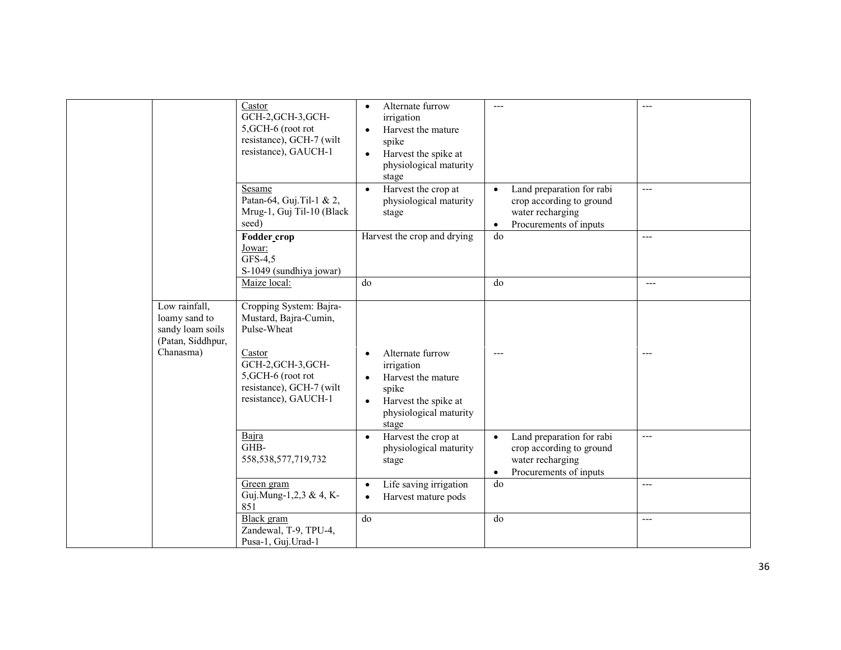|                                                                         | Castor<br>GCH-2, GCH-3, GCH-<br>5, GCH-6 (root rot<br>resistance), GCH-7 (wilt<br>resistance), GAUCH-1 | Alternate furrow<br>$\bullet$<br>irrigation<br>Harvest the mature<br>$\bullet$<br>spike<br>Harvest the spike at<br>$\bullet$<br>physiological maturity<br>stage | $---$                                                                                                                         |       |
|-------------------------------------------------------------------------|--------------------------------------------------------------------------------------------------------|-----------------------------------------------------------------------------------------------------------------------------------------------------------------|-------------------------------------------------------------------------------------------------------------------------------|-------|
|                                                                         | Sesame<br>Patan-64, Guj. Til-1 & 2,<br>Mrug-1, Guj Til-10 (Black<br>seed)                              | Harvest the crop at<br>$\bullet$<br>physiological maturity<br>stage                                                                                             | Land preparation for rabi<br>$\bullet$<br>crop according to ground<br>water recharging<br>Procurements of inputs<br>$\bullet$ | $---$ |
|                                                                         | Fodder_crop<br>Jowar:<br>GFS-4,5<br>S-1049 (sundhiya jowar)                                            | Harvest the crop and drying                                                                                                                                     | do                                                                                                                            | $---$ |
|                                                                         | Maize local:                                                                                           | do                                                                                                                                                              | $\overline{d}$                                                                                                                | $---$ |
| Low rainfall,<br>loamy sand to<br>sandy loam soils<br>(Patan, Siddhpur, | Cropping System: Bajra-<br>Mustard, Bajra-Cumin,<br>Pulse-Wheat                                        |                                                                                                                                                                 |                                                                                                                               |       |
| Chanasma)                                                               | Castor<br>GCH-2, GCH-3, GCH-<br>5, GCH-6 (root rot<br>resistance), GCH-7 (wilt<br>resistance), GAUCH-1 | Alternate furrow<br>$\bullet$<br>irrigation<br>Harvest the mature<br>$\bullet$<br>spike<br>Harvest the spike at<br>$\bullet$<br>physiological maturity<br>stage |                                                                                                                               | ---   |
|                                                                         | Bajra<br>GHB-<br>558, 538, 577, 719, 732                                                               | Harvest the crop at<br>$\bullet$<br>physiological maturity<br>stage                                                                                             | Land preparation for rabi<br>$\bullet$<br>crop according to ground<br>water recharging<br>Procurements of inputs<br>$\bullet$ | $---$ |
|                                                                         | Green gram<br>Guj.Mung-1,2,3 & 4, K-<br>851                                                            | Life saving irrigation<br>$\bullet$<br>Harvest mature pods<br>$\bullet$                                                                                         | do                                                                                                                            | $---$ |
|                                                                         | <b>Black</b> gram<br>Zandewal, T-9, TPU-4,<br>Pusa-1, Guj.Urad-1                                       | do                                                                                                                                                              | do                                                                                                                            | $---$ |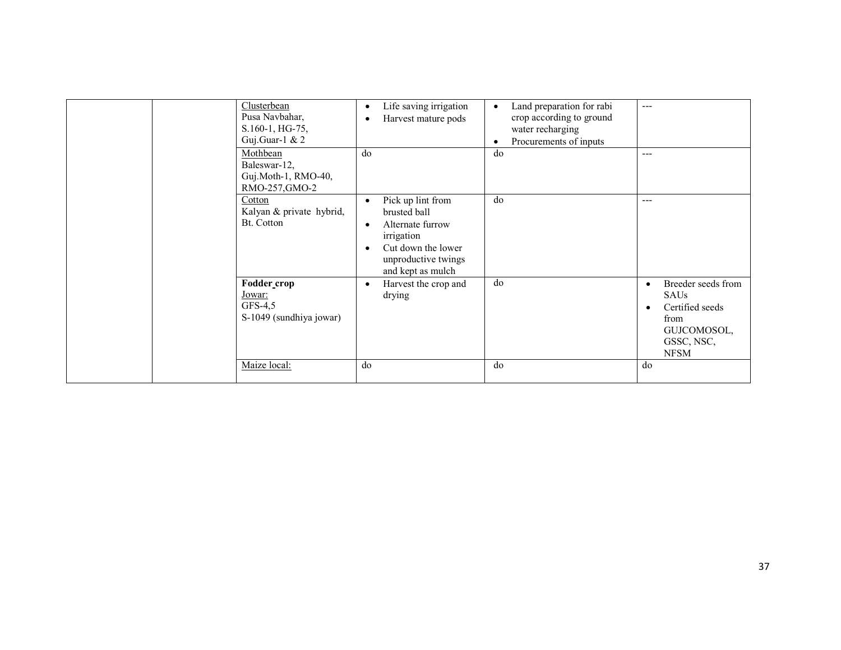| Clusterbean<br>Pusa Navbahar,<br>S.160-1, HG-75,<br>Guj.Guar-1 & $2$ | Life saving irrigation<br>$\bullet$<br>Harvest mature pods                                                                                                      | Land preparation for rabi<br>crop according to ground<br>water recharging<br>Procurements of inputs | $---$                                                                                                                       |
|----------------------------------------------------------------------|-----------------------------------------------------------------------------------------------------------------------------------------------------------------|-----------------------------------------------------------------------------------------------------|-----------------------------------------------------------------------------------------------------------------------------|
| Mothbean<br>Baleswar-12,<br>Guj.Moth-1, RMO-40,<br>RMO-257, GMO-2    | do                                                                                                                                                              | do                                                                                                  | $---$                                                                                                                       |
| Cotton<br>Kalyan & private hybrid,<br>Bt. Cotton                     | Pick up lint from<br>$\bullet$<br>brusted ball<br>Alternate furrow<br>$\bullet$<br>irrigation<br>Cut down the lower<br>unproductive twings<br>and kept as mulch | do                                                                                                  | $---$                                                                                                                       |
| Fodder crop<br>Jowar:<br>$GFS-4,5$<br>S-1049 (sundhiya jowar)        | Harvest the crop and<br>$\bullet$<br>drying                                                                                                                     | do                                                                                                  | Breeder seeds from<br>$\bullet$<br>SAUs<br>Certified seeds<br>$\bullet$<br>from<br>GUJCOMOSOL,<br>GSSC, NSC,<br><b>NFSM</b> |
| Maize local:                                                         | do                                                                                                                                                              | do                                                                                                  | do                                                                                                                          |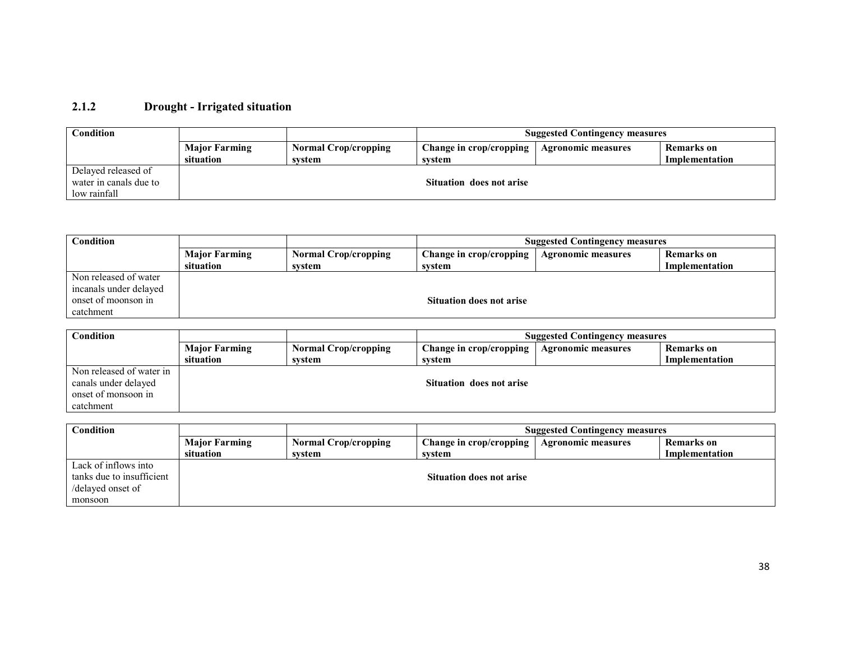#### 2.1.2 Drought - Irrigated situation

| Condition              |                      |                             | <b>Suggested Contingency measures</b> |                           |                |
|------------------------|----------------------|-----------------------------|---------------------------------------|---------------------------|----------------|
|                        | <b>Major Farming</b> | <b>Normal Crop/cropping</b> | Change in crop/cropping               | <b>Agronomic measures</b> | Remarks on     |
|                        | situation            | svstem                      | system                                |                           | Implementation |
| Delayed released of    |                      |                             |                                       |                           |                |
| water in canals due to |                      |                             | Situation does not arise              |                           |                |
| low rainfall           |                      |                             |                                       |                           |                |

| $\mathbf C$ ondition   |                      |                             | <b>Suggested Contingency measures</b> |                           |                |
|------------------------|----------------------|-----------------------------|---------------------------------------|---------------------------|----------------|
|                        | <b>Major Farming</b> | <b>Normal Crop/cropping</b> | Change in crop/cropping               | <b>Agronomic measures</b> | Remarks on     |
|                        | situation            | svstem                      | svstem                                |                           | Implementation |
| Non released of water  |                      |                             |                                       |                           |                |
| incanals under delayed |                      |                             |                                       |                           |                |
| onset of moonson in    |                      |                             | <b>Situation does not arise</b>       |                           |                |
| catchment              |                      |                             |                                       |                           |                |

| Condition                |                      |                             | <b>Suggested Contingency measures</b> |                           |                   |
|--------------------------|----------------------|-----------------------------|---------------------------------------|---------------------------|-------------------|
|                          | <b>Major Farming</b> | <b>Normal Crop/cropping</b> | Change in crop/cropping               | <b>Agronomic measures</b> | <b>Remarks</b> on |
|                          | situation            | svstem                      | svstem                                |                           | Implementation    |
| Non released of water in |                      |                             |                                       |                           |                   |
| canals under delayed     |                      |                             | Situation does not arise              |                           |                   |
| onset of monsoon in      |                      |                             |                                       |                           |                   |
| catchment                |                      |                             |                                       |                           |                   |

| Condition                 |                      |                             | <b>Suggested Contingency measures</b> |                           |                |  |
|---------------------------|----------------------|-----------------------------|---------------------------------------|---------------------------|----------------|--|
|                           | <b>Major Farming</b> | <b>Normal Crop/cropping</b> | Change in crop/cropping               | <b>Agronomic measures</b> | Remarks on     |  |
|                           | situation            | svstem                      | svstem                                |                           | Implementation |  |
| Lack of inflows into      |                      |                             |                                       |                           |                |  |
| tanks due to insufficient |                      |                             | <b>Situation does not arise</b>       |                           |                |  |
| /delayed onset of         |                      |                             |                                       |                           |                |  |
| monsoon                   |                      |                             |                                       |                           |                |  |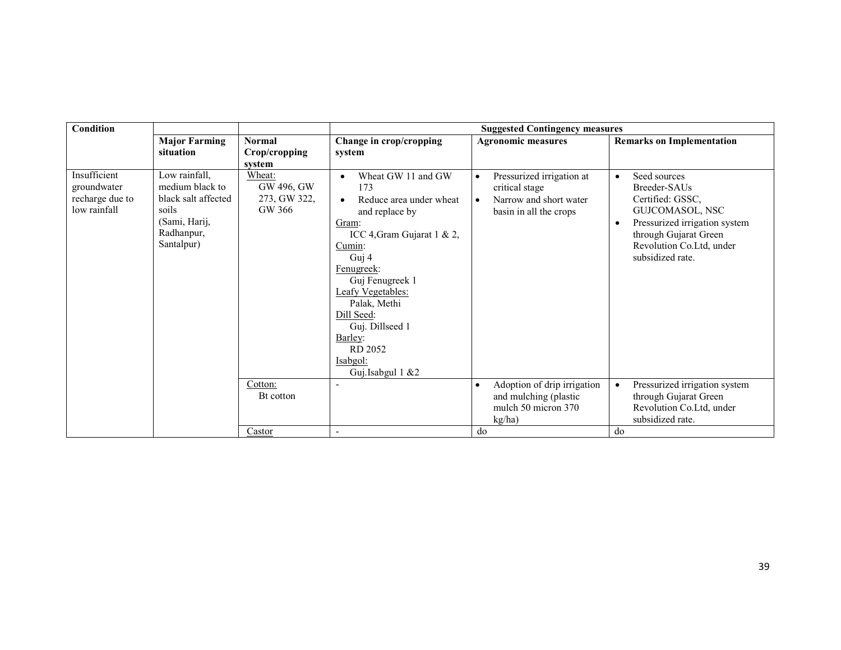| <b>Major Farming</b><br>situation<br>Insufficient<br>Low rainfall,<br>medium black to<br>groundwater<br>recharge due to<br>black salt affected<br>low rainfall<br>soils | <b>Normal</b><br>Crop/cropping<br>system<br>Wheat:<br>GW 496, GW<br>273, GW 322,<br>GW 366 | Change in crop/cropping<br>system<br>Wheat GW 11 and GW<br>$\bullet$<br>173<br>Reduce area under wheat<br>$\bullet$<br>and replace by                                                                                    | <b>Agronomic measures</b><br>Pressurized irrigation at<br>$\bullet$<br>critical stage<br>Narrow and short water<br>$\bullet$ | <b>Remarks on Implementation</b><br>Seed sources<br>$\bullet$<br>Breeder-SAUs<br>Certified: GSSC,                                                                                                             |
|-------------------------------------------------------------------------------------------------------------------------------------------------------------------------|--------------------------------------------------------------------------------------------|--------------------------------------------------------------------------------------------------------------------------------------------------------------------------------------------------------------------------|------------------------------------------------------------------------------------------------------------------------------|---------------------------------------------------------------------------------------------------------------------------------------------------------------------------------------------------------------|
|                                                                                                                                                                         |                                                                                            |                                                                                                                                                                                                                          |                                                                                                                              |                                                                                                                                                                                                               |
| (Sami, Harij,<br>Radhanpur,<br>Santalpur)                                                                                                                               | Cotton:<br>Bt cotton                                                                       | Gram:<br>ICC 4, Gram Gujarat 1 & 2,<br>Cumin:<br>Guj 4<br>Fenugreek:<br>Guj Fenugreek 1<br>Leafy Vegetables:<br>Palak, Methi<br>Dill Seed:<br>Guj. Dillseed 1<br>Barley:<br>RD 2052<br>Isabgol:<br>Guj.Isabgul 1 &2<br>٠ | basin in all the crops<br>Adoption of drip irrigation<br>$\bullet$<br>and mulching (plastic                                  | GUJCOMASOL, NSC<br>Pressurized irrigation system<br>$\bullet$<br>through Gujarat Green<br>Revolution Co.Ltd, under<br>subsidized rate.<br>Pressurized irrigation system<br>$\bullet$<br>through Gujarat Green |
|                                                                                                                                                                         | Castor                                                                                     | $\blacksquare$                                                                                                                                                                                                           | mulch 50 micron 370<br>kg/ha)<br>do                                                                                          | Revolution Co.Ltd, under<br>subsidized rate.<br>do                                                                                                                                                            |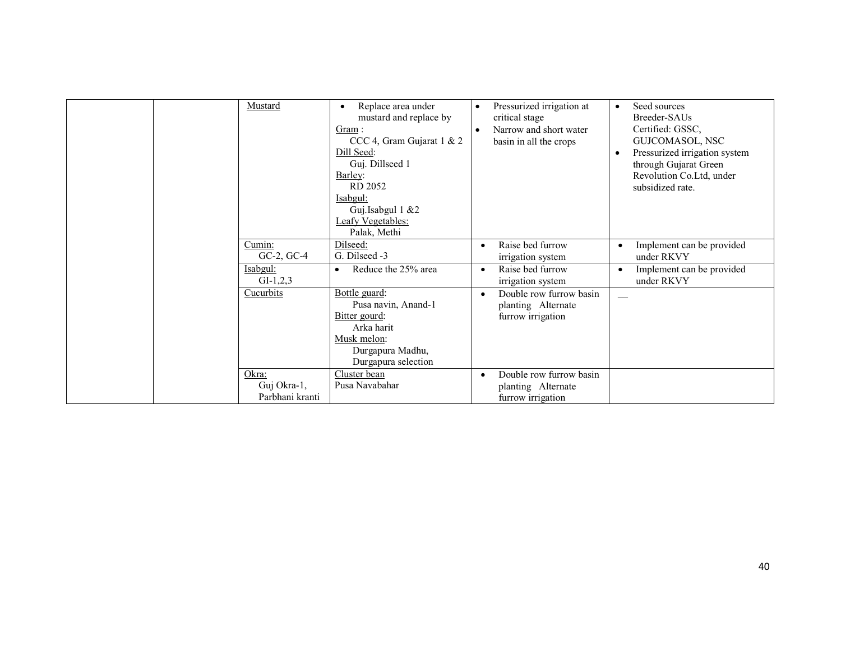| Mustard                                 | Replace area under<br>mustard and replace by<br>Gram:<br>CCC 4, Gram Gujarat 1 & 2<br>Dill Seed:<br>Guj. Dillseed 1<br>Barley:<br>RD 2052<br>Isabgul:<br>Guj.Isabgul 1 &2<br>Leafy Vegetables:<br>Palak, Methi | Pressurized irrigation at<br>critical stage<br>Narrow and short water<br>$\bullet$<br>basin in all the crops | Seed sources<br>$\bullet$<br>Breeder-SAUs<br>Certified: GSSC,<br>GUJCOMASOL, NSC<br>Pressurized irrigation system<br>$\bullet$<br>through Gujarat Green<br>Revolution Co.Ltd, under<br>subsidized rate. |
|-----------------------------------------|----------------------------------------------------------------------------------------------------------------------------------------------------------------------------------------------------------------|--------------------------------------------------------------------------------------------------------------|---------------------------------------------------------------------------------------------------------------------------------------------------------------------------------------------------------|
| Cumin:<br>$GC-2$ , $GC-4$               | Dilseed:<br>G. Dilseed -3                                                                                                                                                                                      | Raise bed furrow<br>irrigation system                                                                        | Implement can be provided<br>$\bullet$<br>under RKVY                                                                                                                                                    |
| Isabgul:<br>$GI-1,2,3$                  | Reduce the 25% area<br>$\bullet$                                                                                                                                                                               | Raise bed furrow<br>$\bullet$<br>irrigation system                                                           | Implement can be provided<br>$\bullet$<br>under RKVY                                                                                                                                                    |
| Cucurbits                               | Bottle guard:<br>Pusa navin, Anand-1<br>Bitter gourd:<br>Arka harit<br>Musk melon:<br>Durgapura Madhu,<br>Durgapura selection                                                                                  | Double row furrow basin<br>$\bullet$<br>planting Alternate<br>furrow irrigation                              |                                                                                                                                                                                                         |
| Okra:<br>Guj Okra-1,<br>Parbhani kranti | Cluster bean<br>Pusa Navabahar                                                                                                                                                                                 | Double row furrow basin<br>$\bullet$<br>planting Alternate<br>furrow irrigation                              |                                                                                                                                                                                                         |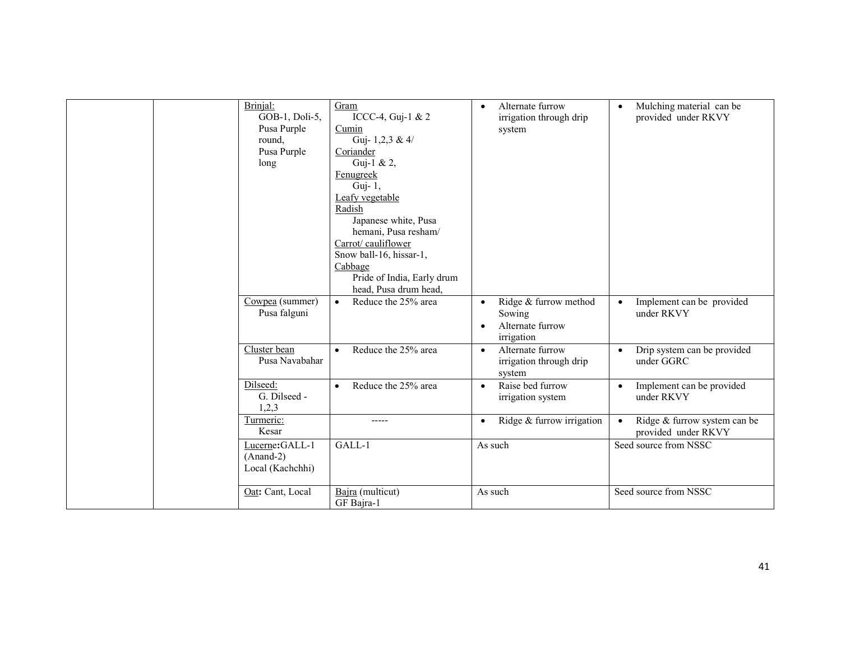| Brinjal:<br>GOB-1, Doli-5,<br>Pusa Purple<br>round,<br>Pusa Purple<br>long | Gram<br>ICCC-4, Guj-1 & 2<br>Cumin<br>Guj- $1,2,3 \& 4$<br>Coriander<br>Guj-1 & 2,<br>Fenugreek<br>Guj- $1$ ,<br>Leafy vegetable<br>Radish<br>Japanese white, Pusa<br>hemani, Pusa resham/<br>Carrot/ cauliflower<br>Snow ball-16, hissar-1,<br>Cabbage<br>Pride of India, Early drum<br>head, Pusa drum head, | Alternate furrow<br>$\bullet$<br>irrigation through drip<br>system                          | Mulching material can be<br>$\bullet$<br>provided under RKVY     |
|----------------------------------------------------------------------------|----------------------------------------------------------------------------------------------------------------------------------------------------------------------------------------------------------------------------------------------------------------------------------------------------------------|---------------------------------------------------------------------------------------------|------------------------------------------------------------------|
| Cowpea (summer)<br>Pusa falguni                                            | Reduce the 25% area<br>$\bullet$                                                                                                                                                                                                                                                                               | Ridge & furrow method<br>$\bullet$<br>Sowing<br>Alternate furrow<br>$\bullet$<br>irrigation | Implement can be provided<br>$\bullet$<br>under RKVY             |
| Cluster bean<br>Pusa Navabahar                                             | Reduce the 25% area<br>$\bullet$                                                                                                                                                                                                                                                                               | Alternate furrow<br>$\bullet$<br>irrigation through drip<br>system                          | Drip system can be provided<br>$\bullet$<br>under GGRC           |
| Dilseed:<br>G. Dilseed -<br>1,2,3                                          | Reduce the 25% area<br>$\bullet$                                                                                                                                                                                                                                                                               | Raise bed furrow<br>$\bullet$<br>irrigation system                                          | Implement can be provided<br>$\bullet$<br>under RKVY             |
| Turmeric:<br>Kesar                                                         | -----                                                                                                                                                                                                                                                                                                          | Ridge & furrow irrigation<br>$\bullet$                                                      | Ridge & furrow system can be<br>$\bullet$<br>provided under RKVY |
| Lucerne:GALL-1<br>$(Anand-2)$<br>Local (Kachchhi)                          | GALL-1                                                                                                                                                                                                                                                                                                         | As such                                                                                     | Seed source from NSSC                                            |
| Oat: Cant, Local                                                           | Bajra (multicut)<br>GF Bajra-1                                                                                                                                                                                                                                                                                 | As such                                                                                     | Seed source from NSSC                                            |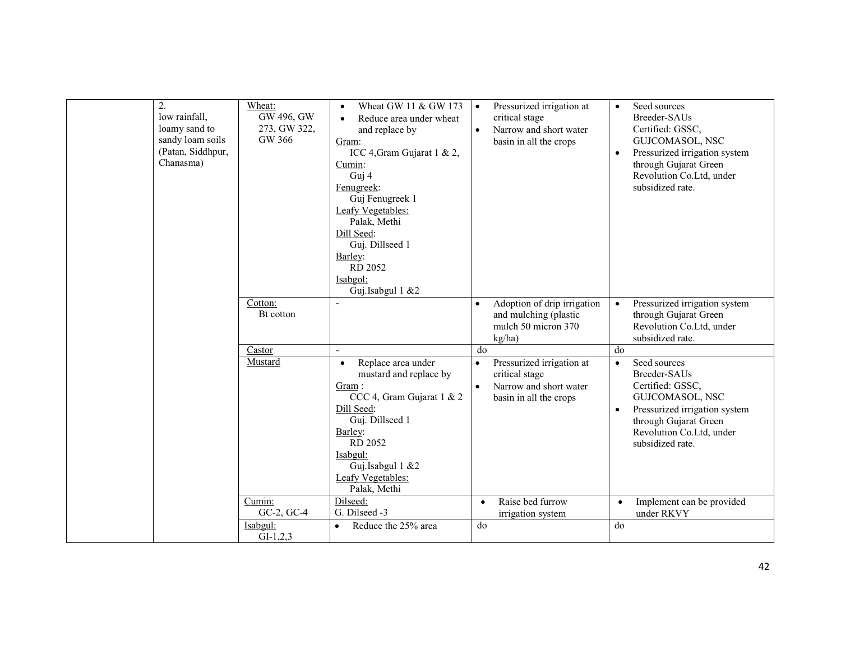| 2.<br>low rainfall,<br>loamy sand to<br>sandy loam soils<br>(Patan, Siddhpur,<br>Chanasma) | Wheat:<br>GW 496, GW<br>273, GW 322,<br>GW 366 | Wheat GW 11 & GW 173<br>$\bullet$<br>Reduce area under wheat<br>$\bullet$<br>and replace by<br>Gram:<br>ICC 4, Gram Gujarat 1 & 2,<br>Cumin:<br>Guj 4<br>Fenugreek:<br>Guj Fenugreek 1<br>Leafy Vegetables:<br>Palak, Methi<br>Dill Seed:<br>Guj. Dillseed 1<br>Barley:<br>RD 2052<br>Isabgol:<br>Guj.Isabgul 1 &2 | Pressurized irrigation at<br>$\bullet$<br>critical stage<br>Narrow and short water<br>basin in all the crops | Seed sources<br>$\bullet$<br>Breeder-SAUs<br>Certified: GSSC,<br>GUJCOMASOL, NSC<br>Pressurized irrigation system<br>$\bullet$<br>through Gujarat Green<br>Revolution Co.Ltd, under<br>subsidized rate. |
|--------------------------------------------------------------------------------------------|------------------------------------------------|--------------------------------------------------------------------------------------------------------------------------------------------------------------------------------------------------------------------------------------------------------------------------------------------------------------------|--------------------------------------------------------------------------------------------------------------|---------------------------------------------------------------------------------------------------------------------------------------------------------------------------------------------------------|
|                                                                                            | Cotton:<br>Bt cotton                           | $\blacksquare$                                                                                                                                                                                                                                                                                                     | Adoption of drip irrigation<br>and mulching (plastic<br>mulch 50 micron 370<br>kg/ha)                        | Pressurized irrigation system<br>$\bullet$<br>through Gujarat Green<br>Revolution Co.Ltd, under<br>subsidized rate.                                                                                     |
|                                                                                            | Castor                                         | $\overline{a}$                                                                                                                                                                                                                                                                                                     | do                                                                                                           | do                                                                                                                                                                                                      |
|                                                                                            | Mustard                                        | Replace area under<br>$\bullet$<br>mustard and replace by<br>Gram:<br>CCC 4, Gram Gujarat 1 & 2<br>Dill Seed:<br>Guj. Dillseed 1<br>Barley:<br>RD 2052<br>Isabgul:<br>Guj.Isabgul 1 &2<br>Leafy Vegetables:<br>Palak, Methi                                                                                        | Pressurized irrigation at<br>$\bullet$<br>critical stage<br>Narrow and short water<br>basin in all the crops | Seed sources<br>$\bullet$<br>Breeder-SAUs<br>Certified: GSSC,<br>GUJCOMASOL, NSC<br>Pressurized irrigation system<br>$\bullet$<br>through Gujarat Green<br>Revolution Co.Ltd, under<br>subsidized rate. |
|                                                                                            | Cumin:<br>GC-2, GC-4                           | Dilseed:<br>G. Dilseed -3                                                                                                                                                                                                                                                                                          | Raise bed furrow<br>$\bullet$<br>irrigation system                                                           | Implement can be provided<br>$\bullet$<br>under RKVY                                                                                                                                                    |
|                                                                                            | Isabgul:<br>$GI-1,2,3$                         | Reduce the 25% area<br>$\bullet$                                                                                                                                                                                                                                                                                   | do                                                                                                           | do                                                                                                                                                                                                      |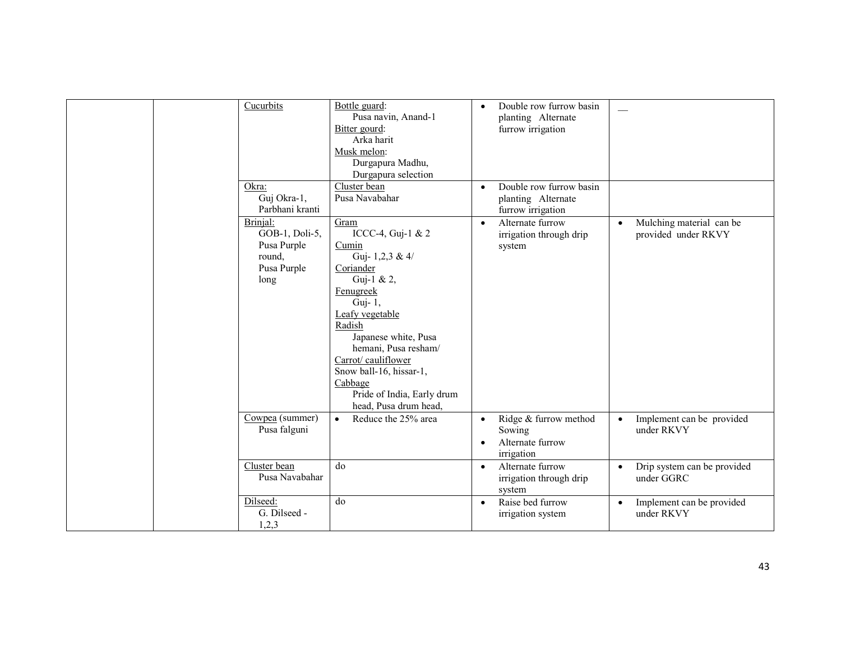| Cucurbits                                                                  | Bottle guard:<br>Pusa navin, Anand-1<br>Bitter gourd:<br>Arka harit<br>Musk melon:<br>Durgapura Madhu,<br>Durgapura selection                                                                                                                                                                           | $\bullet$              | Double row furrow basin<br>planting Alternate<br>furrow irrigation |           |                                                 |
|----------------------------------------------------------------------------|---------------------------------------------------------------------------------------------------------------------------------------------------------------------------------------------------------------------------------------------------------------------------------------------------------|------------------------|--------------------------------------------------------------------|-----------|-------------------------------------------------|
| Okra:<br>Guj Okra-1,<br>Parbhani kranti                                    | Cluster bean<br>Pusa Navabahar                                                                                                                                                                                                                                                                          | $\bullet$              | Double row furrow basin<br>planting Alternate<br>furrow irrigation |           |                                                 |
| Brinjal:<br>GOB-1, Doli-5,<br>Pusa Purple<br>round,<br>Pusa Purple<br>long | Gram<br>ICCC-4, Guj-1 & 2<br>Cumin<br>Guj-1,2,3 & 4/<br>Coriander<br>Guj-1 & 2,<br>Fenugreek<br>Guj- 1,<br>Leafy vegetable<br>Radish<br>Japanese white, Pusa<br>hemani, Pusa resham/<br>Carrot/cauliflower<br>Snow ball-16, hissar-1,<br>Cabbage<br>Pride of India, Early drum<br>head, Pusa drum head, | $\bullet$              | Alternate furrow<br>irrigation through drip<br>system              | $\bullet$ | Mulching material can be<br>provided under RKVY |
| Cowpea (summer)<br>Pusa falguni                                            | Reduce the 25% area<br>$\bullet$                                                                                                                                                                                                                                                                        | $\bullet$<br>$\bullet$ | Ridge & furrow method<br>Sowing<br>Alternate furrow<br>irrigation  | $\bullet$ | Implement can be provided<br>under RKVY         |
| Cluster bean<br>Pusa Navabahar                                             | do                                                                                                                                                                                                                                                                                                      | $\bullet$              | Alternate furrow<br>irrigation through drip<br>system              | $\bullet$ | Drip system can be provided<br>under GGRC       |
| Dilseed:<br>G. Dilseed -<br>1,2,3                                          | do                                                                                                                                                                                                                                                                                                      | $\bullet$              | Raise bed furrow<br>irrigation system                              | $\bullet$ | Implement can be provided<br>under RKVY         |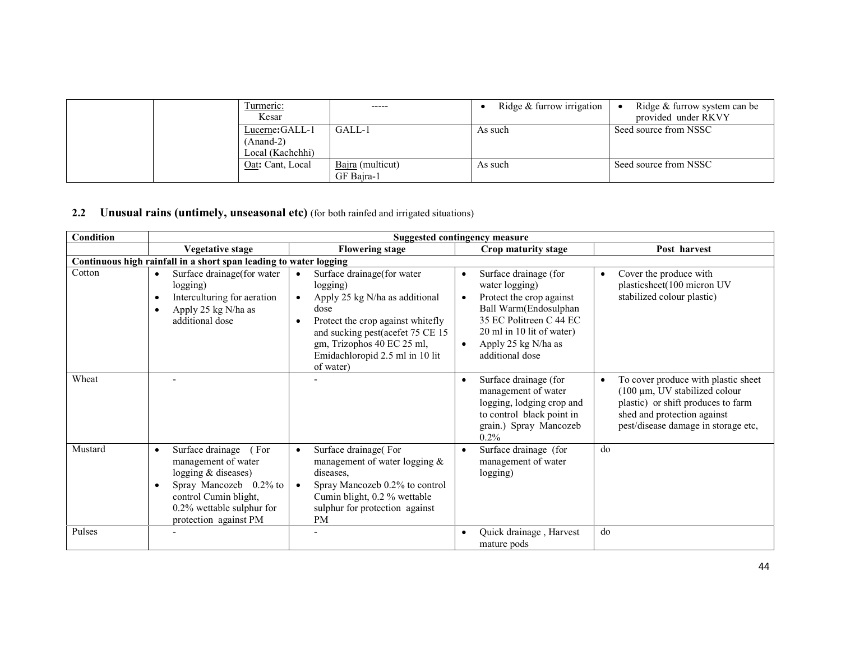|  | l'urmeric:<br>Kesar                  | -----                          | Ridge $&$ furrow irrigation | Ridge & furrow system can be<br>provided under RKVY |
|--|--------------------------------------|--------------------------------|-----------------------------|-----------------------------------------------------|
|  | Lucerne: GALL-1<br>$(Anand-2)$       | GALL-1                         | As such                     | Seed source from NSSC                               |
|  | Local (Kachchhi)<br>Oat: Cant, Local | Bajra (multicut)<br>GF Bajra-1 | As such                     | Seed source from NSSC                               |

#### 2.2 Unusual rains (untimely, unseasonal etc) (for both rainfed and irrigated situations)

| <b>Condition</b> | <b>Suggested contingency measure</b>                                                                                                                                                           |                                                                                                                                                                                                                                         |                                                                                                                                                                                                                               |                                                                                                                                                                                        |  |  |
|------------------|------------------------------------------------------------------------------------------------------------------------------------------------------------------------------------------------|-----------------------------------------------------------------------------------------------------------------------------------------------------------------------------------------------------------------------------------------|-------------------------------------------------------------------------------------------------------------------------------------------------------------------------------------------------------------------------------|----------------------------------------------------------------------------------------------------------------------------------------------------------------------------------------|--|--|
|                  | <b>Vegetative stage</b>                                                                                                                                                                        | <b>Flowering stage</b>                                                                                                                                                                                                                  | Crop maturity stage                                                                                                                                                                                                           | Post harvest                                                                                                                                                                           |  |  |
|                  | Continuous high rainfall in a short span leading to water logging                                                                                                                              |                                                                                                                                                                                                                                         |                                                                                                                                                                                                                               |                                                                                                                                                                                        |  |  |
| Cotton           | Surface drainage(for water<br>logging)<br>Interculturing for aeration<br>Apply 25 kg N/ha as<br>٠<br>additional dose                                                                           | Surface drainage(for water<br>logging)<br>Apply 25 kg N/ha as additional<br>dose<br>Protect the crop against whitefly<br>and sucking pest(acefet 75 CE 15<br>gm, Trizophos 40 EC 25 ml,<br>Emidachloropid 2.5 ml in 10 lit<br>of water) | Surface drainage (for<br>٠<br>water logging)<br>Protect the crop against<br>$\bullet$<br>Ball Warm(Endosulphan<br>35 EC Politreen C 44 EC<br>20 ml in 10 lit of water)<br>Apply 25 kg N/ha as<br>$\bullet$<br>additional dose | Cover the produce with<br>plasticsheet(100 micron UV<br>stabilized colour plastic)                                                                                                     |  |  |
| Wheat            |                                                                                                                                                                                                |                                                                                                                                                                                                                                         | Surface drainage (for<br>$\bullet$<br>management of water<br>logging, lodging crop and<br>to control black point in<br>grain.) Spray Mancozeb<br>0.2%                                                                         | To cover produce with plastic sheet<br>$(100 \mu m, UV)$ stabilized colour<br>plastic) or shift produces to farm<br>shed and protection against<br>pest/disease damage in storage etc, |  |  |
| Mustard          | Surface drainage<br>(For<br>$\bullet$<br>management of water<br>logging $&$ diseases)<br>Spray Mancozeb 0.2% to<br>control Cumin blight,<br>0.2% wettable sulphur for<br>protection against PM | Surface drainage(For<br>$\bullet$<br>management of water logging $\&$<br>diseases.<br>Spray Mancozeb 0.2% to control<br>Cumin blight, 0.2 % wettable<br>sulphur for protection against<br><b>PM</b>                                     | Surface drainage (for<br>$\bullet$<br>management of water<br>logging)                                                                                                                                                         | do                                                                                                                                                                                     |  |  |
| Pulses           |                                                                                                                                                                                                |                                                                                                                                                                                                                                         | Quick drainage, Harvest<br>mature pods                                                                                                                                                                                        | do                                                                                                                                                                                     |  |  |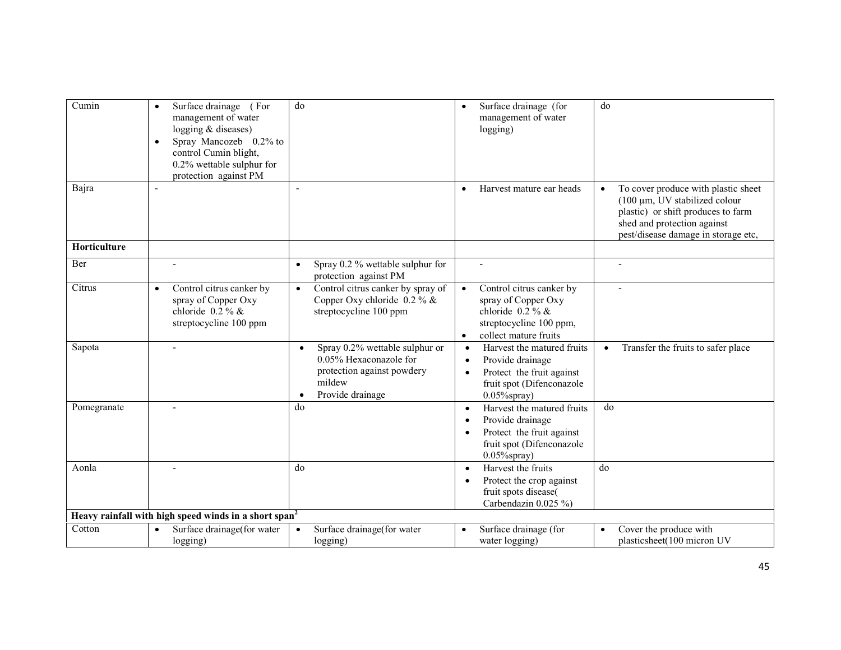| Cumin        | Surface drainage (For<br>management of water<br>logging & diseases)<br>Spray Mancozeb 0.2% to<br>$\bullet$<br>control Cumin blight,<br>0.2% wettable sulphur for<br>protection against PM | do                                                                                                                                | Surface drainage (for<br>$\bullet$<br>management of water<br>logging)                                                                                              | do                                                                                                                                                                                     |
|--------------|-------------------------------------------------------------------------------------------------------------------------------------------------------------------------------------------|-----------------------------------------------------------------------------------------------------------------------------------|--------------------------------------------------------------------------------------------------------------------------------------------------------------------|----------------------------------------------------------------------------------------------------------------------------------------------------------------------------------------|
| Bajra        |                                                                                                                                                                                           |                                                                                                                                   | Harvest mature ear heads                                                                                                                                           | To cover produce with plastic sheet<br>$(100 \mu m, UV)$ stabilized colour<br>plastic) or shift produces to farm<br>shed and protection against<br>pest/disease damage in storage etc, |
| Horticulture |                                                                                                                                                                                           |                                                                                                                                   |                                                                                                                                                                    |                                                                                                                                                                                        |
| Ber          | $\blacksquare$                                                                                                                                                                            | Spray 0.2 % wettable sulphur for<br>$\bullet$<br>protection against PM                                                            | $\overline{a}$                                                                                                                                                     | $\blacksquare$                                                                                                                                                                         |
| Citrus       | Control citrus canker by<br>$\bullet$<br>spray of Copper Oxy<br>chloride $0.2\%$ &<br>streptocycline 100 ppm                                                                              | Control citrus canker by spray of<br>$\bullet$<br>Copper Oxy chloride $0.2\%$ &<br>streptocycline 100 ppm                         | Control citrus canker by<br>$\bullet$<br>spray of Copper Oxy<br>chloride $0.2\%$ &<br>streptocycline 100 ppm,<br>collect mature fruits<br>$\bullet$                | $\blacksquare$                                                                                                                                                                         |
| Sapota       | $\blacksquare$                                                                                                                                                                            | Spray 0.2% wettable sulphur or<br>$\bullet$<br>0.05% Hexaconazole for<br>protection against powdery<br>mildew<br>Provide drainage | Harvest the matured fruits<br>$\bullet$<br>Provide drainage<br>$\bullet$<br>Protect the fruit against<br>$\bullet$<br>fruit spot (Difenconazole<br>$0.05\%$ spray) | Transfer the fruits to safer place<br>$\bullet$                                                                                                                                        |
| Pomegranate  |                                                                                                                                                                                           | do                                                                                                                                | Harvest the matured fruits<br>$\bullet$<br>Provide drainage<br>$\bullet$<br>Protect the fruit against<br>$\bullet$<br>fruit spot (Difenconazole<br>$0.05\%$ spray) | do                                                                                                                                                                                     |
| Aonla        |                                                                                                                                                                                           | do                                                                                                                                | Harvest the fruits<br>$\bullet$<br>Protect the crop against<br>$\bullet$<br>fruit spots disease(<br>Carbendazin $0.025\%$                                          | do                                                                                                                                                                                     |
|              | Heavy rainfall with high speed winds in a short span <sup>2</sup>                                                                                                                         |                                                                                                                                   |                                                                                                                                                                    |                                                                                                                                                                                        |
| Cotton       | Surface drainage(for water<br>$\bullet$<br>logging)                                                                                                                                       | Surface drainage(for water<br>$\bullet$<br>logging)                                                                               | Surface drainage (for<br>$\bullet$<br>water logging)                                                                                                               | Cover the produce with<br>plasticsheet(100 micron UV                                                                                                                                   |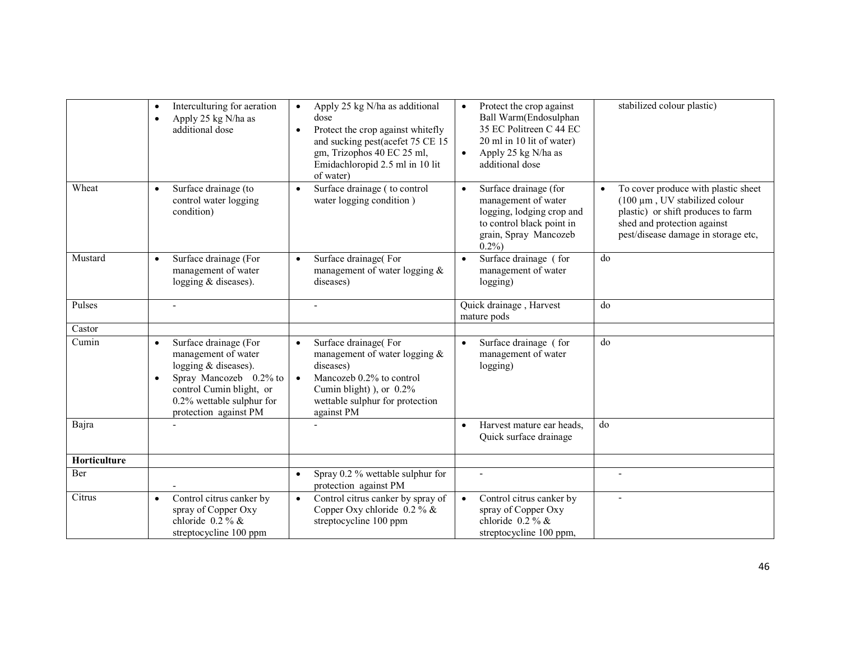|              | Interculturing for aeration<br>$\bullet$<br>Apply 25 kg N/ha as<br>$\bullet$<br>additional dose                                                                                                              | Apply 25 kg N/ha as additional<br>$\bullet$<br>dose<br>Protect the crop against whitefly<br>$\bullet$<br>and sucking pest(acefet 75 CE 15<br>gm, Trizophos 40 EC 25 ml,<br>Emidachloropid 2.5 ml in 10 lit<br>of water) | Protect the crop against<br>$\bullet$<br>Ball Warm(Endosulphan<br>35 EC Politreen C 44 EC<br>20 ml in 10 lit of water)<br>Apply 25 kg N/ha as<br>$\bullet$<br>additional dose | stabilized colour plastic)                                                                                                                                                                          |
|--------------|--------------------------------------------------------------------------------------------------------------------------------------------------------------------------------------------------------------|-------------------------------------------------------------------------------------------------------------------------------------------------------------------------------------------------------------------------|-------------------------------------------------------------------------------------------------------------------------------------------------------------------------------|-----------------------------------------------------------------------------------------------------------------------------------------------------------------------------------------------------|
| Wheat        | Surface drainage (to<br>$\bullet$<br>control water logging<br>condition)                                                                                                                                     | Surface drainage (to control<br>$\bullet$<br>water logging condition)                                                                                                                                                   | Surface drainage (for<br>$\bullet$<br>management of water<br>logging, lodging crop and<br>to control black point in<br>grain, Spray Mancozeb<br>$0.2\%$                       | To cover produce with plastic sheet<br>$\bullet$<br>$(100 \mu m, UV)$ stabilized colour<br>plastic) or shift produces to farm<br>shed and protection against<br>pest/disease damage in storage etc, |
| Mustard      | Surface drainage (For<br>$\bullet$<br>management of water<br>logging $&$ diseases).                                                                                                                          | Surface drainage(For<br>$\bullet$<br>management of water logging $\&$<br>diseases)                                                                                                                                      | Surface drainage (for<br>$\bullet$<br>management of water<br>logging)                                                                                                         | do                                                                                                                                                                                                  |
| Pulses       |                                                                                                                                                                                                              | $\blacksquare$                                                                                                                                                                                                          | Quick drainage, Harvest<br>mature pods                                                                                                                                        | do                                                                                                                                                                                                  |
| Castor       |                                                                                                                                                                                                              |                                                                                                                                                                                                                         |                                                                                                                                                                               |                                                                                                                                                                                                     |
| Cumin        | Surface drainage (For<br>$\bullet$<br>management of water<br>logging $&$ diseases).<br>Spray Mancozeb 0.2% to<br>$\bullet$<br>control Cumin blight, or<br>0.2% wettable sulphur for<br>protection against PM | Surface drainage(For<br>$\bullet$<br>management of water logging $\&$<br>diseases)<br>Mancozeb 0.2% to control<br>$\bullet$<br>Cumin blight) ), or $0.2\%$<br>wettable sulphur for protection<br>against PM             | Surface drainage (for<br>$\bullet$<br>management of water<br>logging)                                                                                                         | d <sub>0</sub>                                                                                                                                                                                      |
| Bajra        |                                                                                                                                                                                                              |                                                                                                                                                                                                                         | Harvest mature ear heads,<br>$\bullet$<br>Quick surface drainage                                                                                                              | do                                                                                                                                                                                                  |
| Horticulture |                                                                                                                                                                                                              |                                                                                                                                                                                                                         |                                                                                                                                                                               |                                                                                                                                                                                                     |
| Ber          |                                                                                                                                                                                                              | Spray 0.2 % wettable sulphur for<br>$\bullet$<br>protection against PM                                                                                                                                                  |                                                                                                                                                                               |                                                                                                                                                                                                     |
| Citrus       | Control citrus canker by<br>$\bullet$<br>spray of Copper Oxy<br>chloride $0.2\%$ &<br>streptocycline 100 ppm                                                                                                 | Control citrus canker by spray of<br>$\bullet$<br>Copper Oxy chloride $0.2\%$ &<br>streptocycline 100 ppm                                                                                                               | Control citrus canker by<br>$\bullet$<br>spray of Copper Oxy<br>chloride $0.2\%$ &<br>streptocycline 100 ppm,                                                                 |                                                                                                                                                                                                     |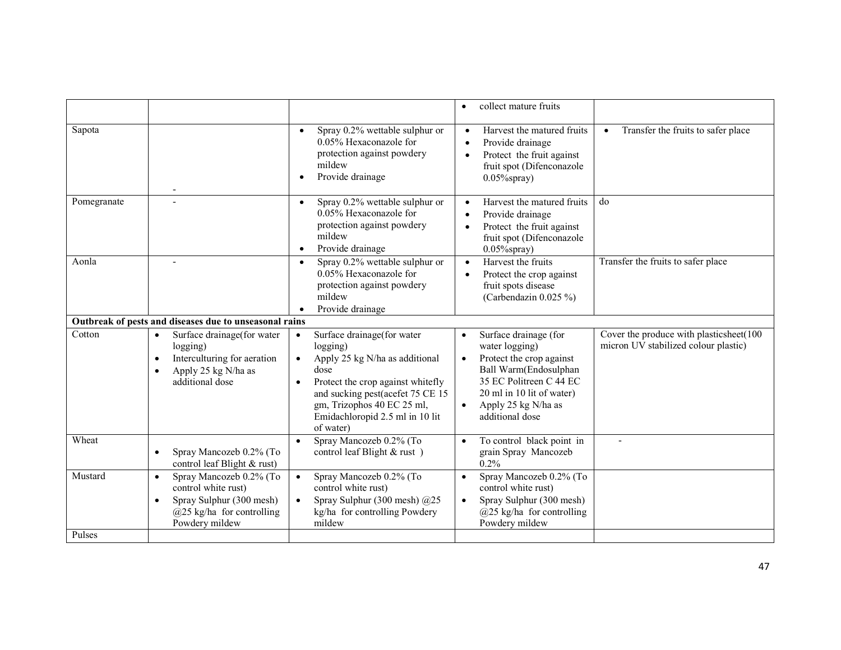|                   |                                                                                                                                                          |                                                                                                                                                                                                                                                                                | collect mature fruits<br>$\bullet$                                                                                                                                                                                                    |                                                                                 |
|-------------------|----------------------------------------------------------------------------------------------------------------------------------------------------------|--------------------------------------------------------------------------------------------------------------------------------------------------------------------------------------------------------------------------------------------------------------------------------|---------------------------------------------------------------------------------------------------------------------------------------------------------------------------------------------------------------------------------------|---------------------------------------------------------------------------------|
| Sapota            | $\overline{\phantom{a}}$                                                                                                                                 | Spray 0.2% wettable sulphur or<br>$\bullet$<br>0.05% Hexaconazole for<br>protection against powdery<br>mildew<br>Provide drainage<br>$\bullet$                                                                                                                                 | Harvest the matured fruits<br>$\bullet$<br>Provide drainage<br>$\bullet$<br>Protect the fruit against<br>$\bullet$<br>fruit spot (Difenconazole<br>$0.05\%$ spray)                                                                    | Transfer the fruits to safer place<br>$\bullet$                                 |
| Pomegranate       |                                                                                                                                                          | Spray 0.2% wettable sulphur or<br>$\bullet$<br>0.05% Hexaconazole for<br>protection against powdery<br>mildew<br>Provide drainage<br>$\bullet$                                                                                                                                 | Harvest the matured fruits<br>$\bullet$<br>Provide drainage<br>$\bullet$<br>Protect the fruit against<br>$\bullet$<br>fruit spot (Difenconazole<br>$0.05\%$ spray)                                                                    | do                                                                              |
| Aonla             |                                                                                                                                                          | Spray 0.2% wettable sulphur or<br>$\bullet$<br>0.05% Hexaconazole for<br>protection against powdery<br>mildew<br>Provide drainage                                                                                                                                              | Harvest the fruits<br>$\bullet$<br>Protect the crop against<br>$\bullet$<br>fruit spots disease<br>(Carbendazin $0.025\%$ )                                                                                                           | Transfer the fruits to safer place                                              |
|                   | Outbreak of pests and diseases due to unseasonal rains                                                                                                   |                                                                                                                                                                                                                                                                                |                                                                                                                                                                                                                                       |                                                                                 |
| Cotton            | Surface drainage (for water<br>$\bullet$<br>logging)<br>Interculturing for aeration<br>$\bullet$<br>Apply 25 kg N/ha as<br>$\bullet$<br>additional dose  | Surface drainage(for water<br>$\bullet$<br>logging)<br>Apply 25 kg N/ha as additional<br>$\bullet$<br>dose<br>Protect the crop against whitefly<br>$\bullet$<br>and sucking pest(acefet 75 CE 15<br>gm, Trizophos 40 EC 25 ml,<br>Emidachloropid 2.5 ml in 10 lit<br>of water) | Surface drainage (for<br>$\bullet$<br>water logging)<br>Protect the crop against<br>$\bullet$<br>Ball Warm(Endosulphan<br>35 EC Politreen C 44 EC<br>20 ml in 10 lit of water)<br>Apply 25 kg N/ha as<br>$\bullet$<br>additional dose | Cover the produce with plasticsheet(100<br>micron UV stabilized colour plastic) |
| Wheat             | Spray Mancozeb 0.2% (To<br>$\bullet$<br>control leaf Blight & rust)                                                                                      | Spray Mancozeb 0.2% (To<br>$\bullet$<br>control leaf Blight & rust)                                                                                                                                                                                                            | To control black point in<br>$\bullet$<br>grain Spray Mancozeb<br>0.2%                                                                                                                                                                |                                                                                 |
| Mustard<br>Pulses | Spray Mancozeb 0.2% (To<br>$\bullet$<br>control white rust)<br>Spray Sulphur (300 mesh)<br>$\bullet$<br>$(a)$ 25 kg/ha for controlling<br>Powdery mildew | Spray Mancozeb 0.2% (To<br>$\bullet$<br>control white rust)<br>Spray Sulphur (300 mesh) @25<br>$\bullet$<br>kg/ha for controlling Powdery<br>mildew                                                                                                                            | Spray Mancozeb 0.2% (To<br>$\bullet$<br>control white rust)<br>Spray Sulphur (300 mesh)<br>$\bullet$<br>$(a)$ 25 kg/ha for controlling<br>Powdery mildew                                                                              |                                                                                 |
|                   |                                                                                                                                                          |                                                                                                                                                                                                                                                                                |                                                                                                                                                                                                                                       |                                                                                 |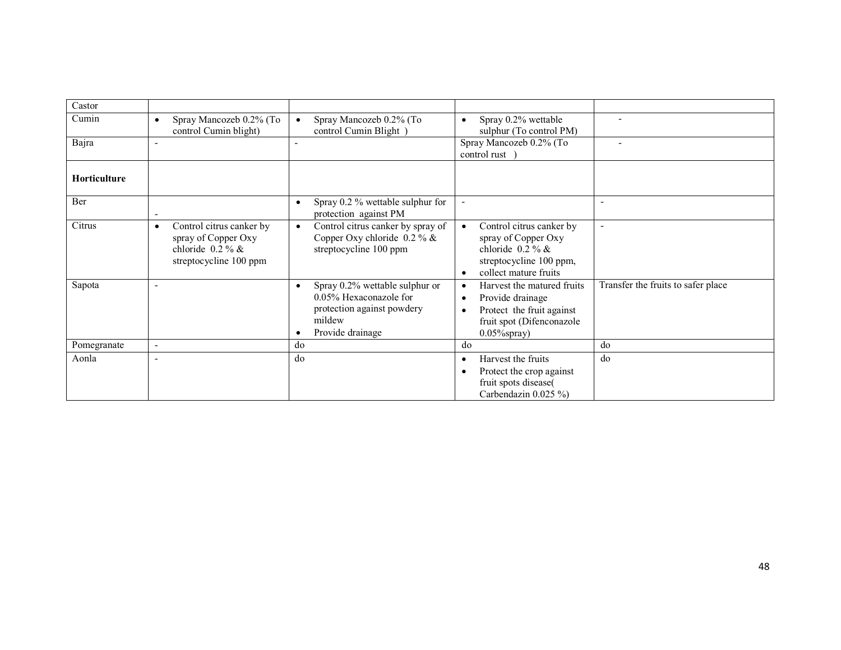| Castor              |                                                                                                              |                                                                                                                      |                                                                                                                                                            |                                    |
|---------------------|--------------------------------------------------------------------------------------------------------------|----------------------------------------------------------------------------------------------------------------------|------------------------------------------------------------------------------------------------------------------------------------------------------------|------------------------------------|
| Cumin               | Spray Mancozeb 0.2% (To<br>control Cumin blight)                                                             | Spray Mancozeb 0.2% (To<br>control Cumin Blight)                                                                     | Spray 0.2% wettable<br>$\bullet$<br>sulphur (To control PM)                                                                                                | $\blacksquare$                     |
| Bajra               | $\overline{\phantom{0}}$                                                                                     |                                                                                                                      | Spray Mancozeb 0.2% (To<br>control rust )                                                                                                                  |                                    |
| <b>Horticulture</b> |                                                                                                              |                                                                                                                      |                                                                                                                                                            |                                    |
| Ber                 | $\overline{\phantom{a}}$                                                                                     | Spray 0.2 % wettable sulphur for<br>$\bullet$<br>protection against PM                                               |                                                                                                                                                            | $\overline{\phantom{a}}$           |
| Citrus              | Control citrus canker by<br>$\bullet$<br>spray of Copper Oxy<br>chloride $0.2\%$ &<br>streptocycline 100 ppm | Control citrus canker by spray of<br>Copper Oxy chloride $0.2\%$ &<br>streptocycline 100 ppm                         | Control citrus canker by<br>$\bullet$<br>spray of Copper Oxy<br>chloride $0.2\%$ &<br>streptocycline 100 ppm,<br>collect mature fruits<br>$\bullet$        | $\overline{\phantom{a}}$           |
| Sapota              | $\overline{\phantom{0}}$                                                                                     | Spray 0.2% wettable sulphur or<br>0.05% Hexaconazole for<br>protection against powdery<br>mildew<br>Provide drainage | Harvest the matured fruits<br>٠<br>Provide drainage<br>$\bullet$<br>Protect the fruit against<br>$\bullet$<br>fruit spot (Difenconazole<br>$0.05\%$ spray) | Transfer the fruits to safer place |
| Pomegranate         | ٠                                                                                                            | do                                                                                                                   | do                                                                                                                                                         | do                                 |
| Aonla               | $\overline{\phantom{0}}$                                                                                     | do                                                                                                                   | Harvest the fruits<br>$\bullet$<br>Protect the crop against<br>٠<br>fruit spots disease(<br>Carbendazin 0.025 %)                                           | do                                 |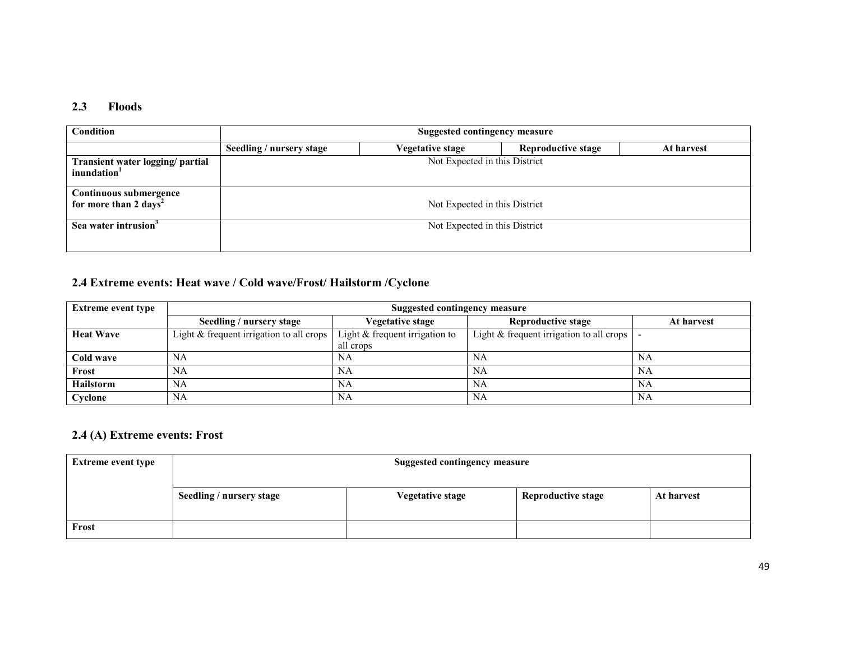#### 2.3 Floods

| <b>Condition</b>                                            | Suggested contingency measure |                  |                           |            |  |  |
|-------------------------------------------------------------|-------------------------------|------------------|---------------------------|------------|--|--|
|                                                             | Seedling / nursery stage      | Vegetative stage | <b>Reproductive stage</b> | At harvest |  |  |
| Transient water logging/ partial<br>inundation <sup>1</sup> | Not Expected in this District |                  |                           |            |  |  |
| Continuous submergence<br>for more than $2 \text{ days}^2$  | Not Expected in this District |                  |                           |            |  |  |
| Sea water intrusion <sup>3</sup>                            | Not Expected in this District |                  |                           |            |  |  |

#### 2.4 Extreme events: Heat wave / Cold wave/Frost/ Hailstorm /Cyclone

| <b>Extreme event type</b> | Suggested contingency measure              |                                  |                                                      |            |  |
|---------------------------|--------------------------------------------|----------------------------------|------------------------------------------------------|------------|--|
|                           | Seedling / nursery stage                   | Vegetative stage                 | Reproductive stage                                   | At harvest |  |
| <b>Heat Wave</b>          | Light $&$ frequent irrigation to all crops | Light $&$ frequent irrigation to | Light $&$ frequent irrigation to all crops $\vert$ - |            |  |
|                           |                                            | all crops                        |                                                      |            |  |
| Cold wave                 | NA                                         | NA                               | NA                                                   | NA         |  |
| Frost                     | NA                                         | NA                               | NA                                                   | NA         |  |
| <b>Hailstorm</b>          | NA                                         | NА                               | NA                                                   | NA         |  |
| Cyclone                   | NA                                         | NA                               | <b>NA</b>                                            | <b>NA</b>  |  |

#### 2.4 (A) Extreme events: Frost

| <b>Extreme event type</b> | <b>Suggested contingency measure</b> |                         |                           |            |  |
|---------------------------|--------------------------------------|-------------------------|---------------------------|------------|--|
|                           | Seedling / nursery stage             | <b>Vegetative stage</b> | <b>Reproductive stage</b> | At harvest |  |
| Frost                     |                                      |                         |                           |            |  |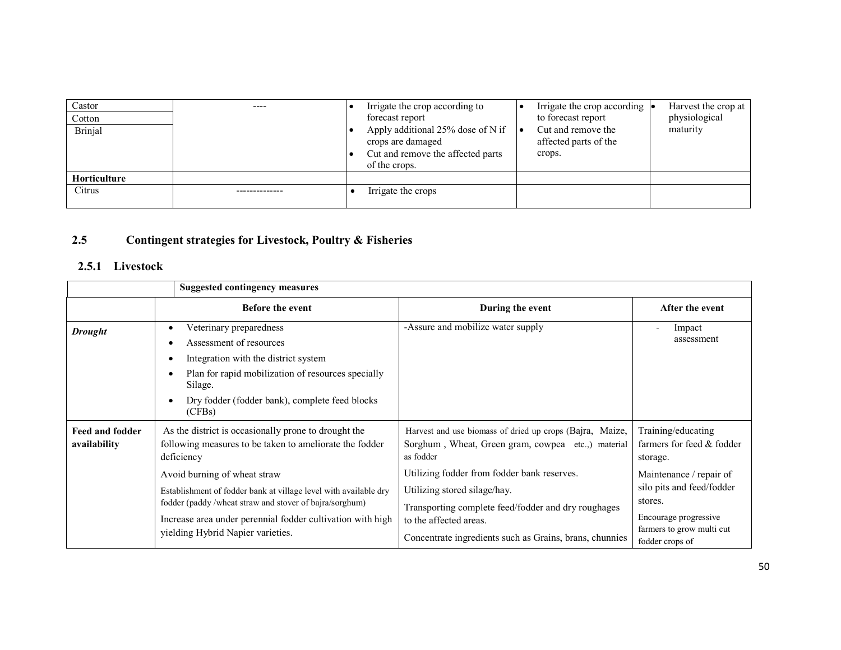| Castor<br>Cotton<br>Brinjal | $- - - -$ | Irrigate the crop according to<br>forecast report<br>Apply additional 25% dose of N if<br>crops are damaged<br>Cut and remove the affected parts<br>of the crops. | Irrigate the crop according $\bullet$<br>to forecast report<br>Cut and remove the<br>affected parts of the<br>crops. | Harvest the crop at<br>physiological<br>maturity |
|-----------------------------|-----------|-------------------------------------------------------------------------------------------------------------------------------------------------------------------|----------------------------------------------------------------------------------------------------------------------|--------------------------------------------------|
| <b>Horticulture</b>         |           |                                                                                                                                                                   |                                                                                                                      |                                                  |
| Citrus                      |           | Irrigate the crops                                                                                                                                                |                                                                                                                      |                                                  |

#### 2.5Contingent strategies for Livestock, Poultry & Fisheries

#### 2.5.1 Livestock

|                                        | <b>Suggested contingency measures</b>                                                                                                                                                                                                                                                                                                                                                           |                                                                                                                                                                                                                                                                                                                                                       |                                                                                                                                                                                                         |
|----------------------------------------|-------------------------------------------------------------------------------------------------------------------------------------------------------------------------------------------------------------------------------------------------------------------------------------------------------------------------------------------------------------------------------------------------|-------------------------------------------------------------------------------------------------------------------------------------------------------------------------------------------------------------------------------------------------------------------------------------------------------------------------------------------------------|---------------------------------------------------------------------------------------------------------------------------------------------------------------------------------------------------------|
|                                        | <b>Before the event</b>                                                                                                                                                                                                                                                                                                                                                                         | During the event                                                                                                                                                                                                                                                                                                                                      | After the event                                                                                                                                                                                         |
| <b>Drought</b>                         | Veterinary preparedness<br>$\bullet$<br>Assessment of resources<br>Integration with the district system<br>٠<br>Plan for rapid mobilization of resources specially<br>$\bullet$<br>Silage.<br>Dry fodder (fodder bank), complete feed blocks<br>$\bullet$<br>(CFBs)                                                                                                                             | -Assure and mobilize water supply                                                                                                                                                                                                                                                                                                                     | Impact<br>assessment                                                                                                                                                                                    |
| <b>Feed and fodder</b><br>availability | As the district is occasionally prone to drought the<br>following measures to be taken to ameliorate the fodder<br>deficiency<br>Avoid burning of wheat straw<br>Establishment of fodder bank at village level with available dry<br>fodder (paddy /wheat straw and stover of bajra/sorghum)<br>Increase area under perennial fodder cultivation with high<br>yielding Hybrid Napier varieties. | Harvest and use biomass of dried up crops (Bajra, Maize,<br>Sorghum, Wheat, Green gram, cowpea etc., material<br>as fodder<br>Utilizing fodder from fodder bank reserves.<br>Utilizing stored silage/hay.<br>Transporting complete feed/fodder and dry roughages<br>to the affected areas.<br>Concentrate ingredients such as Grains, brans, chunnies | Training/educating<br>farmers for feed & fodder<br>storage.<br>Maintenance / repair of<br>silo pits and feed/fodder<br>stores.<br>Encourage progressive<br>farmers to grow multi cut<br>fodder crops of |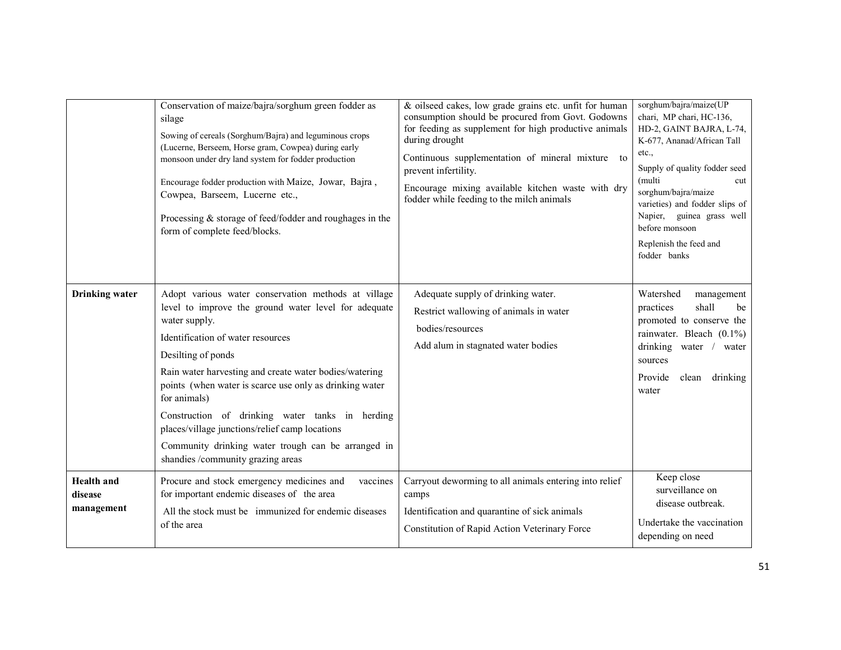|                                            | Conservation of maize/bajra/sorghum green fodder as<br>silage<br>Sowing of cereals (Sorghum/Bajra) and leguminous crops<br>(Lucerne, Berseem, Horse gram, Cowpea) during early<br>monsoon under dry land system for fodder production<br>Encourage fodder production with Maize, Jowar, Bajra,<br>Cowpea, Barseem, Lucerne etc.,<br>Processing & storage of feed/fodder and roughages in the<br>form of complete feed/blocks.                                                                                                | & oilseed cakes, low grade grains etc. unfit for human<br>consumption should be procured from Govt. Godowns<br>for feeding as supplement for high productive animals<br>during drought<br>Continuous supplementation of mineral mixture to<br>prevent infertility.<br>Encourage mixing available kitchen waste with dry<br>fodder while feeding to the milch animals | sorghum/bajra/maize(UP<br>chari, MP chari, HC-136,<br>HD-2, GAINT BAJRA, L-74,<br>K-677, Ananad/African Tall<br>etc.,<br>Supply of quality fodder seed<br>(multi<br>cut<br>sorghum/bajra/maize<br>varieties) and fodder slips of<br>Napier, guinea grass well<br>before monsoon<br>Replenish the feed and<br>fodder banks |
|--------------------------------------------|------------------------------------------------------------------------------------------------------------------------------------------------------------------------------------------------------------------------------------------------------------------------------------------------------------------------------------------------------------------------------------------------------------------------------------------------------------------------------------------------------------------------------|----------------------------------------------------------------------------------------------------------------------------------------------------------------------------------------------------------------------------------------------------------------------------------------------------------------------------------------------------------------------|---------------------------------------------------------------------------------------------------------------------------------------------------------------------------------------------------------------------------------------------------------------------------------------------------------------------------|
| <b>Drinking</b> water                      | Adopt various water conservation methods at village<br>level to improve the ground water level for adequate<br>water supply.<br>Identification of water resources<br>Desilting of ponds<br>Rain water harvesting and create water bodies/watering<br>points (when water is scarce use only as drinking water<br>for animals)<br>Construction of drinking water tanks in herding<br>places/village junctions/relief camp locations<br>Community drinking water trough can be arranged in<br>shandies /community grazing areas | Adequate supply of drinking water.<br>Restrict wallowing of animals in water<br>bodies/resources<br>Add alum in stagnated water bodies                                                                                                                                                                                                                               | Watershed<br>management<br>shall<br>practices<br>be<br>promoted to conserve the<br>rainwater. Bleach $(0.1\%)$<br>drinking water /<br>water<br>sources<br>Provide<br>drinking<br>clean<br>water                                                                                                                           |
| <b>Health</b> and<br>disease<br>management | Procure and stock emergency medicines and<br>vaccines<br>for important endemic diseases of the area<br>All the stock must be immunized for endemic diseases<br>of the area                                                                                                                                                                                                                                                                                                                                                   | Carryout deworming to all animals entering into relief<br>camps<br>Identification and quarantine of sick animals<br>Constitution of Rapid Action Veterinary Force                                                                                                                                                                                                    | Keep close<br>surveillance on<br>disease outbreak.<br>Undertake the vaccination<br>depending on need                                                                                                                                                                                                                      |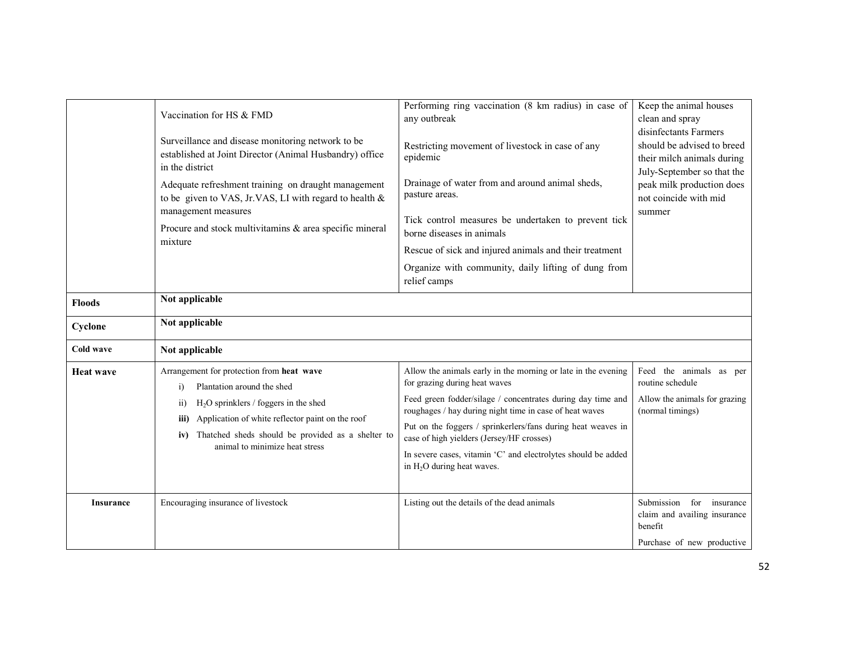|                  | Vaccination for HS & FMD<br>Surveillance and disease monitoring network to be<br>established at Joint Director (Animal Husbandry) office<br>in the district<br>Adequate refreshment training on draught management<br>to be given to VAS, Jr.VAS, LI with regard to health $\&$<br>management measures<br>Procure and stock multivitamins & area specific mineral<br>mixture | Performing ring vaccination (8 km radius) in case of<br>any outbreak<br>Restricting movement of livestock in case of any<br>epidemic<br>Drainage of water from and around animal sheds,<br>pasture areas.<br>Tick control measures be undertaken to prevent tick<br>borne diseases in animals<br>Rescue of sick and injured animals and their treatment<br>Organize with community, daily lifting of dung from<br>relief camps                   | Keep the animal houses<br>clean and spray<br>disinfectants Farmers<br>should be advised to breed<br>their milch animals during<br>July-September so that the<br>peak milk production does<br>not coincide with mid<br>summer |
|------------------|------------------------------------------------------------------------------------------------------------------------------------------------------------------------------------------------------------------------------------------------------------------------------------------------------------------------------------------------------------------------------|--------------------------------------------------------------------------------------------------------------------------------------------------------------------------------------------------------------------------------------------------------------------------------------------------------------------------------------------------------------------------------------------------------------------------------------------------|------------------------------------------------------------------------------------------------------------------------------------------------------------------------------------------------------------------------------|
| <b>Floods</b>    | Not applicable                                                                                                                                                                                                                                                                                                                                                               |                                                                                                                                                                                                                                                                                                                                                                                                                                                  |                                                                                                                                                                                                                              |
| Cyclone          | Not applicable                                                                                                                                                                                                                                                                                                                                                               |                                                                                                                                                                                                                                                                                                                                                                                                                                                  |                                                                                                                                                                                                                              |
| Cold wave        | Not applicable                                                                                                                                                                                                                                                                                                                                                               |                                                                                                                                                                                                                                                                                                                                                                                                                                                  |                                                                                                                                                                                                                              |
| <b>Heat wave</b> | Arrangement for protection from heat wave<br>Plantation around the shed<br>$\ddot{1}$<br>$H2O$ sprinklers / foggers in the shed<br>$\overline{11}$<br>Application of white reflector paint on the roof<br>iii)<br>iv) Thatched sheds should be provided as a shelter to<br>animal to minimize heat stress                                                                    | Allow the animals early in the morning or late in the evening<br>for grazing during heat waves<br>Feed green fodder/silage / concentrates during day time and<br>roughages / hay during night time in case of heat waves<br>Put on the foggers / sprinkerlers/fans during heat weaves in<br>case of high yielders (Jersey/HF crosses)<br>In severe cases, vitamin 'C' and electrolytes should be added<br>in H <sub>2</sub> O during heat waves. | Feed the animals as per<br>routine schedule<br>Allow the animals for grazing<br>(normal timings)                                                                                                                             |
| <b>Insurance</b> | Encouraging insurance of livestock                                                                                                                                                                                                                                                                                                                                           | Listing out the details of the dead animals                                                                                                                                                                                                                                                                                                                                                                                                      | Submission for insurance<br>claim and availing insurance<br>benefit<br>Purchase of new productive                                                                                                                            |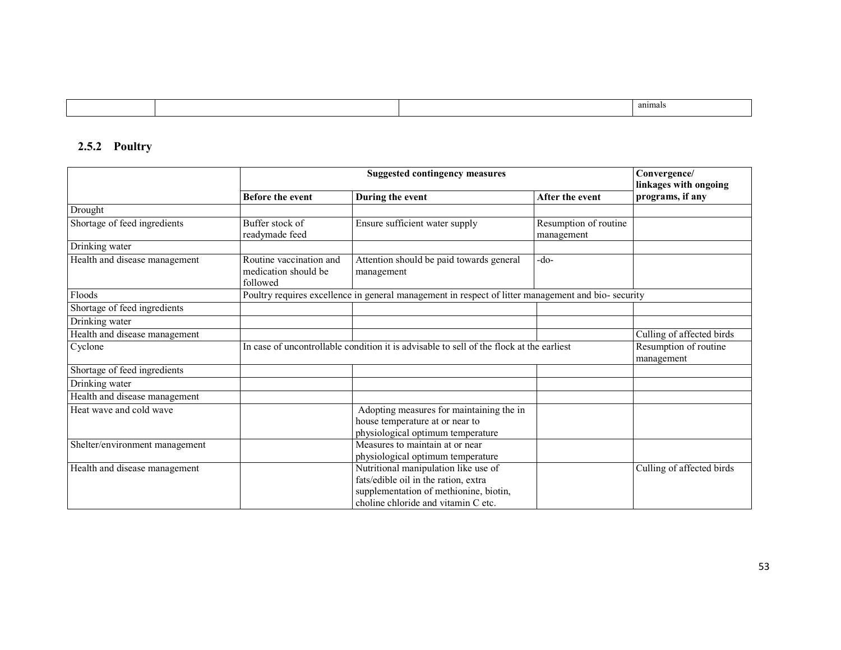|  |  | anımal |
|--|--|--------|
|--|--|--------|

#### 2.5.2 Poultry

|                                | <b>Suggested contingency measures</b>                       |                                                                                                                                                               | Convergence/<br>linkages with ongoing |                                     |
|--------------------------------|-------------------------------------------------------------|---------------------------------------------------------------------------------------------------------------------------------------------------------------|---------------------------------------|-------------------------------------|
|                                | <b>Before the event</b>                                     | During the event                                                                                                                                              | After the event                       | programs, if any                    |
| Drought                        |                                                             |                                                                                                                                                               |                                       |                                     |
| Shortage of feed ingredients   | Buffer stock of<br>readymade feed                           | Ensure sufficient water supply                                                                                                                                | Resumption of routine<br>management   |                                     |
| Drinking water                 |                                                             |                                                                                                                                                               |                                       |                                     |
| Health and disease management  | Routine vaccination and<br>medication should be<br>followed | Attention should be paid towards general<br>management                                                                                                        | -do-                                  |                                     |
| Floods                         |                                                             | Poultry requires excellence in general management in respect of litter management and bio- security                                                           |                                       |                                     |
| Shortage of feed ingredients   |                                                             |                                                                                                                                                               |                                       |                                     |
| Drinking water                 |                                                             |                                                                                                                                                               |                                       |                                     |
| Health and disease management  |                                                             |                                                                                                                                                               |                                       | Culling of affected birds           |
| Cyclone                        |                                                             | In case of uncontrollable condition it is advisable to sell of the flock at the earliest                                                                      |                                       | Resumption of routine<br>management |
| Shortage of feed ingredients   |                                                             |                                                                                                                                                               |                                       |                                     |
| Drinking water                 |                                                             |                                                                                                                                                               |                                       |                                     |
| Health and disease management  |                                                             |                                                                                                                                                               |                                       |                                     |
| Heat wave and cold wave        |                                                             | Adopting measures for maintaining the in<br>house temperature at or near to<br>physiological optimum temperature                                              |                                       |                                     |
| Shelter/environment management |                                                             | Measures to maintain at or near<br>physiological optimum temperature                                                                                          |                                       |                                     |
| Health and disease management  |                                                             | Nutritional manipulation like use of<br>fats/edible oil in the ration, extra<br>supplementation of methionine, biotin,<br>choline chloride and vitamin C etc. |                                       | Culling of affected birds           |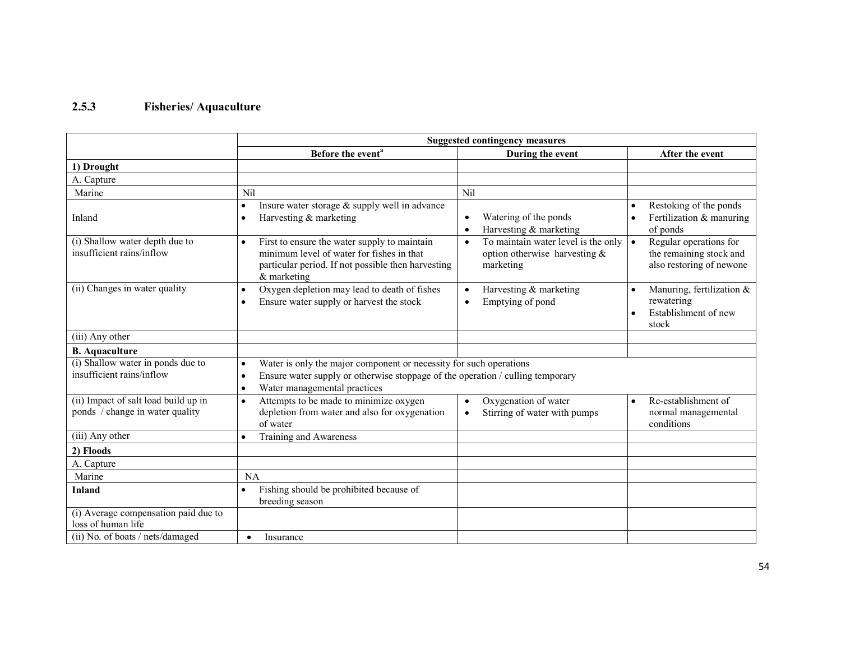#### 2.5.3 Fisheries/ Aquaculture

|                                                                         | <b>Suggested contingency measures</b>                                                                                                                                                                                       |                                                                                                   |                                                                                            |  |  |
|-------------------------------------------------------------------------|-----------------------------------------------------------------------------------------------------------------------------------------------------------------------------------------------------------------------------|---------------------------------------------------------------------------------------------------|--------------------------------------------------------------------------------------------|--|--|
|                                                                         | Before the event <sup>a</sup>                                                                                                                                                                                               | During the event                                                                                  | After the event                                                                            |  |  |
| 1) Drought                                                              |                                                                                                                                                                                                                             |                                                                                                   |                                                                                            |  |  |
| A. Capture                                                              |                                                                                                                                                                                                                             |                                                                                                   |                                                                                            |  |  |
| Marine                                                                  | Nil                                                                                                                                                                                                                         | Nil                                                                                               |                                                                                            |  |  |
| Inland                                                                  | Insure water storage & supply well in advance<br>$\bullet$<br>Harvesting & marketing<br>$\bullet$                                                                                                                           | Watering of the ponds<br>$\bullet$<br>Harvesting & marketing<br>$\bullet$                         | Restoking of the ponds<br>Fertilization & manuring<br>$\bullet$<br>of ponds                |  |  |
| (i) Shallow water depth due to<br>insufficient rains/inflow             | First to ensure the water supply to maintain<br>$\bullet$<br>minimum level of water for fishes in that<br>particular period. If not possible then harvesting<br>$&$ marketing                                               | To maintain water level is the only<br>$\bullet$<br>option otherwise harvesting $\&$<br>marketing | Regular operations for<br>$\bullet$<br>the remaining stock and<br>also restoring of newone |  |  |
| (ii) Changes in water quality                                           | Oxygen depletion may lead to death of fishes<br>$\bullet$<br>Ensure water supply or harvest the stock<br>$\bullet$                                                                                                          | Harvesting & marketing<br>$\bullet$<br>Emptying of pond<br>$\bullet$                              | Manuring, fertilization &<br>$\bullet$<br>rewatering<br>Establishment of new<br>stock      |  |  |
| (iii) Any other                                                         |                                                                                                                                                                                                                             |                                                                                                   |                                                                                            |  |  |
| <b>B.</b> Aquaculture                                                   |                                                                                                                                                                                                                             |                                                                                                   |                                                                                            |  |  |
| (i) Shallow water in ponds due to<br>insufficient rains/inflow          | Water is only the major component or necessity for such operations<br>$\bullet$<br>Ensure water supply or otherwise stoppage of the operation / culling temporary<br>$\bullet$<br>Water managemental practices<br>$\bullet$ |                                                                                                   |                                                                                            |  |  |
| (ii) Impact of salt load build up in<br>ponds / change in water quality | Attempts to be made to minimize oxygen<br>$\bullet$<br>depletion from water and also for oxygenation<br>of water                                                                                                            | Oxygenation of water<br>$\bullet$<br>Stirring of water with pumps<br>$\bullet$                    | Re-establishment of<br>$\bullet$<br>normal managemental<br>conditions                      |  |  |
| (iii) Any other                                                         | Training and Awareness                                                                                                                                                                                                      |                                                                                                   |                                                                                            |  |  |
| 2) Floods                                                               |                                                                                                                                                                                                                             |                                                                                                   |                                                                                            |  |  |
| A. Capture                                                              |                                                                                                                                                                                                                             |                                                                                                   |                                                                                            |  |  |
| Marine                                                                  | <b>NA</b>                                                                                                                                                                                                                   |                                                                                                   |                                                                                            |  |  |
| <b>Inland</b>                                                           | Fishing should be prohibited because of<br>breeding season                                                                                                                                                                  |                                                                                                   |                                                                                            |  |  |
| (i) Average compensation paid due to<br>loss of human life              |                                                                                                                                                                                                                             |                                                                                                   |                                                                                            |  |  |
| (ii) No. of boats / nets/damaged                                        | Insurance<br>$\bullet$                                                                                                                                                                                                      |                                                                                                   |                                                                                            |  |  |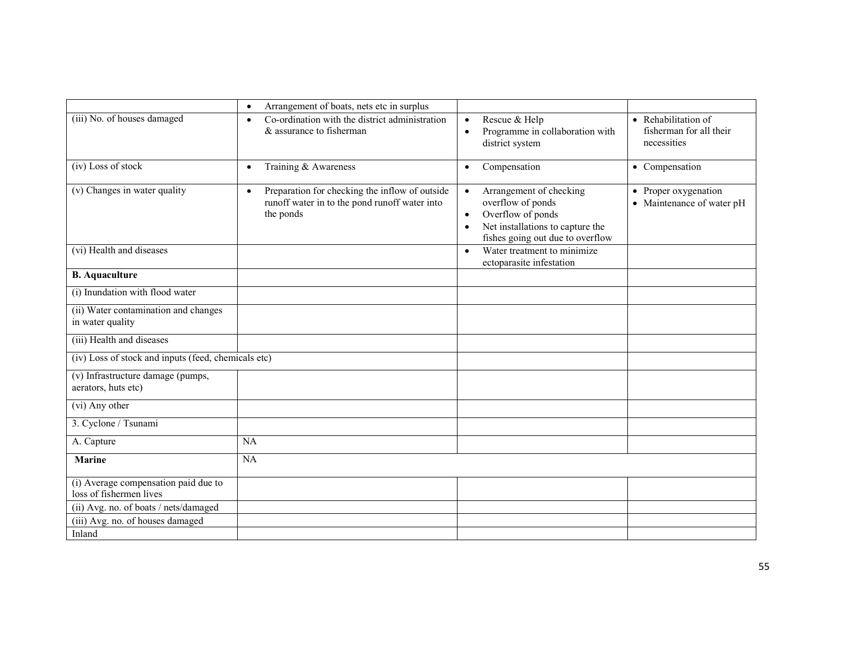|                                                                 | Arrangement of boats, nets etc in surplus<br>$\bullet$                                                                    |                                                                                                                                                                                  |                                                               |
|-----------------------------------------------------------------|---------------------------------------------------------------------------------------------------------------------------|----------------------------------------------------------------------------------------------------------------------------------------------------------------------------------|---------------------------------------------------------------|
| (iii) No. of houses damaged                                     | Co-ordination with the district administration<br>$\bullet$<br>& assurance to fisherman                                   | Rescue & Help<br>$\bullet$<br>Programme in collaboration with<br>$\bullet$<br>district system                                                                                    | • Rehabilitation of<br>fisherman for all their<br>necessities |
| (iv) Loss of stock                                              | Training & Awareness<br>$\bullet$                                                                                         | Compensation<br>$\bullet$                                                                                                                                                        | • Compensation                                                |
| (v) Changes in water quality                                    | Preparation for checking the inflow of outside<br>$\bullet$<br>runoff water in to the pond runoff water into<br>the ponds | Arrangement of checking<br>$\bullet$<br>overflow of ponds<br>Overflow of ponds<br>$\bullet$<br>Net installations to capture the<br>$\bullet$<br>fishes going out due to overflow | • Proper oxygenation<br>• Maintenance of water pH             |
| (vi) Health and diseases                                        |                                                                                                                           | Water treatment to minimize<br>$\bullet$<br>ectoparasite infestation                                                                                                             |                                                               |
| <b>B.</b> Aquaculture                                           |                                                                                                                           |                                                                                                                                                                                  |                                                               |
| (i) Inundation with flood water                                 |                                                                                                                           |                                                                                                                                                                                  |                                                               |
| (ii) Water contamination and changes<br>in water quality        |                                                                                                                           |                                                                                                                                                                                  |                                                               |
| (iii) Health and diseases                                       |                                                                                                                           |                                                                                                                                                                                  |                                                               |
| (iv) Loss of stock and inputs (feed, chemicals etc)             |                                                                                                                           |                                                                                                                                                                                  |                                                               |
| (v) Infrastructure damage (pumps,<br>aerators, huts etc)        |                                                                                                                           |                                                                                                                                                                                  |                                                               |
| (vi) Any other                                                  |                                                                                                                           |                                                                                                                                                                                  |                                                               |
| 3. Cyclone / Tsunami                                            |                                                                                                                           |                                                                                                                                                                                  |                                                               |
| A. Capture                                                      | NA                                                                                                                        |                                                                                                                                                                                  |                                                               |
| <b>Marine</b>                                                   | NA                                                                                                                        |                                                                                                                                                                                  |                                                               |
| (i) Average compensation paid due to<br>loss of fishermen lives |                                                                                                                           |                                                                                                                                                                                  |                                                               |
| (ii) Avg. no. of boats / nets/damaged                           |                                                                                                                           |                                                                                                                                                                                  |                                                               |
| (iii) Avg. no. of houses damaged                                |                                                                                                                           |                                                                                                                                                                                  |                                                               |
| Inland                                                          |                                                                                                                           |                                                                                                                                                                                  |                                                               |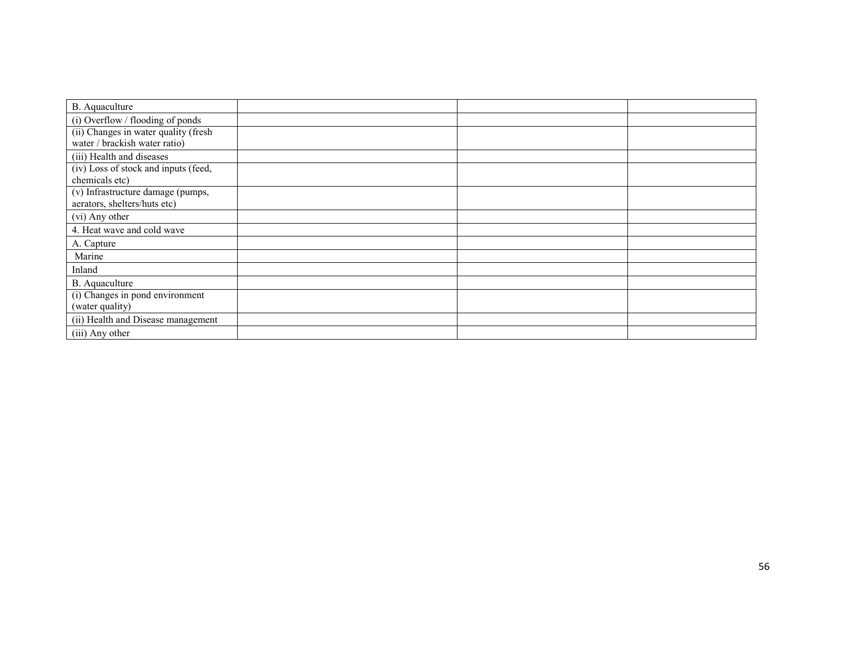| B. Aquaculture                       |  |  |
|--------------------------------------|--|--|
| (i) Overflow / flooding of ponds     |  |  |
| (ii) Changes in water quality (fresh |  |  |
| water / brackish water ratio)        |  |  |
| (iii) Health and diseases            |  |  |
| (iv) Loss of stock and inputs (feed, |  |  |
| chemicals etc)                       |  |  |
| (v) Infrastructure damage (pumps,    |  |  |
| aerators, shelters/huts etc)         |  |  |
| (vi) Any other                       |  |  |
| 4. Heat wave and cold wave           |  |  |
| A. Capture                           |  |  |
| Marine                               |  |  |
| Inland                               |  |  |
| B. Aquaculture                       |  |  |
| (i) Changes in pond environment      |  |  |
| (water quality)                      |  |  |
| (ii) Health and Disease management   |  |  |
| (iii) Any other                      |  |  |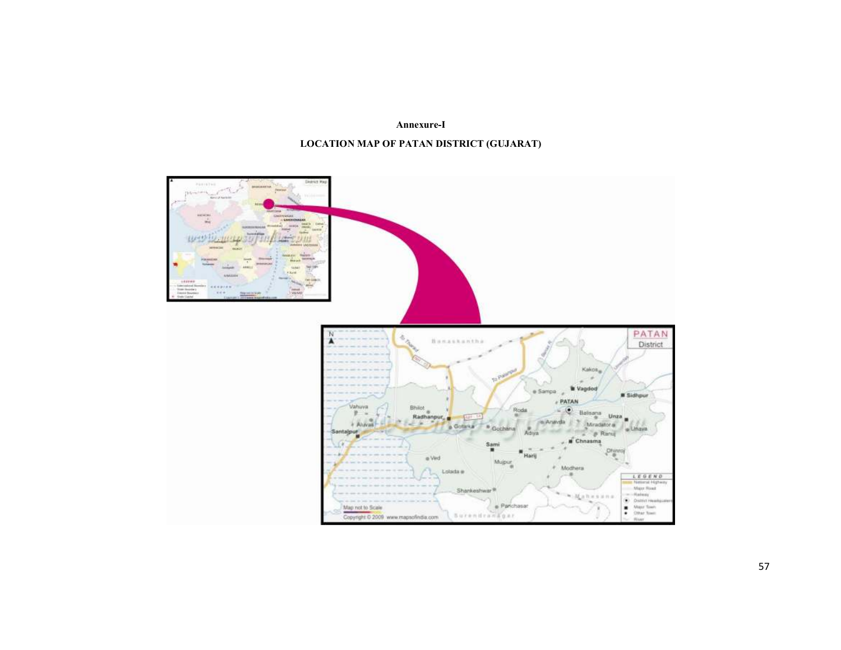Annexure-I

#### LOCATION MAP OF PATAN DISTRICT (GUJARAT)